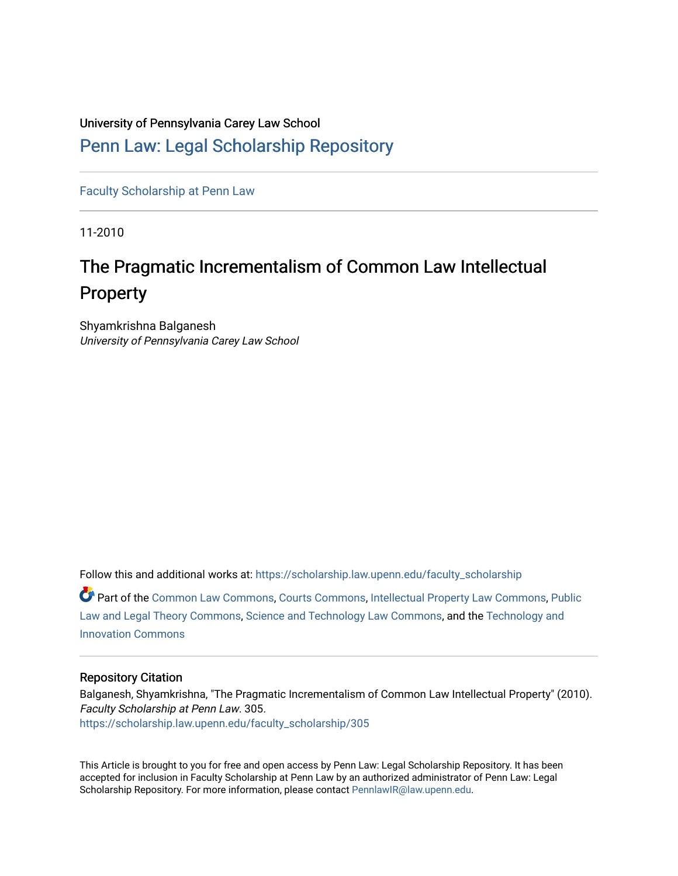# University of Pennsylvania Carey Law School

# [Penn Law: Legal Scholarship Repository](https://scholarship.law.upenn.edu/)

[Faculty Scholarship at Penn Law](https://scholarship.law.upenn.edu/faculty_scholarship)

11-2010

# The Pragmatic Incrementalism of Common Law Intellectual **Property**

Shyamkrishna Balganesh University of Pennsylvania Carey Law School

Follow this and additional works at: [https://scholarship.law.upenn.edu/faculty\\_scholarship](https://scholarship.law.upenn.edu/faculty_scholarship?utm_source=scholarship.law.upenn.edu%2Ffaculty_scholarship%2F305&utm_medium=PDF&utm_campaign=PDFCoverPages) 

Part of the [Common Law Commons,](http://network.bepress.com/hgg/discipline/1120?utm_source=scholarship.law.upenn.edu%2Ffaculty_scholarship%2F305&utm_medium=PDF&utm_campaign=PDFCoverPages) [Courts Commons](http://network.bepress.com/hgg/discipline/839?utm_source=scholarship.law.upenn.edu%2Ffaculty_scholarship%2F305&utm_medium=PDF&utm_campaign=PDFCoverPages), [Intellectual Property Law Commons](http://network.bepress.com/hgg/discipline/896?utm_source=scholarship.law.upenn.edu%2Ffaculty_scholarship%2F305&utm_medium=PDF&utm_campaign=PDFCoverPages), [Public](http://network.bepress.com/hgg/discipline/871?utm_source=scholarship.law.upenn.edu%2Ffaculty_scholarship%2F305&utm_medium=PDF&utm_campaign=PDFCoverPages) [Law and Legal Theory Commons,](http://network.bepress.com/hgg/discipline/871?utm_source=scholarship.law.upenn.edu%2Ffaculty_scholarship%2F305&utm_medium=PDF&utm_campaign=PDFCoverPages) [Science and Technology Law Commons](http://network.bepress.com/hgg/discipline/875?utm_source=scholarship.law.upenn.edu%2Ffaculty_scholarship%2F305&utm_medium=PDF&utm_campaign=PDFCoverPages), and the [Technology and](http://network.bepress.com/hgg/discipline/644?utm_source=scholarship.law.upenn.edu%2Ffaculty_scholarship%2F305&utm_medium=PDF&utm_campaign=PDFCoverPages)  [Innovation Commons](http://network.bepress.com/hgg/discipline/644?utm_source=scholarship.law.upenn.edu%2Ffaculty_scholarship%2F305&utm_medium=PDF&utm_campaign=PDFCoverPages)

# Repository Citation

Balganesh, Shyamkrishna, "The Pragmatic Incrementalism of Common Law Intellectual Property" (2010). Faculty Scholarship at Penn Law. 305. [https://scholarship.law.upenn.edu/faculty\\_scholarship/305](https://scholarship.law.upenn.edu/faculty_scholarship/305?utm_source=scholarship.law.upenn.edu%2Ffaculty_scholarship%2F305&utm_medium=PDF&utm_campaign=PDFCoverPages) 

This Article is brought to you for free and open access by Penn Law: Legal Scholarship Repository. It has been accepted for inclusion in Faculty Scholarship at Penn Law by an authorized administrator of Penn Law: Legal Scholarship Repository. For more information, please contact [PennlawIR@law.upenn.edu.](mailto:PennlawIR@law.upenn.edu)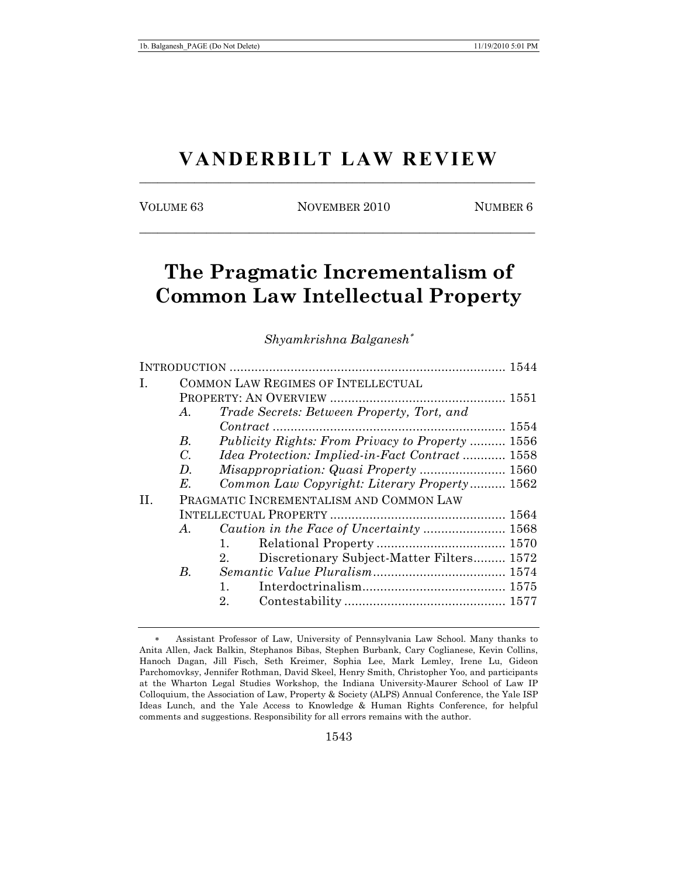# **VANDERBILT LAW REVIEW** \_\_\_\_\_\_\_\_\_\_\_\_\_\_\_\_\_\_\_\_\_\_\_\_\_\_\_\_\_\_\_\_\_\_\_\_\_\_\_\_\_\_\_\_\_\_\_\_\_\_\_\_\_\_\_\_\_\_\_\_\_\_\_\_\_

VOLUME 63 NOVEMBER 2010 NUMBER 6

\_\_\_\_\_\_\_\_\_\_\_\_\_\_\_\_\_\_\_\_\_\_\_\_\_\_\_\_\_\_\_\_\_\_\_\_\_\_\_\_\_\_\_\_\_\_\_\_\_\_\_\_\_\_\_\_\_\_\_\_\_\_\_\_\_

# **The Pragmatic Incrementalism of Common Law Intellectual Property**

*Shyamkrishna Balganesh*

| I. | <b>COMMON LAW REGIMES OF INTELLECTUAL</b> |                                                             |  |  |
|----|-------------------------------------------|-------------------------------------------------------------|--|--|
|    |                                           |                                                             |  |  |
|    | A.                                        | Trade Secrets: Between Property, Tort, and                  |  |  |
|    |                                           |                                                             |  |  |
|    | В.                                        | <i>Publicity Rights: From Privacy to Property </i> 1556     |  |  |
|    | $C_{\cdot}$                               | Idea Protection: Implied-in-Fact Contract 1558              |  |  |
|    | $D_{\cdot}$                               | <i>Misappropriation: Quasi Property </i> 1560               |  |  |
|    | E.                                        | Common Law Copyright: Literary Property 1562                |  |  |
| H. | PRAGMATIC INCREMENTALISM AND COMMON LAW   |                                                             |  |  |
|    |                                           |                                                             |  |  |
|    | A.                                        |                                                             |  |  |
|    |                                           | 1.                                                          |  |  |
|    |                                           | Discretionary Subject-Matter Filters 1572<br>2 <sub>1</sub> |  |  |
|    | В.                                        |                                                             |  |  |
|    |                                           | 1.                                                          |  |  |
|    |                                           | 2.                                                          |  |  |
|    |                                           |                                                             |  |  |

Assistant Professor of Law, University of Pennsylvania Law School. Many thanks to Anita Allen, Jack Balkin, Stephanos Bibas, Stephen Burbank, Cary Coglianese, Kevin Collins, Hanoch Dagan, Jill Fisch, Seth Kreimer, Sophia Lee, Mark Lemley, Irene Lu, Gideon Parchomovksy, Jennifer Rothman, David Skeel, Henry Smith, Christopher Yoo, and participants at the Wharton Legal Studies Workshop, the Indiana University-Maurer School of Law IP Colloquium, the Association of Law, Property & Society (ALPS) Annual Conference, the Yale ISP Ideas Lunch, and the Yale Access to Knowledge & Human Rights Conference, for helpful comments and suggestions. Responsibility for all errors remains with the author.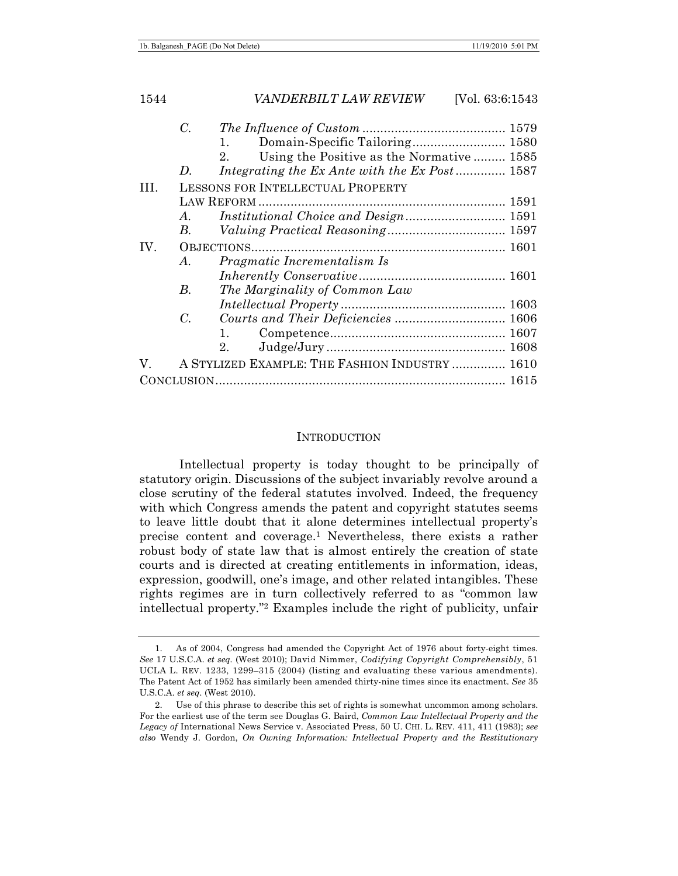|      | С.          |                                                 |  |
|------|-------------|-------------------------------------------------|--|
|      |             | 1.                                              |  |
|      |             | Using the Positive as the Normative  1585<br>2. |  |
|      | D.          | Integrating the Ex Ante with the Ex Post 1587   |  |
| III. |             | LESSONS FOR INTELLECTUAL PROPERTY               |  |
|      |             |                                                 |  |
|      | A.          | Institutional Choice and Design 1591            |  |
|      | B.          |                                                 |  |
| IV.  |             |                                                 |  |
|      | A.          | Pragmatic Incrementalism Is                     |  |
|      |             |                                                 |  |
|      | В.          | The Marginality of Common Law                   |  |
|      |             |                                                 |  |
|      | $C_{\cdot}$ |                                                 |  |
|      |             |                                                 |  |
|      |             | 2.                                              |  |
| V.   |             | A STYLIZED EXAMPLE: THE FASHION INDUSTRY  1610  |  |
|      |             |                                                 |  |

#### **INTRODUCTION**

Intellectual property is today thought to be principally of statutory origin. Discussions of the subject invariably revolve around a close scrutiny of the federal statutes involved. Indeed, the frequency with which Congress amends the patent and copyright statutes seems to leave little doubt that it alone determines intellectual property's precise content and coverage.1 Nevertheless, there exists a rather robust body of state law that is almost entirely the creation of state courts and is directed at creating entitlements in information, ideas, expression, goodwill, one's image, and other related intangibles. These rights regimes are in turn collectively referred to as "common law intellectual property."2 Examples include the right of publicity, unfair

 <sup>1.</sup> As of 2004, Congress had amended the Copyright Act of 1976 about forty-eight times. *See* 17 U.S.C.A. *et seq.* (West 2010); David Nimmer, *Codifying Copyright Comprehensibly*, 51 UCLA L. REV. 1233, 1299–315 (2004) (listing and evaluating these various amendments). The Patent Act of 1952 has similarly been amended thirty-nine times since its enactment. *See* 35 U.S.C.A. *et seq*. (West 2010).

 <sup>2.</sup> Use of this phrase to describe this set of rights is somewhat uncommon among scholars. For the earliest use of the term see Douglas G. Baird, *Common Law Intellectual Property and the Legacy of* International News Service v. Associated Press, 50 U. CHI. L. REV. 411, 411 (1983); *see also* Wendy J. Gordon, *On Owning Information: Intellectual Property and the Restitutionary*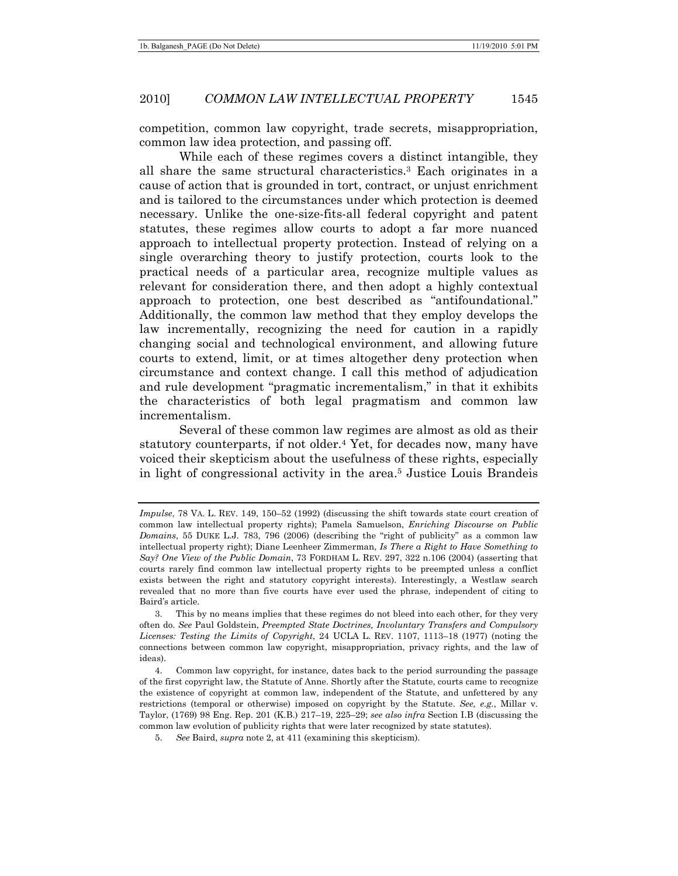competition, common law copyright, trade secrets, misappropriation, common law idea protection, and passing off.

While each of these regimes covers a distinct intangible, they all share the same structural characteristics.3 Each originates in a cause of action that is grounded in tort, contract, or unjust enrichment and is tailored to the circumstances under which protection is deemed necessary. Unlike the one-size-fits-all federal copyright and patent statutes, these regimes allow courts to adopt a far more nuanced approach to intellectual property protection. Instead of relying on a single overarching theory to justify protection, courts look to the practical needs of a particular area, recognize multiple values as relevant for consideration there, and then adopt a highly contextual approach to protection, one best described as "antifoundational." Additionally, the common law method that they employ develops the law incrementally, recognizing the need for caution in a rapidly changing social and technological environment, and allowing future courts to extend, limit, or at times altogether deny protection when circumstance and context change. I call this method of adjudication and rule development "pragmatic incrementalism," in that it exhibits the characteristics of both legal pragmatism and common law incrementalism.

Several of these common law regimes are almost as old as their statutory counterparts, if not older.4 Yet, for decades now, many have voiced their skepticism about the usefulness of these rights, especially in light of congressional activity in the area.5 Justice Louis Brandeis

*Impulse*, 78 VA. L. REV. 149, 150–52 (1992) (discussing the shift towards state court creation of common law intellectual property rights); Pamela Samuelson, *Enriching Discourse on Public Domains*, 55 DUKE L.J. 783, 796 (2006) (describing the "right of publicity" as a common law intellectual property right); Diane Leenheer Zimmerman, *Is There a Right to Have Something to Say? One View of the Public Domain*, 73 FORDHAM L. REV. 297, 322 n.106 (2004) (asserting that courts rarely find common law intellectual property rights to be preempted unless a conflict exists between the right and statutory copyright interests). Interestingly, a Westlaw search revealed that no more than five courts have ever used the phrase, independent of citing to Baird's article.

 <sup>3.</sup> This by no means implies that these regimes do not bleed into each other, for they very often do. *See* Paul Goldstein, *Preempted State Doctrines, Involuntary Transfers and Compulsory Licenses: Testing the Limits of Copyright*, 24 UCLA L. REV. 1107, 1113–18 (1977) (noting the connections between common law copyright, misappropriation, privacy rights, and the law of ideas).

 <sup>4.</sup> Common law copyright, for instance, dates back to the period surrounding the passage of the first copyright law, the Statute of Anne. Shortly after the Statute, courts came to recognize the existence of copyright at common law, independent of the Statute, and unfettered by any restrictions (temporal or otherwise) imposed on copyright by the Statute. *See, e.g.*, Millar v. Taylor, (1769) 98 Eng. Rep. 201 (K.B.) 217–19, 225–29; *see also infra* Section I.B (discussing the common law evolution of publicity rights that were later recognized by state statutes).

<sup>5.</sup> *See* Baird, *supra* note 2, at 411 (examining this skepticism).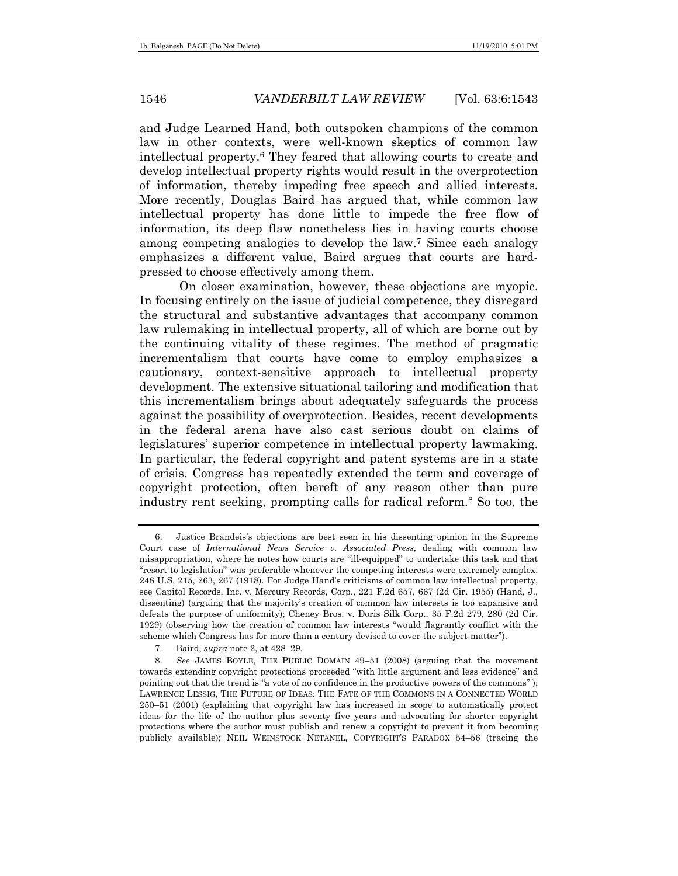and Judge Learned Hand, both outspoken champions of the common law in other contexts, were well-known skeptics of common law intellectual property.6 They feared that allowing courts to create and develop intellectual property rights would result in the overprotection of information, thereby impeding free speech and allied interests. More recently, Douglas Baird has argued that, while common law intellectual property has done little to impede the free flow of information, its deep flaw nonetheless lies in having courts choose among competing analogies to develop the law.7 Since each analogy emphasizes a different value, Baird argues that courts are hardpressed to choose effectively among them.

On closer examination, however, these objections are myopic. In focusing entirely on the issue of judicial competence, they disregard the structural and substantive advantages that accompany common law rulemaking in intellectual property, all of which are borne out by the continuing vitality of these regimes. The method of pragmatic incrementalism that courts have come to employ emphasizes a cautionary, context-sensitive approach to intellectual property development. The extensive situational tailoring and modification that this incrementalism brings about adequately safeguards the process against the possibility of overprotection. Besides, recent developments in the federal arena have also cast serious doubt on claims of legislatures' superior competence in intellectual property lawmaking. In particular, the federal copyright and patent systems are in a state of crisis. Congress has repeatedly extended the term and coverage of copyright protection, often bereft of any reason other than pure industry rent seeking, prompting calls for radical reform.8 So too, the

 <sup>6.</sup> Justice Brandeis's objections are best seen in his dissenting opinion in the Supreme Court case of *International News Service v. Associated Press*, dealing with common law misappropriation, where he notes how courts are "ill-equipped" to undertake this task and that "resort to legislation" was preferable whenever the competing interests were extremely complex. 248 U.S. 215, 263, 267 (1918). For Judge Hand's criticisms of common law intellectual property, see Capitol Records, Inc. v. Mercury Records, Corp., 221 F.2d 657, 667 (2d Cir. 1955) (Hand, J., dissenting) (arguing that the majority's creation of common law interests is too expansive and defeats the purpose of uniformity); Cheney Bros. v. Doris Silk Corp., 35 F.2d 279, 280 (2d Cir. 1929) (observing how the creation of common law interests "would flagrantly conflict with the scheme which Congress has for more than a century devised to cover the subject-matter").

 <sup>7.</sup> Baird, *supra* note 2, at 428–29.

<sup>8.</sup> *See* JAMES BOYLE, THE PUBLIC DOMAIN 49–51 (2008) (arguing that the movement towards extending copyright protections proceeded "with little argument and less evidence" and pointing out that the trend is "a vote of no confidence in the productive powers of the commons" ); LAWRENCE LESSIG, THE FUTURE OF IDEAS: THE FATE OF THE COMMONS IN A CONNECTED WORLD 250–51 (2001) (explaining that copyright law has increased in scope to automatically protect ideas for the life of the author plus seventy five years and advocating for shorter copyright protections where the author must publish and renew a copyright to prevent it from becoming publicly available); NEIL WEINSTOCK NETANEL, COPYRIGHT'S PARADOX 54–56 (tracing the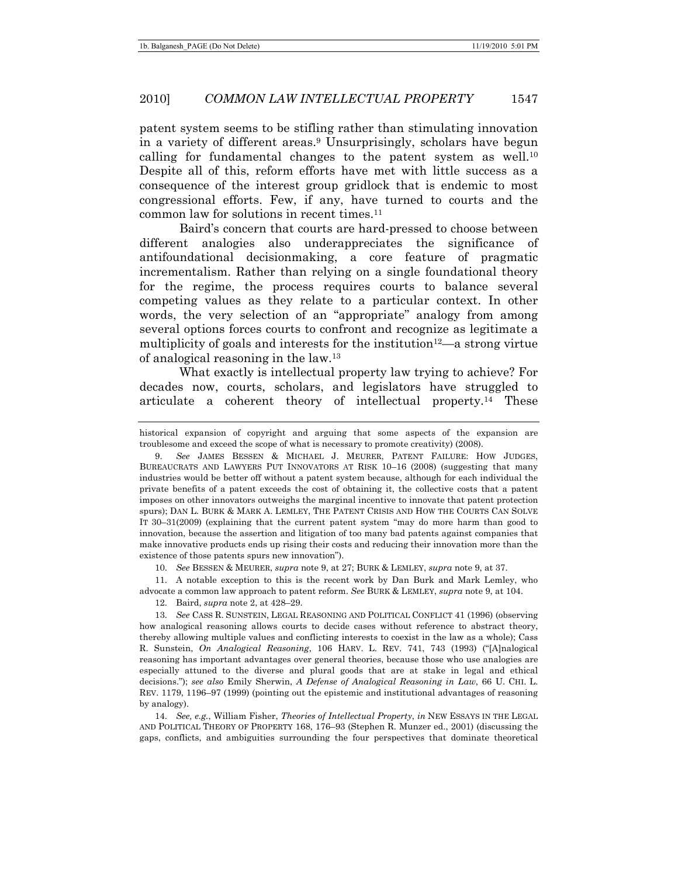patent system seems to be stifling rather than stimulating innovation in a variety of different areas.9 Unsurprisingly, scholars have begun calling for fundamental changes to the patent system as well.<sup>10</sup> Despite all of this, reform efforts have met with little success as a consequence of the interest group gridlock that is endemic to most congressional efforts. Few, if any, have turned to courts and the common law for solutions in recent times.11

Baird's concern that courts are hard-pressed to choose between different analogies also underappreciates the significance of antifoundational decisionmaking, a core feature of pragmatic incrementalism. Rather than relying on a single foundational theory for the regime, the process requires courts to balance several competing values as they relate to a particular context. In other words, the very selection of an "appropriate" analogy from among several options forces courts to confront and recognize as legitimate a multiplicity of goals and interests for the institution<sup>12</sup>—a strong virtue of analogical reasoning in the law.13

What exactly is intellectual property law trying to achieve? For decades now, courts, scholars, and legislators have struggled to articulate a coherent theory of intellectual property.14 These

historical expansion of copyright and arguing that some aspects of the expansion are troublesome and exceed the scope of what is necessary to promote creativity) (2008).

10. *See* BESSEN & MEURER, *supra* note 9, at 27; BURK & LEMLEY, *supra* note 9, at 37.

 11. A notable exception to this is the recent work by Dan Burk and Mark Lemley, who advocate a common law approach to patent reform. *See* BURK & LEMLEY, *supra* note 9, at 104.

12. Baird, *supra* note 2, at 428–29.

14. *See, e.g.*, William Fisher, *Theories of Intellectual Property*, *in* NEW ESSAYS IN THE LEGAL AND POLITICAL THEORY OF PROPERTY 168, 176–93 (Stephen R. Munzer ed., 2001) (discussing the gaps, conflicts, and ambiguities surrounding the four perspectives that dominate theoretical

<sup>9.</sup> *See* JAMES BESSEN & MICHAEL J. MEURER, PATENT FAILURE: HOW JUDGES, BUREAUCRATS AND LAWYERS PUT INNOVATORS AT RISK 10–16 (2008) (suggesting that many industries would be better off without a patent system because, although for each individual the private benefits of a patent exceeds the cost of obtaining it, the collective costs that a patent imposes on other innovators outweighs the marginal incentive to innovate that patent protection spurs); DAN L. BURK & MARK A. LEMLEY, THE PATENT CRISIS AND HOW THE COURTS CAN SOLVE IT 30–31(2009) (explaining that the current patent system "may do more harm than good to innovation, because the assertion and litigation of too many bad patents against companies that make innovative products ends up rising their costs and reducing their innovation more than the existence of those patents spurs new innovation").

<sup>13.</sup> *See* CASS R. SUNSTEIN, LEGAL REASONING AND POLITICAL CONFLICT 41 (1996) (observing how analogical reasoning allows courts to decide cases without reference to abstract theory, thereby allowing multiple values and conflicting interests to coexist in the law as a whole); Cass R. Sunstein, *On Analogical Reasoning*, 106 HARV. L. REV. 741, 743 (1993) ("[A]nalogical reasoning has important advantages over general theories, because those who use analogies are especially attuned to the diverse and plural goods that are at stake in legal and ethical decisions."); *see also* Emily Sherwin, *A Defense of Analogical Reasoning in Law*, 66 U. CHI. L. REV. 1179, 1196–97 (1999) (pointing out the epistemic and institutional advantages of reasoning by analogy).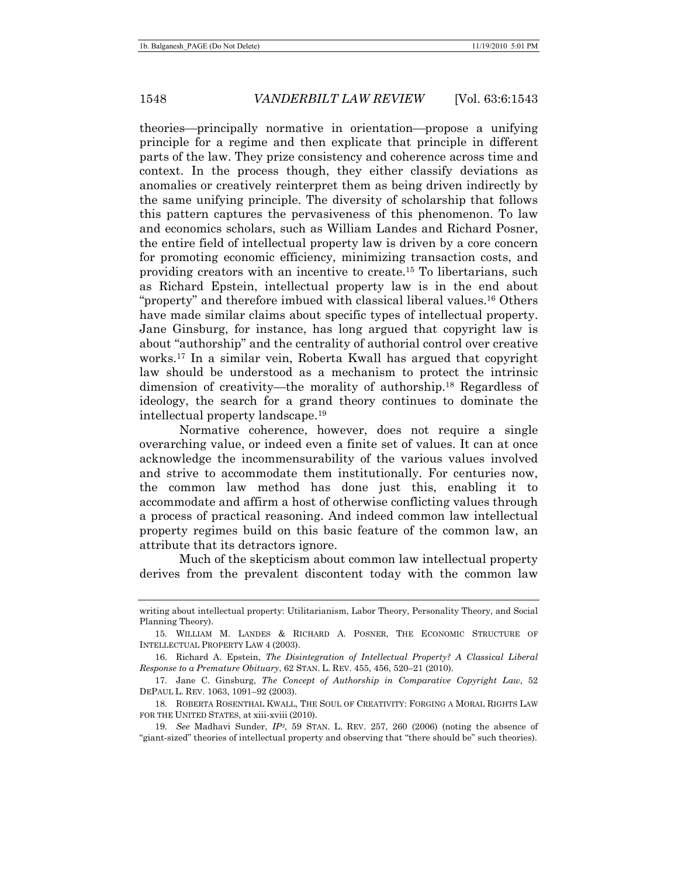theories—principally normative in orientation—propose a unifying principle for a regime and then explicate that principle in different parts of the law. They prize consistency and coherence across time and context. In the process though, they either classify deviations as anomalies or creatively reinterpret them as being driven indirectly by the same unifying principle. The diversity of scholarship that follows this pattern captures the pervasiveness of this phenomenon. To law and economics scholars, such as William Landes and Richard Posner, the entire field of intellectual property law is driven by a core concern for promoting economic efficiency, minimizing transaction costs, and providing creators with an incentive to create.15 To libertarians, such as Richard Epstein, intellectual property law is in the end about "property" and therefore imbued with classical liberal values.16 Others have made similar claims about specific types of intellectual property. Jane Ginsburg, for instance, has long argued that copyright law is about "authorship" and the centrality of authorial control over creative works.17 In a similar vein, Roberta Kwall has argued that copyright law should be understood as a mechanism to protect the intrinsic dimension of creativity—the morality of authorship.18 Regardless of ideology, the search for a grand theory continues to dominate the intellectual property landscape.19

Normative coherence, however, does not require a single overarching value, or indeed even a finite set of values. It can at once acknowledge the incommensurability of the various values involved and strive to accommodate them institutionally. For centuries now, the common law method has done just this, enabling it to accommodate and affirm a host of otherwise conflicting values through a process of practical reasoning. And indeed common law intellectual property regimes build on this basic feature of the common law, an attribute that its detractors ignore.

Much of the skepticism about common law intellectual property derives from the prevalent discontent today with the common law

writing about intellectual property: Utilitarianism, Labor Theory, Personality Theory, and Social Planning Theory).

 <sup>15.</sup> WILLIAM M. LANDES & RICHARD A. POSNER, THE ECONOMIC STRUCTURE OF INTELLECTUAL PROPERTY LAW 4 (2003).

 <sup>16.</sup> Richard A. Epstein, *The Disintegration of Intellectual Property? A Classical Liberal Response to a Premature Obituary*, 62 STAN. L. REV. 455, 456, 520–21 (2010).

 <sup>17.</sup> Jane C. Ginsburg, *The Concept of Authorship in Comparative Copyright Law*, 52 DEPAUL L. REV. 1063, 1091–92 (2003).

 <sup>18.</sup> ROBERTA ROSENTHAL KWALL, THE SOUL OF CREATIVITY: FORGING A MORAL RIGHTS LAW FOR THE UNITED STATES, at xiii-xviii (2010).

<sup>19.</sup> *See* Madhavi Sunder, *IP3*, 59 STAN. L. REV. 257, 260 (2006) (noting the absence of "giant-sized" theories of intellectual property and observing that "there should be" such theories).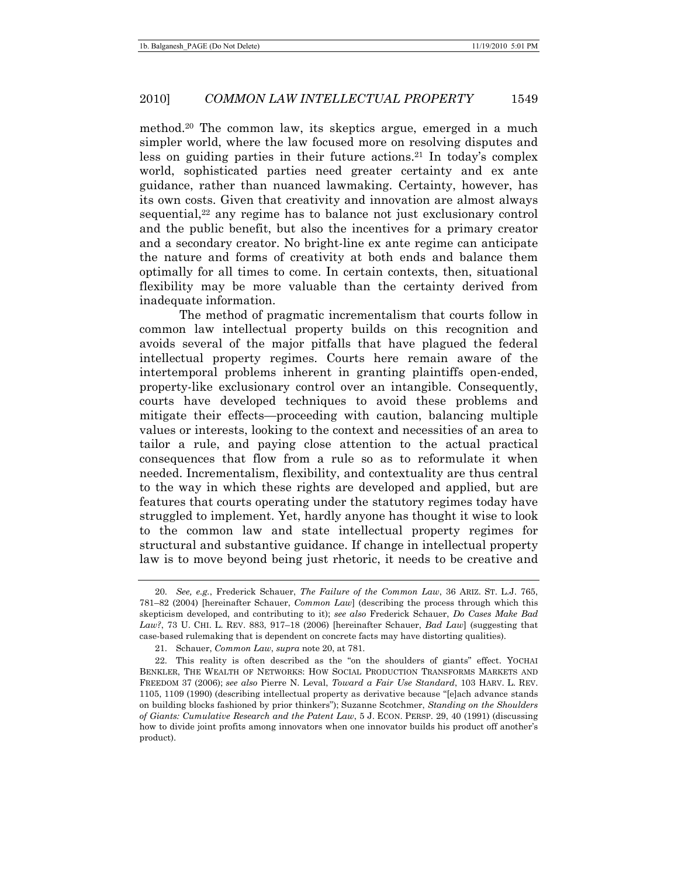method.20 The common law, its skeptics argue, emerged in a much simpler world, where the law focused more on resolving disputes and less on guiding parties in their future actions.<sup>21</sup> In today's complex world, sophisticated parties need greater certainty and ex ante guidance, rather than nuanced lawmaking. Certainty, however, has its own costs. Given that creativity and innovation are almost always sequential,<sup>22</sup> any regime has to balance not just exclusionary control and the public benefit, but also the incentives for a primary creator and a secondary creator. No bright-line ex ante regime can anticipate the nature and forms of creativity at both ends and balance them optimally for all times to come. In certain contexts, then, situational flexibility may be more valuable than the certainty derived from inadequate information.

The method of pragmatic incrementalism that courts follow in common law intellectual property builds on this recognition and avoids several of the major pitfalls that have plagued the federal intellectual property regimes. Courts here remain aware of the intertemporal problems inherent in granting plaintiffs open-ended, property-like exclusionary control over an intangible. Consequently, courts have developed techniques to avoid these problems and mitigate their effects—proceeding with caution, balancing multiple values or interests, looking to the context and necessities of an area to tailor a rule, and paying close attention to the actual practical consequences that flow from a rule so as to reformulate it when needed. Incrementalism, flexibility, and contextuality are thus central to the way in which these rights are developed and applied, but are features that courts operating under the statutory regimes today have struggled to implement. Yet, hardly anyone has thought it wise to look to the common law and state intellectual property regimes for structural and substantive guidance. If change in intellectual property law is to move beyond being just rhetoric, it needs to be creative and

<sup>20.</sup> *See, e.g.*, Frederick Schauer, *The Failure of the Common Law*, 36 ARIZ. ST. L.J. 765, 781–82 (2004) [hereinafter Schauer, *Common Law*] (describing the process through which this skepticism developed, and contributing to it); *see also* Frederick Schauer, *Do Cases Make Bad Law?*, 73 U. CHI. L. REV. 883, 917–18 (2006) [hereinafter Schauer, *Bad Law*] (suggesting that case-based rulemaking that is dependent on concrete facts may have distorting qualities).

 <sup>21.</sup> Schauer, *Common Law*, *supra* note 20, at 781.

 <sup>22.</sup> This reality is often described as the "on the shoulders of giants" effect. YOCHAI BENKLER, THE WEALTH OF NETWORKS: HOW SOCIAL PRODUCTION TRANSFORMS MARKETS AND FREEDOM 37 (2006); *see also* Pierre N. Leval, *Toward a Fair Use Standard*, 103 HARV. L. REV. 1105, 1109 (1990) (describing intellectual property as derivative because "[e]ach advance stands on building blocks fashioned by prior thinkers"); Suzanne Scotchmer, *Standing on the Shoulders of Giants: Cumulative Research and the Patent Law*, 5 J. ECON. PERSP. 29, 40 (1991) (discussing how to divide joint profits among innovators when one innovator builds his product off another's product).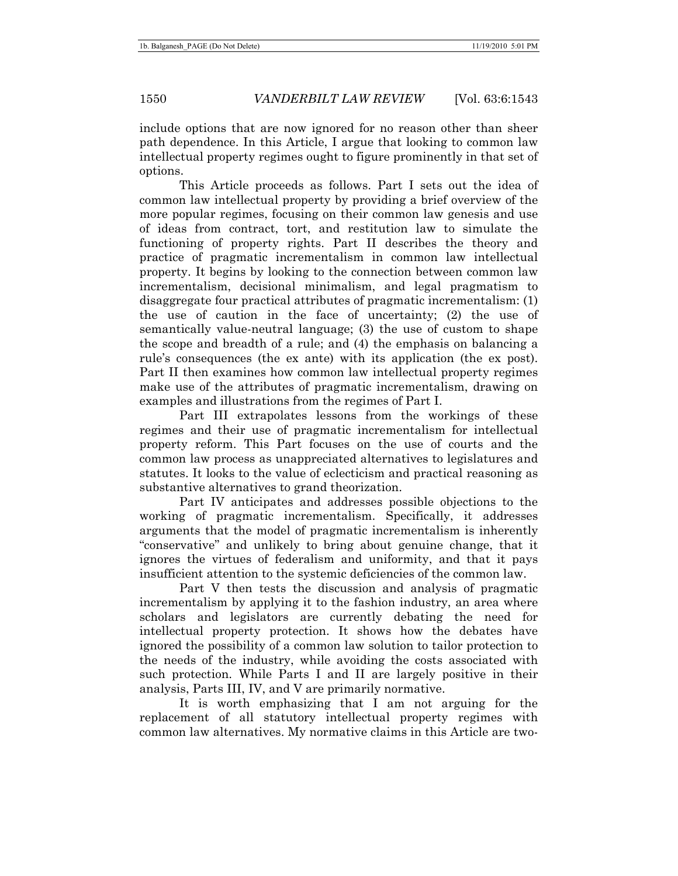include options that are now ignored for no reason other than sheer path dependence. In this Article, I argue that looking to common law intellectual property regimes ought to figure prominently in that set of options.

This Article proceeds as follows. Part I sets out the idea of common law intellectual property by providing a brief overview of the more popular regimes, focusing on their common law genesis and use of ideas from contract, tort, and restitution law to simulate the functioning of property rights. Part II describes the theory and practice of pragmatic incrementalism in common law intellectual property. It begins by looking to the connection between common law incrementalism, decisional minimalism, and legal pragmatism to disaggregate four practical attributes of pragmatic incrementalism: (1) the use of caution in the face of uncertainty; (2) the use of semantically value-neutral language; (3) the use of custom to shape the scope and breadth of a rule; and (4) the emphasis on balancing a rule's consequences (the ex ante) with its application (the ex post). Part II then examines how common law intellectual property regimes make use of the attributes of pragmatic incrementalism, drawing on examples and illustrations from the regimes of Part I.

Part III extrapolates lessons from the workings of these regimes and their use of pragmatic incrementalism for intellectual property reform. This Part focuses on the use of courts and the common law process as unappreciated alternatives to legislatures and statutes. It looks to the value of eclecticism and practical reasoning as substantive alternatives to grand theorization.

Part IV anticipates and addresses possible objections to the working of pragmatic incrementalism. Specifically, it addresses arguments that the model of pragmatic incrementalism is inherently "conservative" and unlikely to bring about genuine change, that it ignores the virtues of federalism and uniformity, and that it pays insufficient attention to the systemic deficiencies of the common law.

Part V then tests the discussion and analysis of pragmatic incrementalism by applying it to the fashion industry, an area where scholars and legislators are currently debating the need for intellectual property protection. It shows how the debates have ignored the possibility of a common law solution to tailor protection to the needs of the industry, while avoiding the costs associated with such protection. While Parts I and II are largely positive in their analysis, Parts III, IV, and V are primarily normative.

It is worth emphasizing that I am not arguing for the replacement of all statutory intellectual property regimes with common law alternatives. My normative claims in this Article are two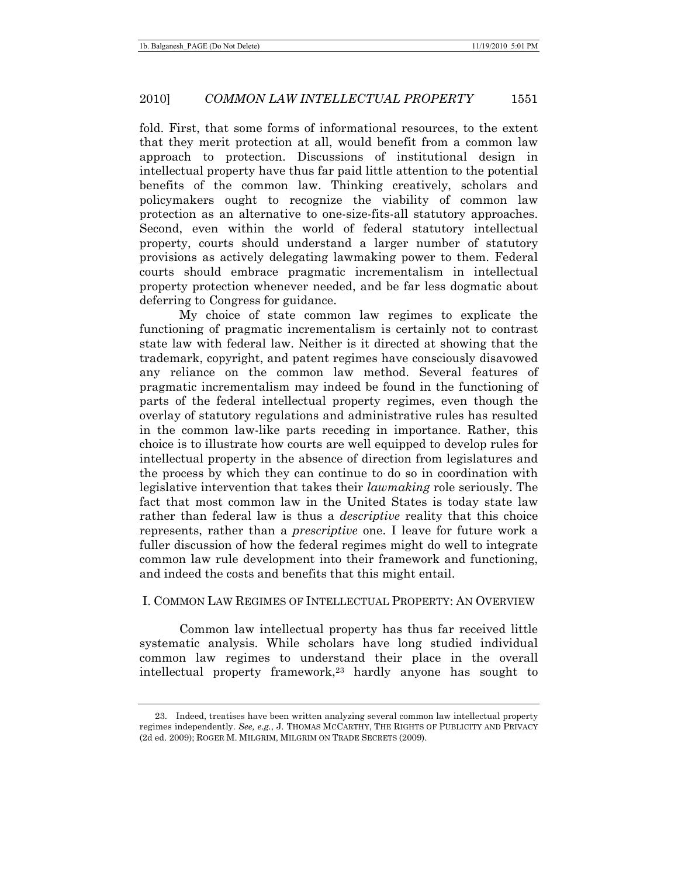fold. First, that some forms of informational resources, to the extent that they merit protection at all, would benefit from a common law approach to protection. Discussions of institutional design in intellectual property have thus far paid little attention to the potential benefits of the common law. Thinking creatively, scholars and policymakers ought to recognize the viability of common law protection as an alternative to one-size-fits-all statutory approaches. Second, even within the world of federal statutory intellectual property, courts should understand a larger number of statutory provisions as actively delegating lawmaking power to them. Federal courts should embrace pragmatic incrementalism in intellectual property protection whenever needed, and be far less dogmatic about deferring to Congress for guidance.

My choice of state common law regimes to explicate the functioning of pragmatic incrementalism is certainly not to contrast state law with federal law. Neither is it directed at showing that the trademark, copyright, and patent regimes have consciously disavowed any reliance on the common law method. Several features of pragmatic incrementalism may indeed be found in the functioning of parts of the federal intellectual property regimes, even though the overlay of statutory regulations and administrative rules has resulted in the common law-like parts receding in importance. Rather, this choice is to illustrate how courts are well equipped to develop rules for intellectual property in the absence of direction from legislatures and the process by which they can continue to do so in coordination with legislative intervention that takes their *lawmaking* role seriously. The fact that most common law in the United States is today state law rather than federal law is thus a *descriptive* reality that this choice represents, rather than a *prescriptive* one. I leave for future work a fuller discussion of how the federal regimes might do well to integrate common law rule development into their framework and functioning, and indeed the costs and benefits that this might entail.

# I. COMMON LAW REGIMES OF INTELLECTUAL PROPERTY: AN OVERVIEW

Common law intellectual property has thus far received little systematic analysis. While scholars have long studied individual common law regimes to understand their place in the overall intellectual property framework,<sup>23</sup> hardly anyone has sought to

 <sup>23.</sup> Indeed, treatises have been written analyzing several common law intellectual property regimes independently. *See, e.g.*, J. THOMAS MCCARTHY, THE RIGHTS OF PUBLICITY AND PRIVACY (2d ed. 2009); ROGER M. MILGRIM, MILGRIM ON TRADE SECRETS (2009).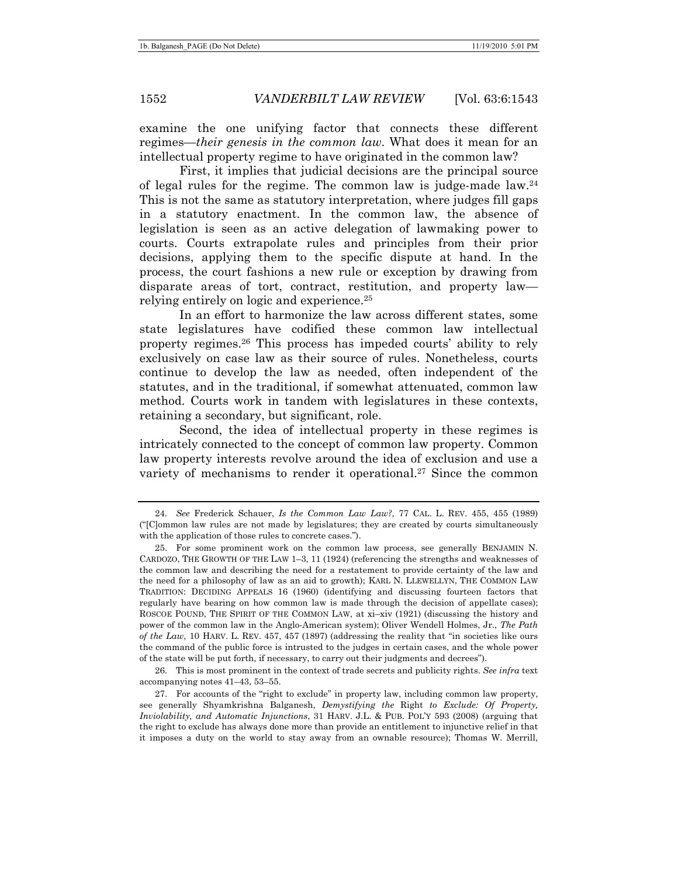examine the one unifying factor that connects these different regimes—*their genesis in the common law*. What does it mean for an intellectual property regime to have originated in the common law?

First, it implies that judicial decisions are the principal source of legal rules for the regime. The common law is judge-made law.24 This is not the same as statutory interpretation, where judges fill gaps in a statutory enactment. In the common law, the absence of legislation is seen as an active delegation of lawmaking power to courts. Courts extrapolate rules and principles from their prior decisions, applying them to the specific dispute at hand. In the process, the court fashions a new rule or exception by drawing from disparate areas of tort, contract, restitution, and property law relying entirely on logic and experience.25

In an effort to harmonize the law across different states, some state legislatures have codified these common law intellectual property regimes.26 This process has impeded courts' ability to rely exclusively on case law as their source of rules. Nonetheless, courts continue to develop the law as needed, often independent of the statutes, and in the traditional, if somewhat attenuated, common law method. Courts work in tandem with legislatures in these contexts, retaining a secondary, but significant, role.

Second, the idea of intellectual property in these regimes is intricately connected to the concept of common law property. Common law property interests revolve around the idea of exclusion and use a variety of mechanisms to render it operational.<sup>27</sup> Since the common

 26. This is most prominent in the context of trade secrets and publicity rights. *See infra* text accompanying notes 41–43, 53–55.

<sup>24.</sup> *See* Frederick Schauer, *Is the Common Law Law?*, 77 CAL. L. REV. 455, 455 (1989) ("[C]ommon law rules are not made by legislatures; they are created by courts simultaneously with the application of those rules to concrete cases.").

 <sup>25.</sup> For some prominent work on the common law process, see generally BENJAMIN N. CARDOZO, THE GROWTH OF THE LAW 1–3, 11 (1924) (referencing the strengths and weaknesses of the common law and describing the need for a restatement to provide certainty of the law and the need for a philosophy of law as an aid to growth); KARL N. LLEWELLYN, THE COMMON LAW TRADITION: DECIDING APPEALS 16 (1960) (identifying and discussing fourteen factors that regularly have bearing on how common law is made through the decision of appellate cases); ROSCOE POUND, THE SPIRIT OF THE COMMON LAW, at xi-xiv (1921) (discussing the history and power of the common law in the Anglo-American system); Oliver Wendell Holmes, Jr., *The Path of the Law*, 10 HARV. L. REV. 457, 457 (1897) (addressing the reality that "in societies like ours the command of the public force is intrusted to the judges in certain cases, and the whole power of the state will be put forth, if necessary, to carry out their judgments and decrees").

 <sup>27.</sup> For accounts of the "right to exclude" in property law, including common law property, see generally Shyamkrishna Balganesh, *Demystifying the* Right *to Exclude: Of Property, Inviolability, and Automatic Injunctions*, 31 HARV. J.L. & PUB. POL'Y 593 (2008) (arguing that the right to exclude has always done more than provide an entitlement to injunctive relief in that it imposes a duty on the world to stay away from an ownable resource); Thomas W. Merrill,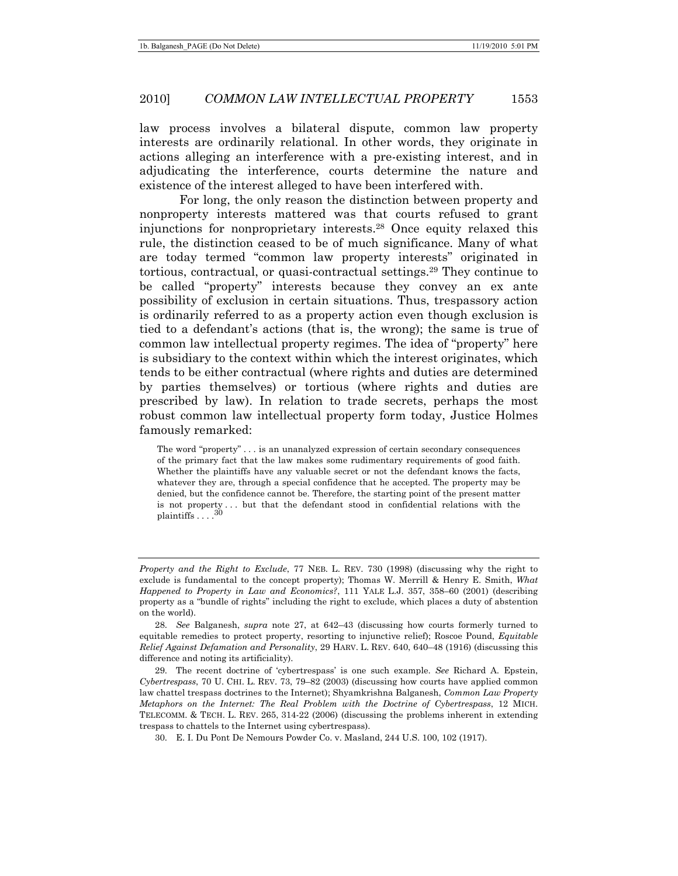law process involves a bilateral dispute, common law property interests are ordinarily relational. In other words, they originate in actions alleging an interference with a pre-existing interest, and in adjudicating the interference, courts determine the nature and existence of the interest alleged to have been interfered with.

For long, the only reason the distinction between property and nonproperty interests mattered was that courts refused to grant injunctions for nonproprietary interests.28 Once equity relaxed this rule, the distinction ceased to be of much significance. Many of what are today termed "common law property interests" originated in tortious, contractual, or quasi-contractual settings.29 They continue to be called "property" interests because they convey an ex ante possibility of exclusion in certain situations. Thus, trespassory action is ordinarily referred to as a property action even though exclusion is tied to a defendant's actions (that is, the wrong); the same is true of common law intellectual property regimes. The idea of "property" here is subsidiary to the context within which the interest originates, which tends to be either contractual (where rights and duties are determined by parties themselves) or tortious (where rights and duties are prescribed by law). In relation to trade secrets, perhaps the most robust common law intellectual property form today, Justice Holmes famously remarked:

The word "property" . . . is an unanalyzed expression of certain secondary consequences of the primary fact that the law makes some rudimentary requirements of good faith. Whether the plaintiffs have any valuable secret or not the defendant knows the facts, whatever they are, through a special confidence that he accepted. The property may be denied, but the confidence cannot be. Therefore, the starting point of the present matter is not property . . . but that the defendant stood in confidential relations with the plaintiffs . . . .<sup>30</sup>

*Property and the Right to Exclude*, 77 NEB. L. REV. 730 (1998) (discussing why the right to exclude is fundamental to the concept property); Thomas W. Merrill & Henry E. Smith, *What Happened to Property in Law and Economics?*, 111 YALE L.J. 357, 358–60 (2001) (describing property as a "bundle of rights" including the right to exclude, which places a duty of abstention on the world).

<sup>28.</sup> *See* Balganesh, *supra* note 27, at 642–43 (discussing how courts formerly turned to equitable remedies to protect property, resorting to injunctive relief); Roscoe Pound, *Equitable Relief Against Defamation and Personality*, 29 HARV. L. REV. 640, 640–48 (1916) (discussing this difference and noting its artificiality).

 <sup>29.</sup> The recent doctrine of 'cybertrespass' is one such example. *See* Richard A. Epstein, *Cybertrespass*, 70 U. CHI. L. REV. 73, 79–82 (2003) (discussing how courts have applied common law chattel trespass doctrines to the Internet); Shyamkrishna Balganesh, *Common Law Property Metaphors on the Internet: The Real Problem with the Doctrine of Cybertrespass*, 12 MICH. TELECOMM. & TECH. L. REV. 265, 314-22 (2006) (discussing the problems inherent in extending trespass to chattels to the Internet using cybertrespass).

 <sup>30.</sup> E. I. Du Pont De Nemours Powder Co. v. Masland, 244 U.S. 100, 102 (1917).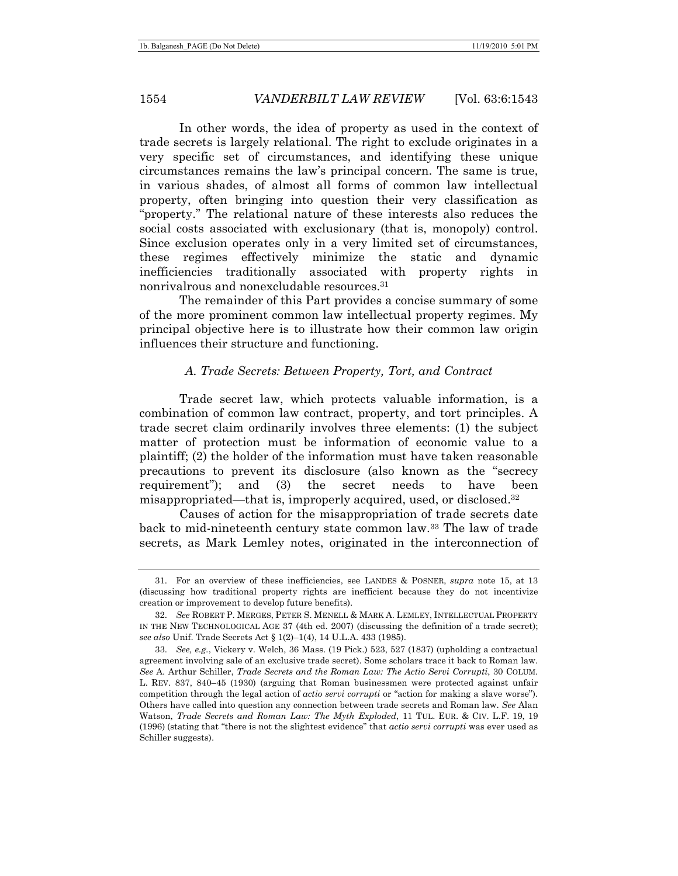In other words, the idea of property as used in the context of trade secrets is largely relational. The right to exclude originates in a very specific set of circumstances, and identifying these unique circumstances remains the law's principal concern. The same is true, in various shades, of almost all forms of common law intellectual property, often bringing into question their very classification as "property." The relational nature of these interests also reduces the social costs associated with exclusionary (that is, monopoly) control. Since exclusion operates only in a very limited set of circumstances, these regimes effectively minimize the static and dynamic inefficiencies traditionally associated with property rights in nonrivalrous and nonexcludable resources.31

The remainder of this Part provides a concise summary of some of the more prominent common law intellectual property regimes. My principal objective here is to illustrate how their common law origin influences their structure and functioning.

# *A. Trade Secrets: Between Property, Tort, and Contract*

Trade secret law, which protects valuable information, is a combination of common law contract, property, and tort principles. A trade secret claim ordinarily involves three elements: (1) the subject matter of protection must be information of economic value to a plaintiff; (2) the holder of the information must have taken reasonable precautions to prevent its disclosure (also known as the "secrecy requirement"); and (3) the secret needs to have been misappropriated—that is, improperly acquired, used, or disclosed.32

Causes of action for the misappropriation of trade secrets date back to mid-nineteenth century state common law.33 The law of trade secrets, as Mark Lemley notes, originated in the interconnection of

 <sup>31.</sup> For an overview of these inefficiencies, see LANDES & POSNER, *supra* note 15, at 13 (discussing how traditional property rights are inefficient because they do not incentivize creation or improvement to develop future benefits).

<sup>32.</sup> *See* ROBERT P. MERGES, PETER S. MENELL & MARK A. LEMLEY, INTELLECTUAL PROPERTY IN THE NEW TECHNOLOGICAL AGE 37 (4th ed. 2007) (discussing the definition of a trade secret); *see also* Unif. Trade Secrets Act § 1(2)–1(4), 14 U.L.A. 433 (1985).

<sup>33.</sup> *See, e.g.*, Vickery v. Welch, 36 Mass. (19 Pick.) 523, 527 (1837) (upholding a contractual agreement involving sale of an exclusive trade secret). Some scholars trace it back to Roman law. *See* A. Arthur Schiller, *Trade Secrets and the Roman Law: The Actio Servi Corrupti*, 30 COLUM. L. REV. 837, 840–45 (1930) (arguing that Roman businessmen were protected against unfair competition through the legal action of *actio servi corrupti* or "action for making a slave worse"). Others have called into question any connection between trade secrets and Roman law. *See* Alan Watson, *Trade Secrets and Roman Law: The Myth Exploded*, 11 TUL. EUR. & CIV. L.F. 19, 19 (1996) (stating that "there is not the slightest evidence" that *actio servi corrupti* was ever used as Schiller suggests).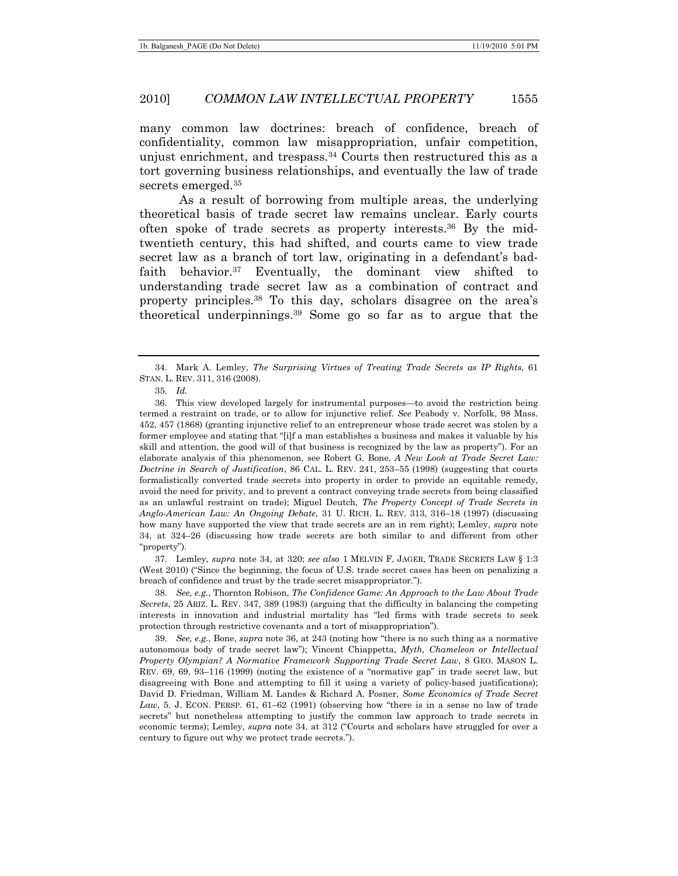many common law doctrines: breach of confidence, breach of confidentiality, common law misappropriation, unfair competition, unjust enrichment, and trespass.<sup>34</sup> Courts then restructured this as a tort governing business relationships, and eventually the law of trade secrets emerged.35

As a result of borrowing from multiple areas, the underlying theoretical basis of trade secret law remains unclear. Early courts often spoke of trade secrets as property interests.36 By the midtwentieth century, this had shifted, and courts came to view trade secret law as a branch of tort law, originating in a defendant's badfaith behavior.37 Eventually, the dominant view shifted to understanding trade secret law as a combination of contract and property principles.38 To this day, scholars disagree on the area's theoretical underpinnings.39 Some go so far as to argue that the

 37. Lemley, *supra* note 34, at 320; *see also* 1 MELVIN F, JAGER, TRADE SECRETS LAW § 1:3 (West 2010) ("Since the beginning, the focus of U.S. trade secret cases has been on penalizing a breach of confidence and trust by the trade secret misappropriator.").

38. *See, e.g.*, Thornton Robison, *The Confidence Game: An Approach to the Law About Trade Secrets*, 25 ARIZ. L. REV. 347, 389 (1983) (arguing that the difficulty in balancing the competing interests in innovation and industrial mortality has "led firms with trade secrets to seek protection through restrictive covenants and a tort of misappropriation").

39. *See, e.g.*, Bone, *supra* note 36, at 243 (noting how "there is no such thing as a normative autonomous body of trade secret law"); Vincent Chiappetta, *Myth, Chameleon or Intellectual Property Olympian? A Normative Framework Supporting Trade Secret Law*, 8 GEO. MASON L. REV. 69, 69, 93–116 (1999) (noting the existence of a "normative gap" in trade secret law, but disagreeing with Bone and attempting to fill it using a variety of policy-based justifications); David D. Friedman, William M. Landes & Richard A. Posner, *Some Economics of Trade Secret Law*, 5. J. ECON. PERSP. 61, 61–62 (1991) (observing how "there is in a sense no law of trade secrets" but nonetheless attempting to justify the common law approach to trade secrets in economic terms); Lemley, *supra* note 34, at 312 ("Courts and scholars have struggled for over a century to figure out why we protect trade secrets.").

 <sup>34.</sup> Mark A. Lemley, *The Surprising Virtues of Treating Trade Secrets as IP Rights*, 61 STAN. L. REV. 311, 316 (2008).

<sup>35.</sup> *Id.*

 <sup>36.</sup> This view developed largely for instrumental purposes—to avoid the restriction being termed a restraint on trade, or to allow for injunctive relief. *See* Peabody v. Norfolk, 98 Mass. 452, 457 (1868) (granting injunctive relief to an entrepreneur whose trade secret was stolen by a former employee and stating that "[i]f a man establishes a business and makes it valuable by his skill and attention, the good will of that business is recognized by the law as property"). For an elaborate analysis of this phenomenon, see Robert G. Bone, *A New Look at Trade Secret Law: Doctrine in Search of Justification*, 86 CAL. L. REV. 241, 253–55 (1998) (suggesting that courts formalistically converted trade secrets into property in order to provide an equitable remedy, avoid the need for privity, and to prevent a contract conveying trade secrets from being classified as an unlawful restraint on trade); Miguel Deutch, *The Property Concept of Trade Secrets in Anglo-American Law: An Ongoing Debate*, 31 U. RICH. L. REV. 313, 316–18 (1997) (discussing how many have supported the view that trade secrets are an in rem right); Lemley, *supra* note 34, at 324–26 (discussing how trade secrets are both similar to and different from other "property").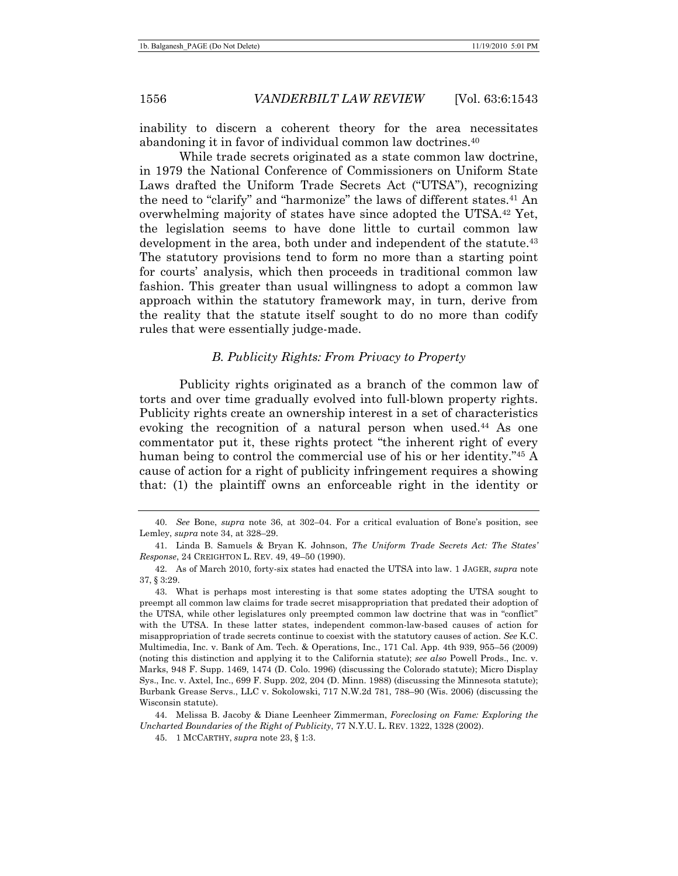inability to discern a coherent theory for the area necessitates abandoning it in favor of individual common law doctrines.40

While trade secrets originated as a state common law doctrine, in 1979 the National Conference of Commissioners on Uniform State Laws drafted the Uniform Trade Secrets Act ("UTSA"), recognizing the need to "clarify" and "harmonize" the laws of different states.<sup>41</sup> An overwhelming majority of states have since adopted the UTSA.42 Yet, the legislation seems to have done little to curtail common law development in the area, both under and independent of the statute.<sup>43</sup> The statutory provisions tend to form no more than a starting point for courts' analysis, which then proceeds in traditional common law fashion. This greater than usual willingness to adopt a common law approach within the statutory framework may, in turn, derive from the reality that the statute itself sought to do no more than codify rules that were essentially judge-made.

## *B. Publicity Rights: From Privacy to Property*

Publicity rights originated as a branch of the common law of torts and over time gradually evolved into full-blown property rights. Publicity rights create an ownership interest in a set of characteristics evoking the recognition of a natural person when used.<sup>44</sup> As one commentator put it, these rights protect "the inherent right of every human being to control the commercial use of his or her identity."45 A cause of action for a right of publicity infringement requires a showing that: (1) the plaintiff owns an enforceable right in the identity or

<sup>40.</sup> *See* Bone, *supra* note 36, at 302–04. For a critical evaluation of Bone's position, see Lemley, *supra* note 34, at 328–29.

 <sup>41.</sup> Linda B. Samuels & Bryan K. Johnson, *The Uniform Trade Secrets Act: The States' Response*, 24 CREIGHTON L. REV. 49, 49–50 (1990).

 <sup>42.</sup> As of March 2010, forty-six states had enacted the UTSA into law. 1 JAGER, *supra* note 37, § 3:29.

 <sup>43.</sup> What is perhaps most interesting is that some states adopting the UTSA sought to preempt all common law claims for trade secret misappropriation that predated their adoption of the UTSA, while other legislatures only preempted common law doctrine that was in "conflict" with the UTSA. In these latter states, independent common-law-based causes of action for misappropriation of trade secrets continue to coexist with the statutory causes of action. *See* K.C. Multimedia, Inc. v. Bank of Am. Tech. & Operations, Inc., 171 Cal. App. 4th 939, 955–56 (2009) (noting this distinction and applying it to the California statute); *see also* Powell Prods., Inc. v. Marks, 948 F. Supp. 1469, 1474 (D. Colo. 1996) (discussing the Colorado statute); Micro Display Sys., Inc. v. Axtel, Inc., 699 F. Supp. 202, 204 (D. Minn. 1988) (discussing the Minnesota statute); Burbank Grease Servs., LLC v. Sokolowski, 717 N.W.2d 781, 788–90 (Wis. 2006) (discussing the Wisconsin statute).

 <sup>44.</sup> Melissa B. Jacoby & Diane Leenheer Zimmerman, *Foreclosing on Fame: Exploring the Uncharted Boundaries of the Right of Publicity*, 77 N.Y.U. L. REV. 1322, 1328 (2002).

 <sup>45. 1</sup> MCCARTHY, *supra* note 23, § 1:3.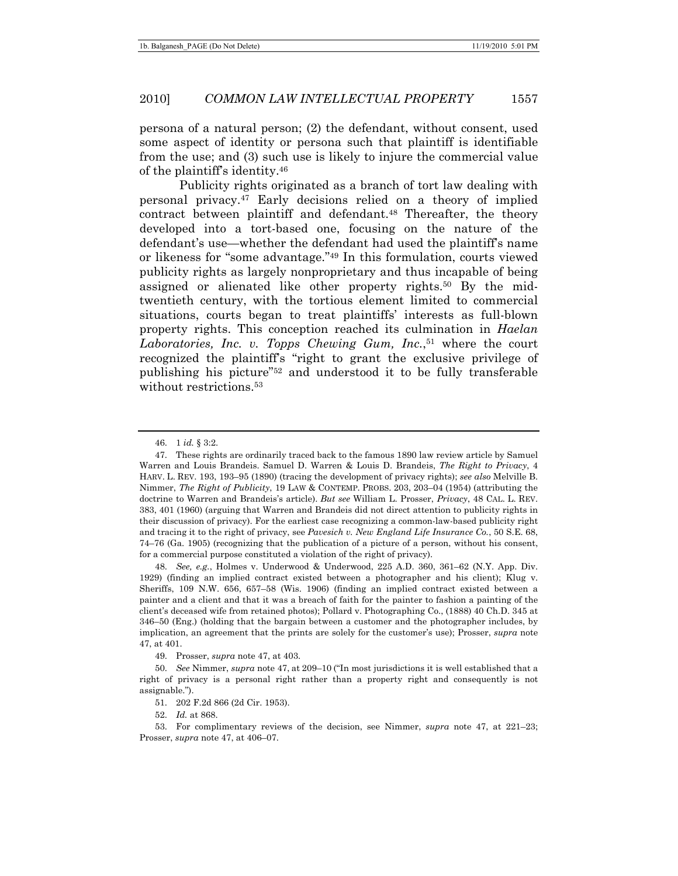persona of a natural person; (2) the defendant, without consent, used some aspect of identity or persona such that plaintiff is identifiable from the use; and (3) such use is likely to injure the commercial value of the plaintiff's identity.46

Publicity rights originated as a branch of tort law dealing with personal privacy.47 Early decisions relied on a theory of implied contract between plaintiff and defendant.48 Thereafter, the theory developed into a tort-based one, focusing on the nature of the defendant's use—whether the defendant had used the plaintiff's name or likeness for "some advantage."49 In this formulation, courts viewed publicity rights as largely nonproprietary and thus incapable of being assigned or alienated like other property rights.50 By the midtwentieth century, with the tortious element limited to commercial situations, courts began to treat plaintiffs' interests as full-blown property rights. This conception reached its culmination in *Haelan*  Laboratories, Inc. v. Topps Chewing Gum, Inc.,<sup>51</sup> where the court recognized the plaintiff's "right to grant the exclusive privilege of publishing his picture"52 and understood it to be fully transferable without restrictions.<sup>53</sup>

48. *See, e.g.*, Holmes v. Underwood & Underwood, 225 A.D. 360, 361–62 (N.Y. App. Div. 1929) (finding an implied contract existed between a photographer and his client); Klug v. Sheriffs, 109 N.W. 656, 657–58 (Wis. 1906) (finding an implied contract existed between a painter and a client and that it was a breach of faith for the painter to fashion a painting of the client's deceased wife from retained photos); Pollard v. Photographing Co., (1888) 40 Ch.D. 345 at 346–50 (Eng.) (holding that the bargain between a customer and the photographer includes, by implication, an agreement that the prints are solely for the customer's use); Prosser, *supra* note 47, at 401.

49. Prosser, *supra* note 47, at 403.

52. *Id.* at 868.

<sup>46. 1</sup> *id.* § 3:2.

 <sup>47.</sup> These rights are ordinarily traced back to the famous 1890 law review article by Samuel Warren and Louis Brandeis. Samuel D. Warren & Louis D. Brandeis, *The Right to Privacy*, 4 HARV. L. REV. 193, 193–95 (1890) (tracing the development of privacy rights); *see also* Melville B. Nimmer, *The Right of Publicity*, 19 LAW & CONTEMP. PROBS. 203, 203–04 (1954) (attributing the doctrine to Warren and Brandeis's article). *But see* William L. Prosser, *Privacy*, 48 CAL. L. REV. 383, 401 (1960) (arguing that Warren and Brandeis did not direct attention to publicity rights in their discussion of privacy). For the earliest case recognizing a common-law-based publicity right and tracing it to the right of privacy, see *Pavesich v. New England Life Insurance Co.*, 50 S.E. 68, 74–76 (Ga. 1905) (recognizing that the publication of a picture of a person, without his consent, for a commercial purpose constituted a violation of the right of privacy).

<sup>50.</sup> *See* Nimmer, *supra* note 47, at 209–10 ("In most jurisdictions it is well established that a right of privacy is a personal right rather than a property right and consequently is not assignable.").

 <sup>51. 202</sup> F.2d 866 (2d Cir. 1953).

 <sup>53.</sup> For complimentary reviews of the decision, see Nimmer, *supra* note 47, at 221–23; Prosser, *supra* note 47, at 406–07.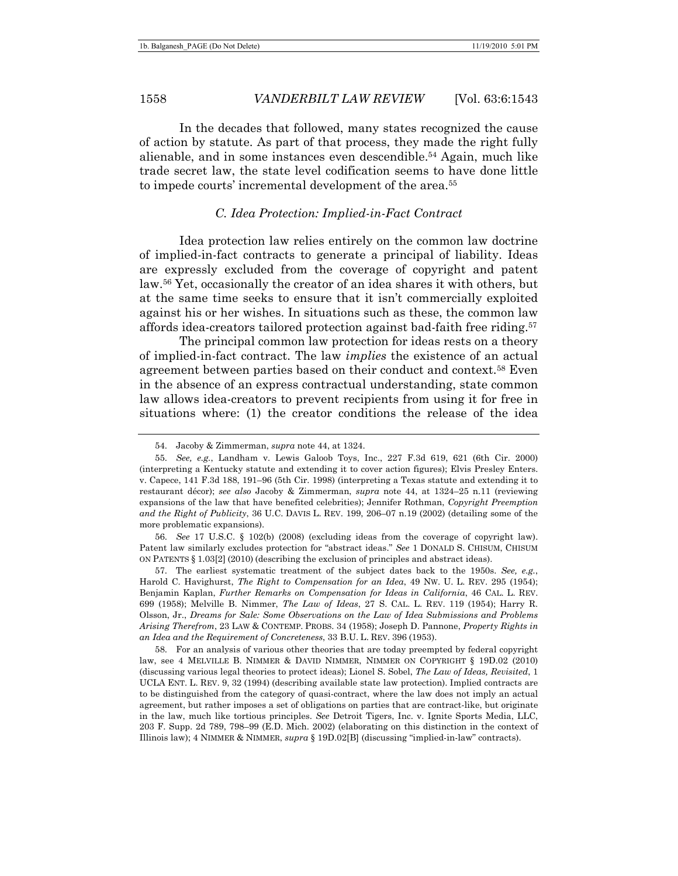In the decades that followed, many states recognized the cause of action by statute. As part of that process, they made the right fully alienable, and in some instances even descendible.54 Again, much like trade secret law, the state level codification seems to have done little to impede courts' incremental development of the area.55

## *C. Idea Protection: Implied-in-Fact Contract*

Idea protection law relies entirely on the common law doctrine of implied-in-fact contracts to generate a principal of liability. Ideas are expressly excluded from the coverage of copyright and patent law.56 Yet, occasionally the creator of an idea shares it with others, but at the same time seeks to ensure that it isn't commercially exploited against his or her wishes. In situations such as these, the common law affords idea-creators tailored protection against bad-faith free riding.57

The principal common law protection for ideas rests on a theory of implied-in-fact contract. The law *implies* the existence of an actual agreement between parties based on their conduct and context.58 Even in the absence of an express contractual understanding, state common law allows idea-creators to prevent recipients from using it for free in situations where: (1) the creator conditions the release of the idea

56. *See* 17 U.S.C. § 102(b) (2008) (excluding ideas from the coverage of copyright law). Patent law similarly excludes protection for "abstract ideas." *See* 1 DONALD S. CHISUM, CHISUM ON PATENTS § 1.03[2] (2010) (describing the exclusion of principles and abstract ideas).

 57. The earliest systematic treatment of the subject dates back to the 1950s. *See, e.g.*, Harold C. Havighurst, *The Right to Compensation for an Idea*, 49 NW. U. L. REV. 295 (1954); Benjamin Kaplan, *Further Remarks on Compensation for Ideas in California*, 46 CAL. L. REV. 699 (1958); Melville B. Nimmer, *The Law of Ideas*, 27 S. CAL. L. REV. 119 (1954); Harry R. Olsson, Jr., *Dreams for Sale: Some Observations on the Law of Idea Submissions and Problems Arising Therefrom*, 23 LAW & CONTEMP. PROBS. 34 (1958); Joseph D. Pannone, *Property Rights in an Idea and the Requirement of Concreteness*, 33 B.U. L. REV. 396 (1953).

 58. For an analysis of various other theories that are today preempted by federal copyright law, see 4 MELVILLE B. NIMMER & DAVID NIMMER, NIMMER ON COPYRIGHT § 19D.02 (2010) (discussing various legal theories to protect ideas); Lionel S. Sobel, *The Law of Ideas, Revisited*, 1 UCLA ENT. L. REV. 9, 32 (1994) (describing available state law protection). Implied contracts are to be distinguished from the category of quasi-contract, where the law does not imply an actual agreement, but rather imposes a set of obligations on parties that are contract-like, but originate in the law, much like tortious principles. *See* Detroit Tigers, Inc. v. Ignite Sports Media, LLC, 203 F. Supp. 2d 789, 798–99 (E.D. Mich. 2002) (elaborating on this distinction in the context of Illinois law); 4 NIMMER & NIMMER, *supra* § 19D.02[B] (discussing "implied-in-law" contracts).

 <sup>54.</sup> Jacoby & Zimmerman, *supra* note 44, at 1324.

<sup>55.</sup> *See, e.g.*, Landham v. Lewis Galoob Toys, Inc., 227 F.3d 619, 621 (6th Cir. 2000) (interpreting a Kentucky statute and extending it to cover action figures); Elvis Presley Enters. v. Capece, 141 F.3d 188, 191–96 (5th Cir. 1998) (interpreting a Texas statute and extending it to restaurant décor); *see also* Jacoby & Zimmerman, *supra* note 44, at 1324–25 n.11 (reviewing expansions of the law that have benefited celebrities); Jennifer Rothman, *Copyright Preemption and the Right of Publicity*, 36 U.C. DAVIS L. REV. 199, 206–07 n.19 (2002) (detailing some of the more problematic expansions).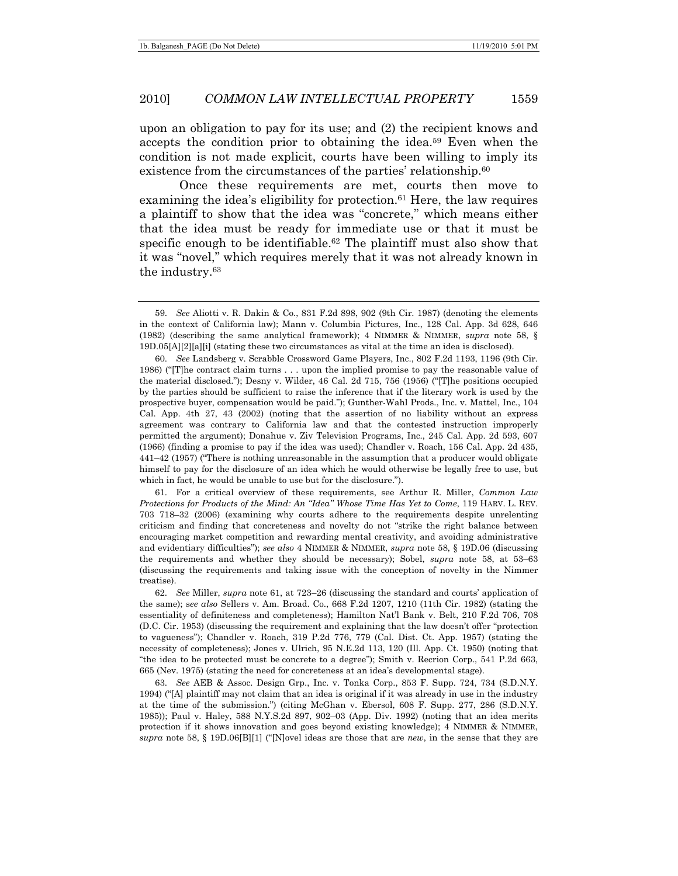upon an obligation to pay for its use; and (2) the recipient knows and accepts the condition prior to obtaining the idea.59 Even when the condition is not made explicit, courts have been willing to imply its existence from the circumstances of the parties' relationship.<sup>60</sup>

Once these requirements are met, courts then move to examining the idea's eligibility for protection.<sup> $61$ </sup> Here, the law requires a plaintiff to show that the idea was "concrete," which means either that the idea must be ready for immediate use or that it must be specific enough to be identifiable.<sup>62</sup> The plaintiff must also show that it was "novel," which requires merely that it was not already known in the industry.63

 61. For a critical overview of these requirements, see Arthur R. Miller, *Common Law Protections for Products of the Mind: An "Idea" Whose Time Has Yet to Come*, 119 HARV. L. REV. 703 718–32 (2006) (examining why courts adhere to the requirements despite unrelenting criticism and finding that concreteness and novelty do not "strike the right balance between encouraging market competition and rewarding mental creativity, and avoiding administrative and evidentiary difficulties"); *see also* 4 NIMMER & NIMMER, *supra* note 58, § 19D.06 (discussing the requirements and whether they should be necessary); Sobel, *supra* note 58, at 53–63 (discussing the requirements and taking issue with the conception of novelty in the Nimmer treatise).

63. *See* AEB & Assoc. Design Grp., Inc. v. Tonka Corp., 853 F. Supp. 724, 734 (S.D.N.Y. 1994) ("[A] plaintiff may not claim that an idea is original if it was already in use in the industry at the time of the submission.") (citing McGhan v. Ebersol, 608 F. Supp. 277, 286 (S.D.N.Y. 1985)); Paul v. Haley, 588 N.Y.S.2d 897, 902–03 (App. Div. 1992) (noting that an idea merits protection if it shows innovation and goes beyond existing knowledge); 4 NIMMER & NIMMER, *supra* note 58, § 19D.06[B][1] ("[N]ovel ideas are those that are *new*, in the sense that they are

<sup>59.</sup> *See* Aliotti v. R. Dakin & Co., 831 F.2d 898, 902 (9th Cir. 1987) (denoting the elements in the context of California law); Mann v. Columbia Pictures, Inc., 128 Cal. App. 3d 628, 646 (1982) (describing the same analytical framework); 4 NIMMER & NIMMER, *supra* note 58, § 19D.05[A][2][a][i] (stating these two circumstances as vital at the time an idea is disclosed).

<sup>60.</sup> *See* Landsberg v. Scrabble Crossword Game Players, Inc., 802 F.2d 1193, 1196 (9th Cir. 1986) ("[T]he contract claim turns . . . upon the implied promise to pay the reasonable value of the material disclosed."); Desny v. Wilder, 46 Cal. 2d 715, 756 (1956) ("[T]he positions occupied by the parties should be sufficient to raise the inference that if the literary work is used by the prospective buyer, compensation would be paid."); Gunther-Wahl Prods., Inc. v. Mattel, Inc., 104 Cal. App. 4th 27, 43 (2002) (noting that the assertion of no liability without an express agreement was contrary to California law and that the contested instruction improperly permitted the argument); Donahue v. Ziv Television Programs, Inc., 245 Cal. App. 2d 593, 607 (1966) (finding a promise to pay if the idea was used); Chandler v. Roach, 156 Cal. App. 2d 435, 441–42 (1957) ("There is nothing unreasonable in the assumption that a producer would obligate himself to pay for the disclosure of an idea which he would otherwise be legally free to use, but which in fact, he would be unable to use but for the disclosure.").

<sup>62.</sup> *See* Miller, *supra* note 61, at 723–26 (discussing the standard and courts' application of the same); s*ee also* Sellers v. Am. Broad. Co., 668 F.2d 1207, 1210 (11th Cir. 1982) (stating the essentiality of definiteness and completeness); Hamilton Nat'l Bank v. Belt, 210 F.2d 706, 708 (D.C. Cir. 1953) (discussing the requirement and explaining that the law doesn't offer "protection to vagueness"); Chandler v. Roach, 319 P.2d 776, 779 (Cal. Dist. Ct. App. 1957) (stating the necessity of completeness); Jones v. Ulrich, 95 N.E.2d 113, 120 (Ill. App. Ct. 1950) (noting that "the idea to be protected must be concrete to a degree"); Smith v. Recrion Corp., 541 P.2d 663, 665 (Nev. 1975) (stating the need for concreteness at an idea's developmental stage).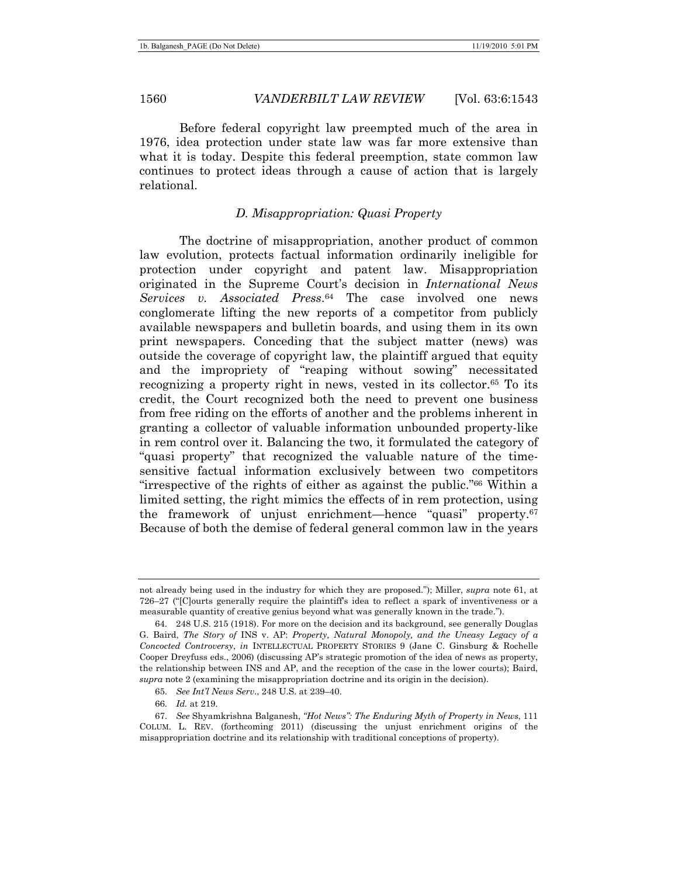Before federal copyright law preempted much of the area in 1976, idea protection under state law was far more extensive than what it is today. Despite this federal preemption, state common law continues to protect ideas through a cause of action that is largely relational.

# *D. Misappropriation: Quasi Property*

The doctrine of misappropriation, another product of common law evolution, protects factual information ordinarily ineligible for protection under copyright and patent law. Misappropriation originated in the Supreme Court's decision in *International News Services v. Associated Press*.64 The case involved one news conglomerate lifting the new reports of a competitor from publicly available newspapers and bulletin boards, and using them in its own print newspapers. Conceding that the subject matter (news) was outside the coverage of copyright law, the plaintiff argued that equity and the impropriety of "reaping without sowing" necessitated recognizing a property right in news, vested in its collector.65 To its credit, the Court recognized both the need to prevent one business from free riding on the efforts of another and the problems inherent in granting a collector of valuable information unbounded property-like in rem control over it. Balancing the two, it formulated the category of "quasi property" that recognized the valuable nature of the timesensitive factual information exclusively between two competitors "irrespective of the rights of either as against the public."66 Within a limited setting, the right mimics the effects of in rem protection, using the framework of unjust enrichment—hence "quasi" property.67 Because of both the demise of federal general common law in the years

not already being used in the industry for which they are proposed."); Miller, *supra* note 61, at 726–27 ("[C]ourts generally require the plaintiff's idea to reflect a spark of inventiveness or a measurable quantity of creative genius beyond what was generally known in the trade.").

 <sup>64. 248</sup> U.S. 215 (1918). For more on the decision and its background, see generally Douglas G. Baird, *The Story of* INS v. AP: *Property, Natural Monopoly, and the Uneasy Legacy of a Concocted Controversy*, *in* INTELLECTUAL PROPERTY STORIES 9 (Jane C. Ginsburg & Rochelle Cooper Dreyfuss eds., 2006) (discussing AP's strategic promotion of the idea of news as property, the relationship between INS and AP, and the reception of the case in the lower courts); Baird, *supra* note 2 (examining the misappropriation doctrine and its origin in the decision).

<sup>65.</sup> *See Int'l News Serv*., 248 U.S. at 239–40.

<sup>66.</sup> *Id.* at 219.

 <sup>67.</sup> *See* Shyamkrishna Balganesh, *"Hot News": The Enduring Myth of Property in News*, 111 COLUM. L. REV. (forthcoming 2011) (discussing the unjust enrichment origins of the misappropriation doctrine and its relationship with traditional conceptions of property).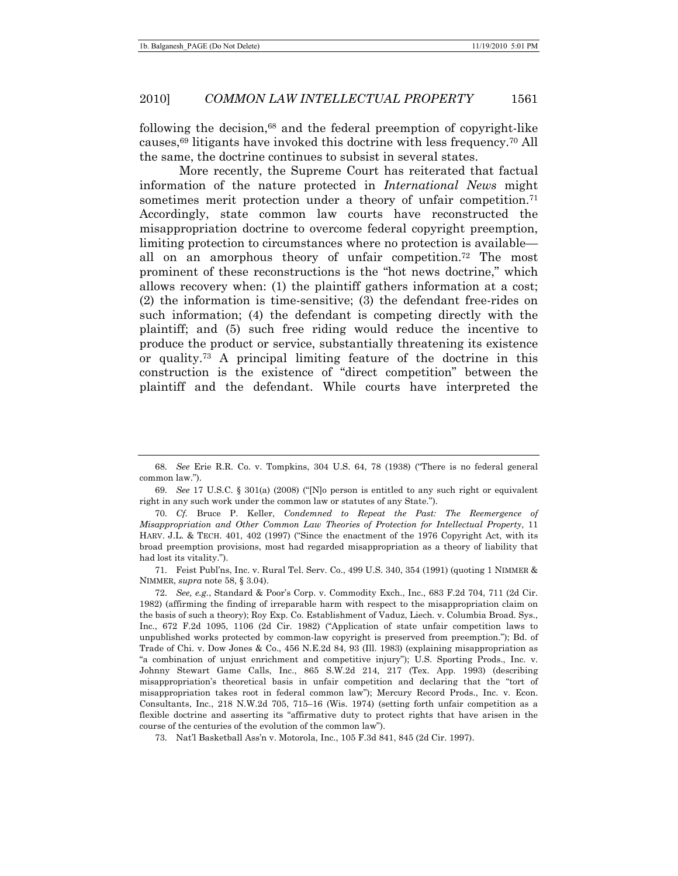following the decision,68 and the federal preemption of copyright-like causes,69 litigants have invoked this doctrine with less frequency.70 All the same, the doctrine continues to subsist in several states.

More recently, the Supreme Court has reiterated that factual information of the nature protected in *International News* might sometimes merit protection under a theory of unfair competition.<sup>71</sup> Accordingly, state common law courts have reconstructed the misappropriation doctrine to overcome federal copyright preemption, limiting protection to circumstances where no protection is available all on an amorphous theory of unfair competition.<sup>72</sup> The most prominent of these reconstructions is the "hot news doctrine," which allows recovery when: (1) the plaintiff gathers information at a cost; (2) the information is time-sensitive; (3) the defendant free-rides on such information; (4) the defendant is competing directly with the plaintiff; and (5) such free riding would reduce the incentive to produce the product or service, substantially threatening its existence or quality.73 A principal limiting feature of the doctrine in this construction is the existence of "direct competition" between the plaintiff and the defendant. While courts have interpreted the

69. *See* 17 U.S.C. § 301(a) (2008) ("[N]o person is entitled to any such right or equivalent right in any such work under the common law or statutes of any State.").

 71. Feist Publ'ns, Inc. v. Rural Tel. Serv. Co., 499 U.S. 340, 354 (1991) (quoting 1 NIMMER & NIMMER, *supra* note 58, § 3.04).

73. Nat'l Basketball Ass'n v. Motorola, Inc., 105 F.3d 841, 845 (2d Cir. 1997).

<sup>68.</sup> *See* Erie R.R. Co. v. Tompkins, 304 U.S. 64, 78 (1938) ("There is no federal general common law.").

<sup>70.</sup> *Cf.* Bruce P. Keller, *Condemned to Repeat the Past: The Reemergence of Misappropriation and Other Common Law Theories of Protection for Intellectual Property*, 11 HARV. J.L. & TECH. 401, 402 (1997) ("Since the enactment of the 1976 Copyright Act, with its broad preemption provisions, most had regarded misappropriation as a theory of liability that had lost its vitality.").

<sup>72.</sup> *See, e.g.*, Standard & Poor's Corp. v. Commodity Exch., Inc., 683 F.2d 704, 711 (2d Cir. 1982) (affirming the finding of irreparable harm with respect to the misappropriation claim on the basis of such a theory); Roy Exp. Co. Establishment of Vaduz, Liech. v. Columbia Broad. Sys., Inc., 672 F.2d 1095, 1106 (2d Cir. 1982) ("Application of state unfair competition laws to unpublished works protected by common-law copyright is preserved from preemption."); Bd. of Trade of Chi. v. Dow Jones & Co., 456 N.E.2d 84, 93 (Ill. 1983) (explaining misappropriation as "a combination of unjust enrichment and competitive injury"); U.S. Sporting Prods., Inc. v. Johnny Stewart Game Calls, Inc., 865 S.W.2d 214, 217 (Tex. App. 1993) (describing misappropriation's theoretical basis in unfair competition and declaring that the "tort of misappropriation takes root in federal common law"); Mercury Record Prods., Inc. v. Econ. Consultants, Inc., 218 N.W.2d 705, 715–16 (Wis. 1974) (setting forth unfair competition as a flexible doctrine and asserting its "affirmative duty to protect rights that have arisen in the course of the centuries of the evolution of the common law").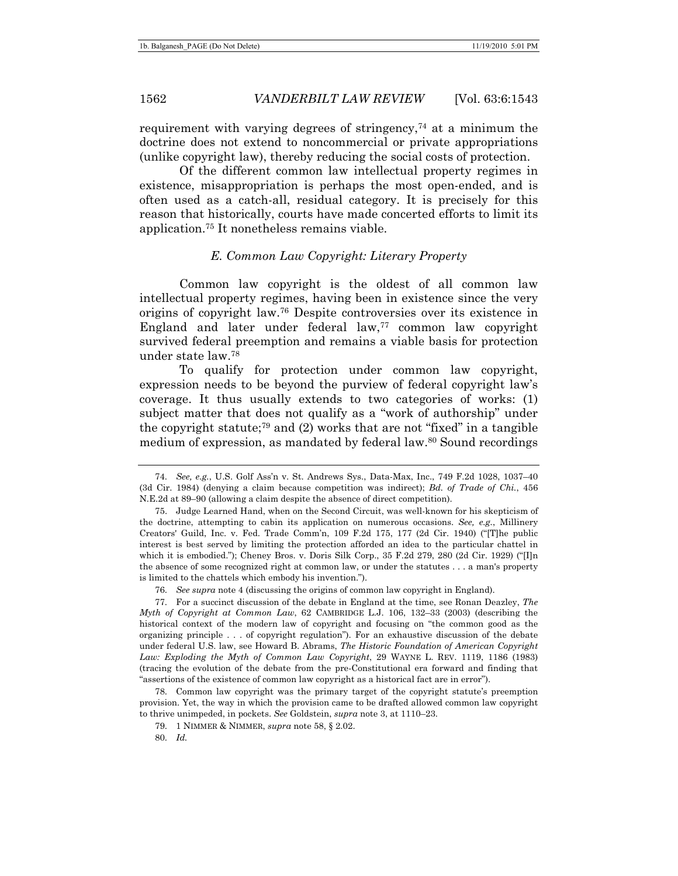requirement with varying degrees of stringency,<sup> $74$ </sup> at a minimum the doctrine does not extend to noncommercial or private appropriations (unlike copyright law), thereby reducing the social costs of protection.

Of the different common law intellectual property regimes in existence, misappropriation is perhaps the most open-ended, and is often used as a catch-all, residual category. It is precisely for this reason that historically, courts have made concerted efforts to limit its application.75 It nonetheless remains viable.

#### *E. Common Law Copyright: Literary Property*

Common law copyright is the oldest of all common law intellectual property regimes, having been in existence since the very origins of copyright law.76 Despite controversies over its existence in England and later under federal  $law$ ,<sup>77</sup> common law copyright survived federal preemption and remains a viable basis for protection under state law.78

To qualify for protection under common law copyright, expression needs to be beyond the purview of federal copyright law's coverage. It thus usually extends to two categories of works: (1) subject matter that does not qualify as a "work of authorship" under the copyright statute;79 and (2) works that are not "fixed" in a tangible medium of expression, as mandated by federal law.80 Sound recordings

<sup>74.</sup> *See, e.g.*, U.S. Golf Ass'n v. St. Andrews Sys., Data-Max, Inc., 749 F.2d 1028, 1037–40 (3d Cir. 1984) (denying a claim because competition was indirect); *Bd. of Trade of Chi.*, 456 N.E.2d at 89–90 (allowing a claim despite the absence of direct competition).

 <sup>75.</sup> Judge Learned Hand, when on the Second Circuit, was well-known for his skepticism of the doctrine, attempting to cabin its application on numerous occasions. *See, e.g.*, Millinery Creators' Guild, Inc. v. Fed. Trade Comm'n, 109 F.2d 175, 177 (2d Cir. 1940) ("[T]he public interest is best served by limiting the protection afforded an idea to the particular chattel in which it is embodied."); Cheney Bros. v. Doris Silk Corp., 35 F.2d 279, 280 (2d Cir. 1929) ("[I]n the absence of some recognized right at common law, or under the statutes . . . a man's property is limited to the chattels which embody his invention.").

<sup>76.</sup> *See supra* note 4 (discussing the origins of common law copyright in England).

 <sup>77.</sup> For a succinct discussion of the debate in England at the time, see Ronan Deazley, *The Myth of Copyright at Common Law*, 62 CAMBRIDGE L.J. 106, 132–33 (2003) (describing the historical context of the modern law of copyright and focusing on "the common good as the organizing principle . . . of copyright regulation"). For an exhaustive discussion of the debate under federal U.S. law, see Howard B. Abrams, *The Historic Foundation of American Copyright Law: Exploding the Myth of Common Law Copyright*, 29 WAYNE L. REV. 1119, 1186 (1983) (tracing the evolution of the debate from the pre-Constitutional era forward and finding that "assertions of the existence of common law copyright as a historical fact are in error").

 <sup>78.</sup> Common law copyright was the primary target of the copyright statute's preemption provision. Yet, the way in which the provision came to be drafted allowed common law copyright to thrive unimpeded, in pockets. *See* Goldstein, *supra* note 3, at 1110–23.

 <sup>79. 1</sup> NIMMER & NIMMER, *supra* note 58, § 2.02.

<sup>80.</sup> *Id.*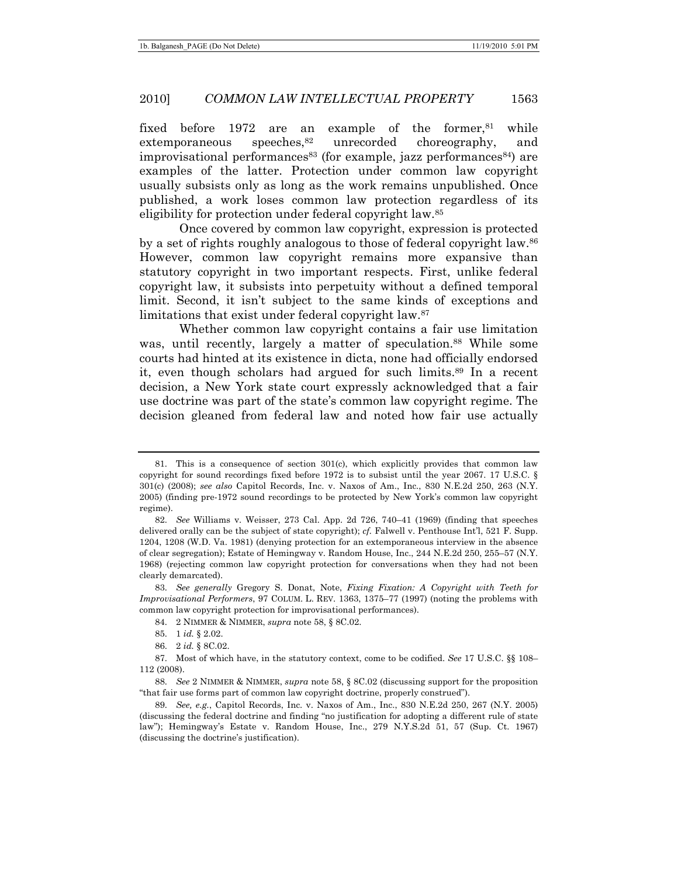#### 2010] *COMMON LAW INTELLECTUAL PROPERTY* 1563

fixed before 1972 are an example of the former, $81$  while extemporaneous speeches,<sup>82</sup> unrecorded choreography, and improvisational performances<sup>83</sup> (for example, jazz performances<sup>84</sup>) are examples of the latter. Protection under common law copyright usually subsists only as long as the work remains unpublished. Once published, a work loses common law protection regardless of its eligibility for protection under federal copyright law.85

Once covered by common law copyright, expression is protected by a set of rights roughly analogous to those of federal copyright law.86 However, common law copyright remains more expansive than statutory copyright in two important respects. First, unlike federal copyright law, it subsists into perpetuity without a defined temporal limit. Second, it isn't subject to the same kinds of exceptions and limitations that exist under federal copyright law.87

Whether common law copyright contains a fair use limitation was, until recently, largely a matter of speculation.<sup>88</sup> While some courts had hinted at its existence in dicta, none had officially endorsed it, even though scholars had argued for such limits.89 In a recent decision, a New York state court expressly acknowledged that a fair use doctrine was part of the state's common law copyright regime. The decision gleaned from federal law and noted how fair use actually

 <sup>81.</sup> This is a consequence of section 301(c), which explicitly provides that common law copyright for sound recordings fixed before 1972 is to subsist until the year 2067. 17 U.S.C. § 301(c) (2008); *see also* Capitol Records, Inc. v. Naxos of Am., Inc., 830 N.E.2d 250, 263 (N.Y. 2005) (finding pre-1972 sound recordings to be protected by New York's common law copyright regime).

<sup>82.</sup> *See* Williams v. Weisser, 273 Cal. App. 2d 726, 740–41 (1969) (finding that speeches delivered orally can be the subject of state copyright); *cf.* Falwell v. Penthouse Int'l, 521 F. Supp. 1204, 1208 (W.D. Va. 1981) (denying protection for an extemporaneous interview in the absence of clear segregation); Estate of Hemingway v. Random House, Inc., 244 N.E.2d 250, 255–57 (N.Y. 1968) (rejecting common law copyright protection for conversations when they had not been clearly demarcated).

<sup>83.</sup> *See generally* Gregory S. Donat, Note, *Fixing Fixation: A Copyright with Teeth for Improvisational Performers*, 97 COLUM. L. REV. 1363, 1375–77 (1997) (noting the problems with common law copyright protection for improvisational performances).

 <sup>84. 2</sup> NIMMER & NIMMER, *supra* note 58, § 8C.02.

 <sup>85. 1</sup> *id.* § 2.02.

 <sup>86. 2</sup> *id.* § 8C.02.

 <sup>87.</sup> Most of which have, in the statutory context, come to be codified. *See* 17 U.S.C. §§ 108– 112 (2008).

<sup>88.</sup> *See* 2 NIMMER & NIMMER, *supra* note 58, § 8C.02 (discussing support for the proposition "that fair use forms part of common law copyright doctrine, properly construed").

<sup>89.</sup> *See, e.g.*, Capitol Records, Inc. v. Naxos of Am., Inc., 830 N.E.2d 250, 267 (N.Y. 2005) (discussing the federal doctrine and finding "no justification for adopting a different rule of state law"); Hemingway's Estate v. Random House, Inc., 279 N.Y.S.2d 51, 57 (Sup. Ct. 1967) (discussing the doctrine's justification).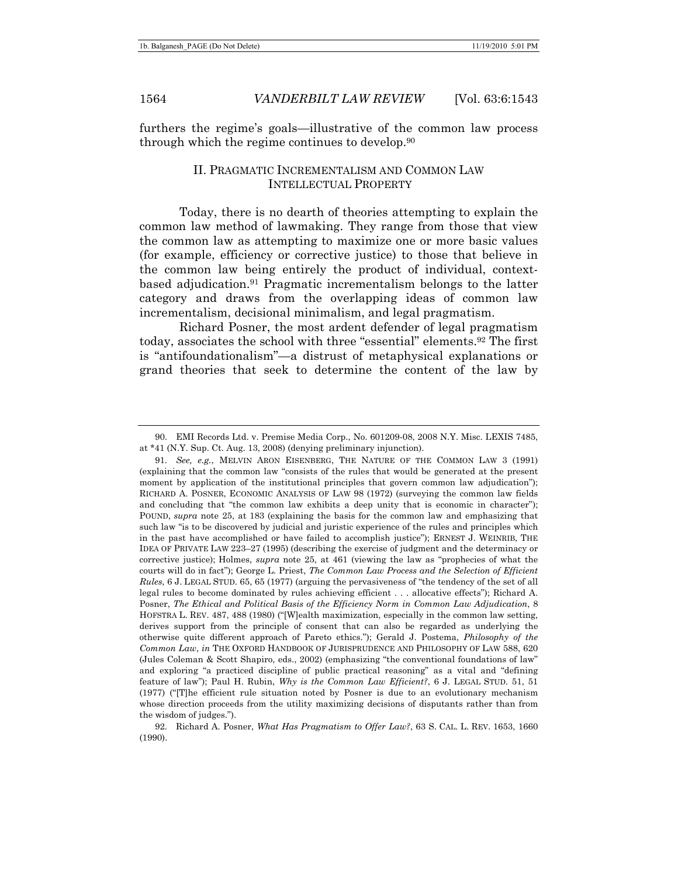furthers the regime's goals—illustrative of the common law process through which the regime continues to develop.90

## II. PRAGMATIC INCREMENTALISM AND COMMON LAW INTELLECTUAL PROPERTY

Today, there is no dearth of theories attempting to explain the common law method of lawmaking. They range from those that view the common law as attempting to maximize one or more basic values (for example, efficiency or corrective justice) to those that believe in the common law being entirely the product of individual, contextbased adjudication.91 Pragmatic incrementalism belongs to the latter category and draws from the overlapping ideas of common law incrementalism, decisional minimalism, and legal pragmatism.

Richard Posner, the most ardent defender of legal pragmatism today, associates the school with three "essential" elements.92 The first is "antifoundationalism"—a distrust of metaphysical explanations or grand theories that seek to determine the content of the law by

 <sup>90.</sup> EMI Records Ltd. v. Premise Media Corp., No. 601209-08, 2008 N.Y. Misc. LEXIS 7485, at \*41 (N.Y. Sup. Ct. Aug. 13, 2008) (denying preliminary injunction).

<sup>91.</sup> *See, e.g.*, MELVIN ARON EISENBERG, THE NATURE OF THE COMMON LAW 3 (1991) (explaining that the common law "consists of the rules that would be generated at the present moment by application of the institutional principles that govern common law adjudication"); RICHARD A. POSNER, ECONOMIC ANALYSIS OF LAW 98 (1972) (surveying the common law fields and concluding that "the common law exhibits a deep unity that is economic in character"); POUND, *supra* note 25, at 183 (explaining the basis for the common law and emphasizing that such law "is to be discovered by judicial and juristic experience of the rules and principles which in the past have accomplished or have failed to accomplish justice"); ERNEST J. WEINRIB, THE IDEA OF PRIVATE LAW 223–27 (1995) (describing the exercise of judgment and the determinacy or corrective justice); Holmes, *supra* note 25, at 461 (viewing the law as "prophecies of what the courts will do in fact"); George L. Priest, *The Common Law Process and the Selection of Efficient Rules*, 6 J. LEGAL STUD. 65, 65 (1977) (arguing the pervasiveness of "the tendency of the set of all legal rules to become dominated by rules achieving efficient . . . allocative effects"); Richard A. Posner, *The Ethical and Political Basis of the Efficiency Norm in Common Law Adjudication*, 8 HOFSTRA L. REV. 487, 488 (1980) ("[W]ealth maximization, especially in the common law setting, derives support from the principle of consent that can also be regarded as underlying the otherwise quite different approach of Pareto ethics."); Gerald J. Postema, *Philosophy of the Common Law*, *in* THE OXFORD HANDBOOK OF JURISPRUDENCE AND PHILOSOPHY OF LAW 588, 620 (Jules Coleman & Scott Shapiro, eds., 2002) (emphasizing "the conventional foundations of law" and exploring "a practiced discipline of public practical reasoning" as a vital and "defining feature of law"); Paul H. Rubin, *Why is the Common Law Efficient?*, 6 J. LEGAL STUD. 51, 51 (1977) ("[T]he efficient rule situation noted by Posner is due to an evolutionary mechanism whose direction proceeds from the utility maximizing decisions of disputants rather than from the wisdom of judges.").

 <sup>92.</sup> Richard A. Posner, *What Has Pragmatism to Offer Law?*, 63 S. CAL. L. REV. 1653, 1660 (1990).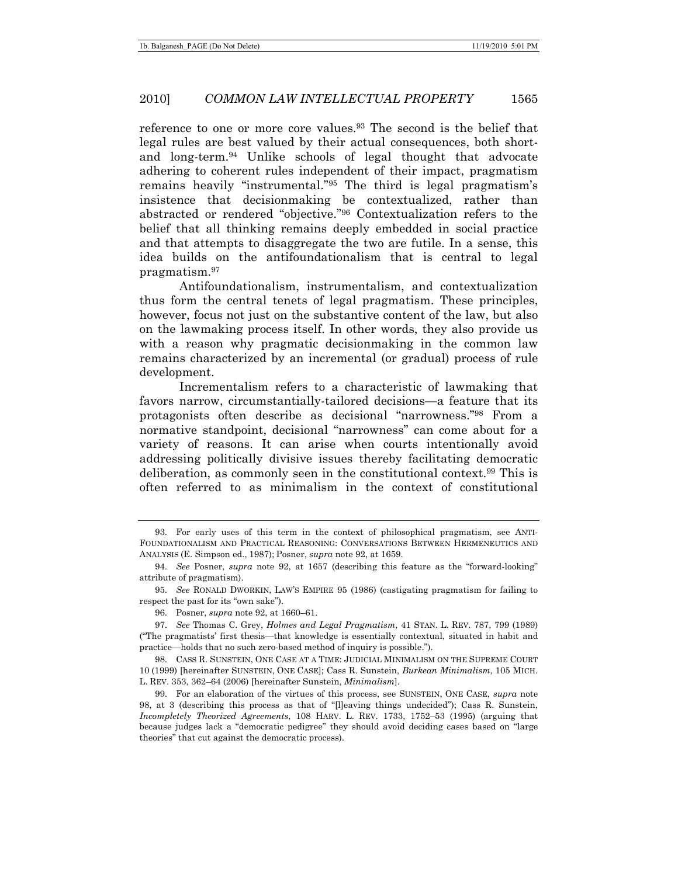reference to one or more core values.<sup>93</sup> The second is the belief that legal rules are best valued by their actual consequences, both shortand long-term.94 Unlike schools of legal thought that advocate adhering to coherent rules independent of their impact, pragmatism remains heavily "instrumental."95 The third is legal pragmatism's insistence that decisionmaking be contextualized, rather than abstracted or rendered "objective."96 Contextualization refers to the belief that all thinking remains deeply embedded in social practice and that attempts to disaggregate the two are futile. In a sense, this idea builds on the antifoundationalism that is central to legal pragmatism.97

Antifoundationalism, instrumentalism, and contextualization thus form the central tenets of legal pragmatism. These principles, however, focus not just on the substantive content of the law, but also on the lawmaking process itself. In other words, they also provide us with a reason why pragmatic decisionmaking in the common law remains characterized by an incremental (or gradual) process of rule development.

Incrementalism refers to a characteristic of lawmaking that favors narrow, circumstantially-tailored decisions—a feature that its protagonists often describe as decisional "narrowness."98 From a normative standpoint, decisional "narrowness" can come about for a variety of reasons. It can arise when courts intentionally avoid addressing politically divisive issues thereby facilitating democratic deliberation, as commonly seen in the constitutional context.99 This is often referred to as minimalism in the context of constitutional

 <sup>93.</sup> For early uses of this term in the context of philosophical pragmatism, see ANTI-FOUNDATIONALISM AND PRACTICAL REASONING: CONVERSATIONS BETWEEN HERMENEUTICS AND ANALYSIS (E. Simpson ed., 1987); Posner, *supra* note 92, at 1659.

<sup>94.</sup> *See* Posner, *supra* note 92, at 1657 (describing this feature as the "forward-looking" attribute of pragmatism).

<sup>95.</sup> *See* RONALD DWORKIN, LAW'S EMPIRE 95 (1986) (castigating pragmatism for failing to respect the past for its "own sake").

 <sup>96.</sup> Posner, *supra* note 92, at 1660–61.

<sup>97.</sup> *See* Thomas C. Grey, *Holmes and Legal Pragmatism*, 41 STAN. L. REV. 787, 799 (1989) ("The pragmatists' first thesis—that knowledge is essentially contextual, situated in habit and practice—holds that no such zero-based method of inquiry is possible.").

 <sup>98.</sup> CASS R. SUNSTEIN, ONE CASE AT A TIME: JUDICIAL MINIMALISM ON THE SUPREME COURT 10 (1999) [hereinafter SUNSTEIN, ONE CASE]; Cass R. Sunstein, *Burkean Minimalism*, 105 MICH. L. REV. 353, 362–64 (2006) [hereinafter Sunstein, *Minimalism*].

 <sup>99.</sup> For an elaboration of the virtues of this process, see SUNSTEIN, ONE CASE, *supra* note 98, at 3 (describing this process as that of "[l]eaving things undecided"); Cass R. Sunstein, *Incompletely Theorized Agreements*, 108 HARV. L. REV. 1733, 1752–53 (1995) (arguing that because judges lack a "democratic pedigree" they should avoid deciding cases based on "large theories" that cut against the democratic process).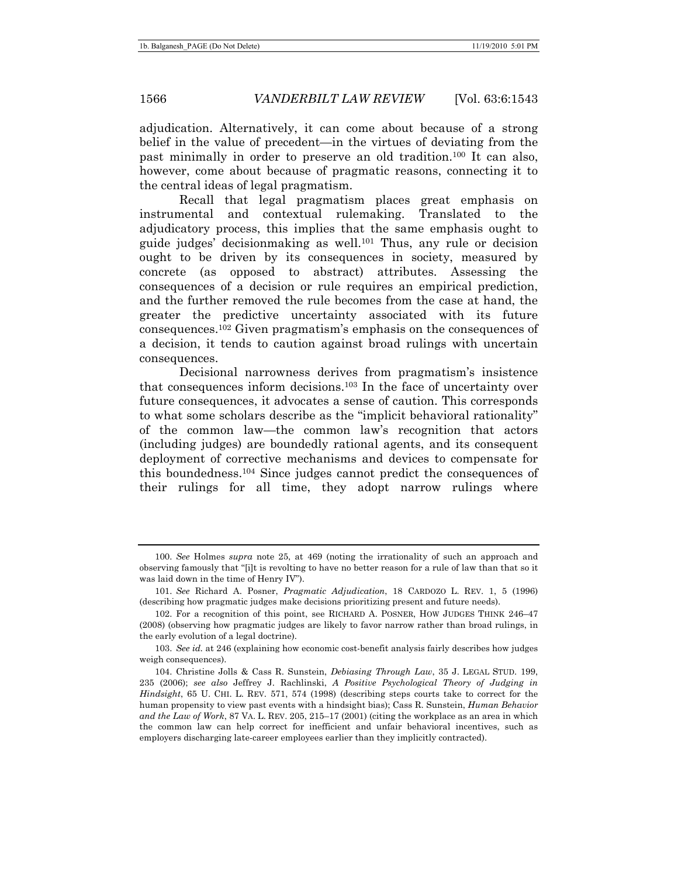adjudication. Alternatively, it can come about because of a strong belief in the value of precedent—in the virtues of deviating from the past minimally in order to preserve an old tradition.100 It can also, however, come about because of pragmatic reasons, connecting it to the central ideas of legal pragmatism.

Recall that legal pragmatism places great emphasis on instrumental and contextual rulemaking. Translated to the adjudicatory process, this implies that the same emphasis ought to guide judges' decisionmaking as well.101 Thus, any rule or decision ought to be driven by its consequences in society, measured by concrete (as opposed to abstract) attributes. Assessing the consequences of a decision or rule requires an empirical prediction, and the further removed the rule becomes from the case at hand, the greater the predictive uncertainty associated with its future consequences.102 Given pragmatism's emphasis on the consequences of a decision, it tends to caution against broad rulings with uncertain consequences.

Decisional narrowness derives from pragmatism's insistence that consequences inform decisions.103 In the face of uncertainty over future consequences, it advocates a sense of caution. This corresponds to what some scholars describe as the "implicit behavioral rationality" of the common law—the common law's recognition that actors (including judges) are boundedly rational agents, and its consequent deployment of corrective mechanisms and devices to compensate for this boundedness.104 Since judges cannot predict the consequences of their rulings for all time, they adopt narrow rulings where

<sup>100.</sup> *See* Holmes *supra* note 25, at 469 (noting the irrationality of such an approach and observing famously that "[i]t is revolting to have no better reason for a rule of law than that so it was laid down in the time of Henry IV").

<sup>101.</sup> *See* Richard A. Posner, *Pragmatic Adjudication*, 18 CARDOZO L. REV. 1, 5 (1996) (describing how pragmatic judges make decisions prioritizing present and future needs).

 <sup>102.</sup> For a recognition of this point, see RICHARD A. POSNER, HOW JUDGES THINK 246–47 (2008) (observing how pragmatic judges are likely to favor narrow rather than broad rulings, in the early evolution of a legal doctrine).

<sup>103.</sup> *See id.* at 246 (explaining how economic cost-benefit analysis fairly describes how judges weigh consequences).

 <sup>104.</sup> Christine Jolls & Cass R. Sunstein, *Debiasing Through Law*, 35 J. LEGAL STUD. 199, 235 (2006); *see also* Jeffrey J. Rachlinski, *A Positive Psychological Theory of Judging in Hindsight*, 65 U. CHI. L. REV. 571, 574 (1998) (describing steps courts take to correct for the human propensity to view past events with a hindsight bias); Cass R. Sunstein, *Human Behavior and the Law of Work*, 87 VA. L. REV. 205, 215–17 (2001) (citing the workplace as an area in which the common law can help correct for inefficient and unfair behavioral incentives, such as employers discharging late-career employees earlier than they implicitly contracted).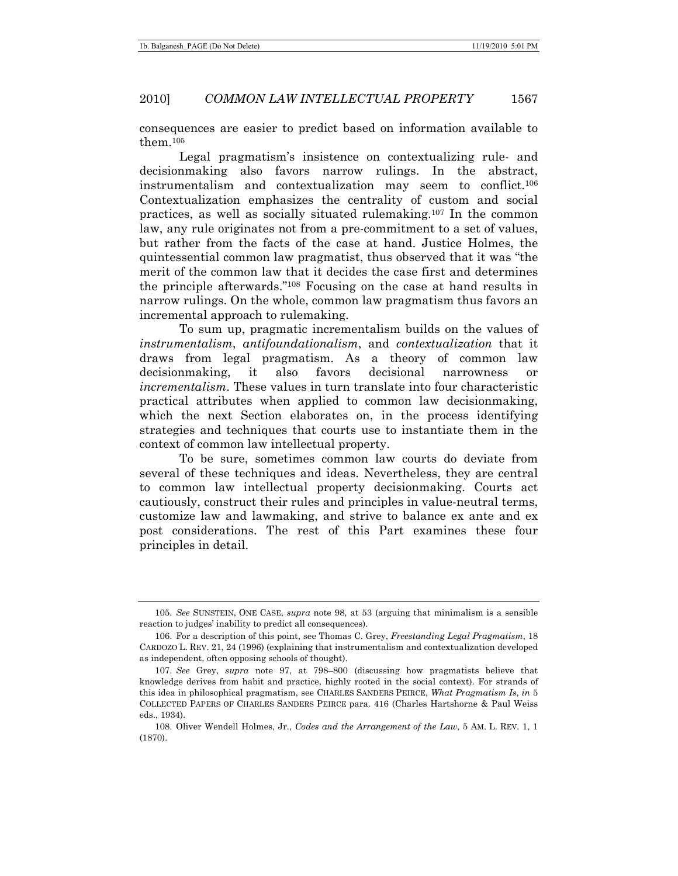consequences are easier to predict based on information available to them.105

Legal pragmatism's insistence on contextualizing rule- and decisionmaking also favors narrow rulings. In the abstract, instrumentalism and contextualization may seem to conflict.106 Contextualization emphasizes the centrality of custom and social practices, as well as socially situated rulemaking.107 In the common law, any rule originates not from a pre-commitment to a set of values, but rather from the facts of the case at hand. Justice Holmes, the quintessential common law pragmatist, thus observed that it was "the merit of the common law that it decides the case first and determines the principle afterwards."108 Focusing on the case at hand results in narrow rulings. On the whole, common law pragmatism thus favors an incremental approach to rulemaking.

To sum up, pragmatic incrementalism builds on the values of *instrumentalism*, *antifoundationalism*, and *contextualization* that it draws from legal pragmatism. As a theory of common law decisionmaking, it also favors decisional narrowness or *incrementalism*. These values in turn translate into four characteristic practical attributes when applied to common law decisionmaking, which the next Section elaborates on, in the process identifying strategies and techniques that courts use to instantiate them in the context of common law intellectual property.

To be sure, sometimes common law courts do deviate from several of these techniques and ideas. Nevertheless, they are central to common law intellectual property decisionmaking. Courts act cautiously, construct their rules and principles in value-neutral terms, customize law and lawmaking, and strive to balance ex ante and ex post considerations. The rest of this Part examines these four principles in detail.

<sup>105.</sup> *See* SUNSTEIN, ONE CASE, *supra* note 98, at 53 (arguing that minimalism is a sensible reaction to judges' inability to predict all consequences).

 <sup>106.</sup> For a description of this point, see Thomas C. Grey, *Freestanding Legal Pragmatism*, 18 CARDOZO L. REV. 21, 24 (1996) (explaining that instrumentalism and contextualization developed as independent, often opposing schools of thought).

<sup>107.</sup> *See* Grey, *supra* note 97, at 798–800 (discussing how pragmatists believe that knowledge derives from habit and practice, highly rooted in the social context). For strands of this idea in philosophical pragmatism, see CHARLES SANDERS PEIRCE, *What Pragmatism Is*, *in* 5 COLLECTED PAPERS OF CHARLES SANDERS PEIRCE para. 416 (Charles Hartshorne & Paul Weiss eds., 1934).

 <sup>108.</sup> Oliver Wendell Holmes, Jr., *Codes and the Arrangement of the Law*, 5 AM. L. REV. 1, 1 (1870).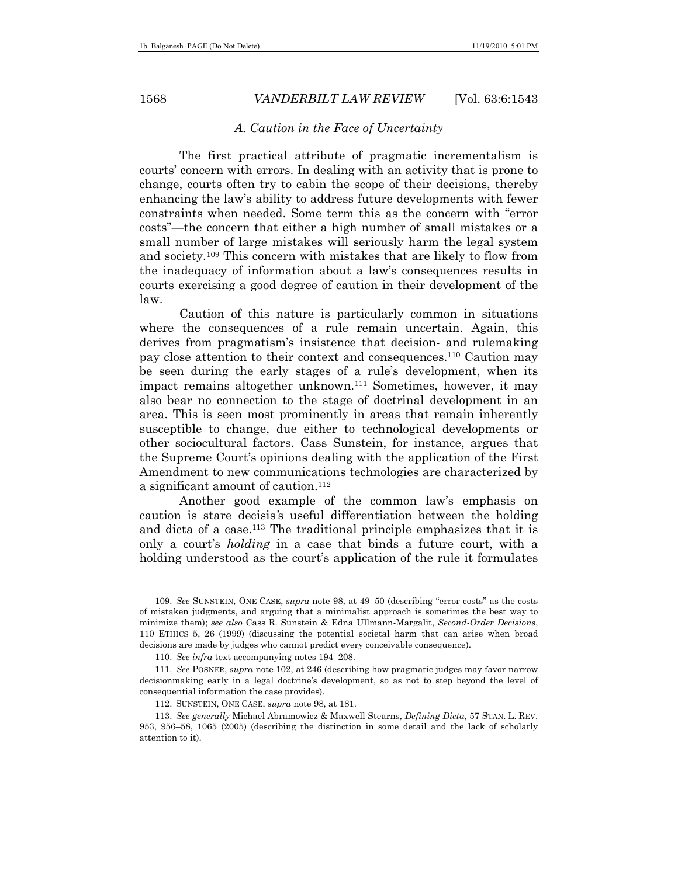#### *A. Caution in the Face of Uncertainty*

The first practical attribute of pragmatic incrementalism is courts' concern with errors. In dealing with an activity that is prone to change, courts often try to cabin the scope of their decisions, thereby enhancing the law's ability to address future developments with fewer constraints when needed. Some term this as the concern with "error costs"—the concern that either a high number of small mistakes or a small number of large mistakes will seriously harm the legal system and society.109 This concern with mistakes that are likely to flow from the inadequacy of information about a law's consequences results in courts exercising a good degree of caution in their development of the law.

Caution of this nature is particularly common in situations where the consequences of a rule remain uncertain. Again, this derives from pragmatism's insistence that decision- and rulemaking pay close attention to their context and consequences.110 Caution may be seen during the early stages of a rule's development, when its impact remains altogether unknown.111 Sometimes, however, it may also bear no connection to the stage of doctrinal development in an area. This is seen most prominently in areas that remain inherently susceptible to change, due either to technological developments or other sociocultural factors. Cass Sunstein, for instance, argues that the Supreme Court's opinions dealing with the application of the First Amendment to new communications technologies are characterized by a significant amount of caution.<sup>112</sup>

Another good example of the common law's emphasis on caution is stare decisis*'*s useful differentiation between the holding and dicta of a case.113 The traditional principle emphasizes that it is only a court's *holding* in a case that binds a future court, with a holding understood as the court's application of the rule it formulates

<sup>109.</sup> *See* SUNSTEIN, ONE CASE, *supra* note 98, at 49–50 (describing "error costs" as the costs of mistaken judgments, and arguing that a minimalist approach is sometimes the best way to minimize them); *see also* Cass R. Sunstein & Edna Ullmann-Margalit, *Second-Order Decisions*, 110 ETHICS 5, 26 (1999) (discussing the potential societal harm that can arise when broad decisions are made by judges who cannot predict every conceivable consequence).

<sup>110.</sup> *See infra* text accompanying notes 194–208.

<sup>111.</sup> *See* POSNER, *supra* note 102, at 246 (describing how pragmatic judges may favor narrow decisionmaking early in a legal doctrine's development, so as not to step beyond the level of consequential information the case provides).

 <sup>112.</sup> SUNSTEIN, ONE CASE, *supra* note 98, at 181.

<sup>113.</sup> *See generally* Michael Abramowicz & Maxwell Stearns, *Defining Dicta*, 57 STAN. L. REV. 953, 956–58, 1065 (2005) (describing the distinction in some detail and the lack of scholarly attention to it).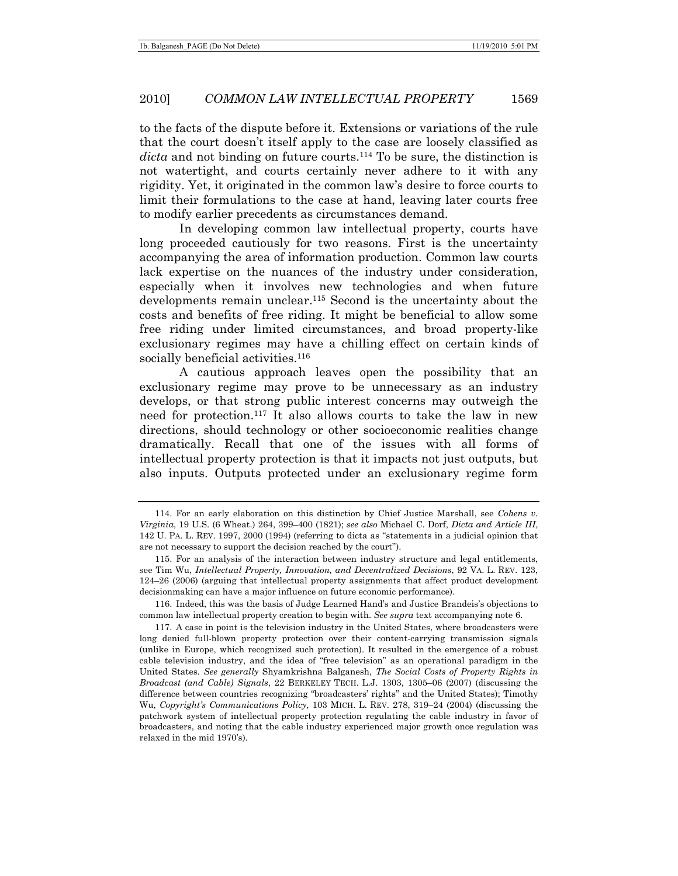to the facts of the dispute before it. Extensions or variations of the rule that the court doesn't itself apply to the case are loosely classified as *dicta* and not binding on future courts.114 To be sure, the distinction is not watertight, and courts certainly never adhere to it with any rigidity. Yet, it originated in the common law's desire to force courts to limit their formulations to the case at hand, leaving later courts free to modify earlier precedents as circumstances demand.

In developing common law intellectual property, courts have long proceeded cautiously for two reasons. First is the uncertainty accompanying the area of information production. Common law courts lack expertise on the nuances of the industry under consideration, especially when it involves new technologies and when future developments remain unclear.115 Second is the uncertainty about the costs and benefits of free riding. It might be beneficial to allow some free riding under limited circumstances, and broad property-like exclusionary regimes may have a chilling effect on certain kinds of socially beneficial activities.<sup>116</sup>

A cautious approach leaves open the possibility that an exclusionary regime may prove to be unnecessary as an industry develops, or that strong public interest concerns may outweigh the need for protection.117 It also allows courts to take the law in new directions, should technology or other socioeconomic realities change dramatically. Recall that one of the issues with all forms of intellectual property protection is that it impacts not just outputs, but also inputs. Outputs protected under an exclusionary regime form

 <sup>114.</sup> For an early elaboration on this distinction by Chief Justice Marshall, see *Cohens v. Virginia*, 19 U.S. (6 Wheat.) 264, 399–400 (1821); *see also* Michael C. Dorf, *Dicta and Article III*, 142 U. PA. L. REV. 1997, 2000 (1994) (referring to dicta as "statements in a judicial opinion that are not necessary to support the decision reached by the court").

 <sup>115.</sup> For an analysis of the interaction between industry structure and legal entitlements, see Tim Wu, *Intellectual Property, Innovation, and Decentralized Decisions*, 92 VA. L. REV. 123, 124–26 (2006) (arguing that intellectual property assignments that affect product development decisionmaking can have a major influence on future economic performance).

 <sup>116.</sup> Indeed, this was the basis of Judge Learned Hand's and Justice Brandeis's objections to common law intellectual property creation to begin with. *See supra* text accompanying note 6.

 <sup>117.</sup> A case in point is the television industry in the United States, where broadcasters were long denied full-blown property protection over their content-carrying transmission signals (unlike in Europe, which recognized such protection). It resulted in the emergence of a robust cable television industry, and the idea of "free television" as an operational paradigm in the United States. *See generally* Shyamkrishna Balganesh, *The Social Costs of Property Rights in Broadcast (and Cable) Signals*, 22 BERKELEY TECH. L.J. 1303, 1305–06 (2007) (discussing the difference between countries recognizing "broadcasters' rights" and the United States); Timothy Wu, *Copyright's Communications Policy*, 103 MICH. L. REV. 278, 319–24 (2004) (discussing the patchwork system of intellectual property protection regulating the cable industry in favor of broadcasters, and noting that the cable industry experienced major growth once regulation was relaxed in the mid 1970's).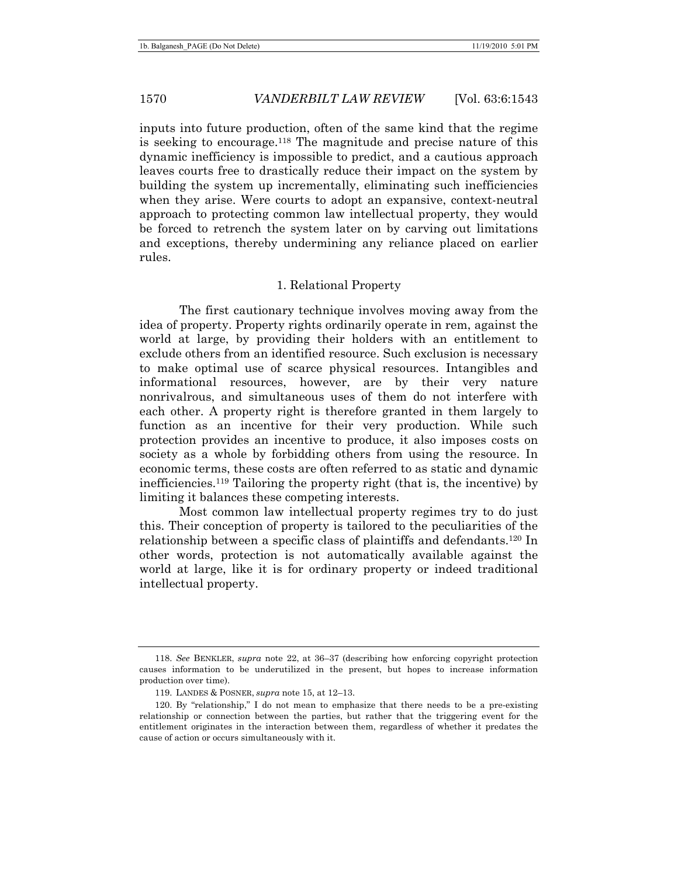inputs into future production, often of the same kind that the regime is seeking to encourage.118 The magnitude and precise nature of this dynamic inefficiency is impossible to predict, and a cautious approach leaves courts free to drastically reduce their impact on the system by building the system up incrementally, eliminating such inefficiencies when they arise. Were courts to adopt an expansive, context-neutral approach to protecting common law intellectual property, they would be forced to retrench the system later on by carving out limitations and exceptions, thereby undermining any reliance placed on earlier rules.

#### 1. Relational Property

The first cautionary technique involves moving away from the idea of property. Property rights ordinarily operate in rem, against the world at large, by providing their holders with an entitlement to exclude others from an identified resource. Such exclusion is necessary to make optimal use of scarce physical resources. Intangibles and informational resources, however, are by their very nature nonrivalrous, and simultaneous uses of them do not interfere with each other. A property right is therefore granted in them largely to function as an incentive for their very production. While such protection provides an incentive to produce, it also imposes costs on society as a whole by forbidding others from using the resource. In economic terms, these costs are often referred to as static and dynamic inefficiencies.119 Tailoring the property right (that is, the incentive) by limiting it balances these competing interests.

Most common law intellectual property regimes try to do just this. Their conception of property is tailored to the peculiarities of the relationship between a specific class of plaintiffs and defendants.120 In other words, protection is not automatically available against the world at large, like it is for ordinary property or indeed traditional intellectual property.

<sup>118.</sup> *See* BENKLER, *supra* note 22, at 36–37 (describing how enforcing copyright protection causes information to be underutilized in the present, but hopes to increase information production over time).

 <sup>119.</sup> LANDES & POSNER, *supra* note 15, at 12–13.

 <sup>120.</sup> By "relationship," I do not mean to emphasize that there needs to be a pre-existing relationship or connection between the parties, but rather that the triggering event for the entitlement originates in the interaction between them, regardless of whether it predates the cause of action or occurs simultaneously with it.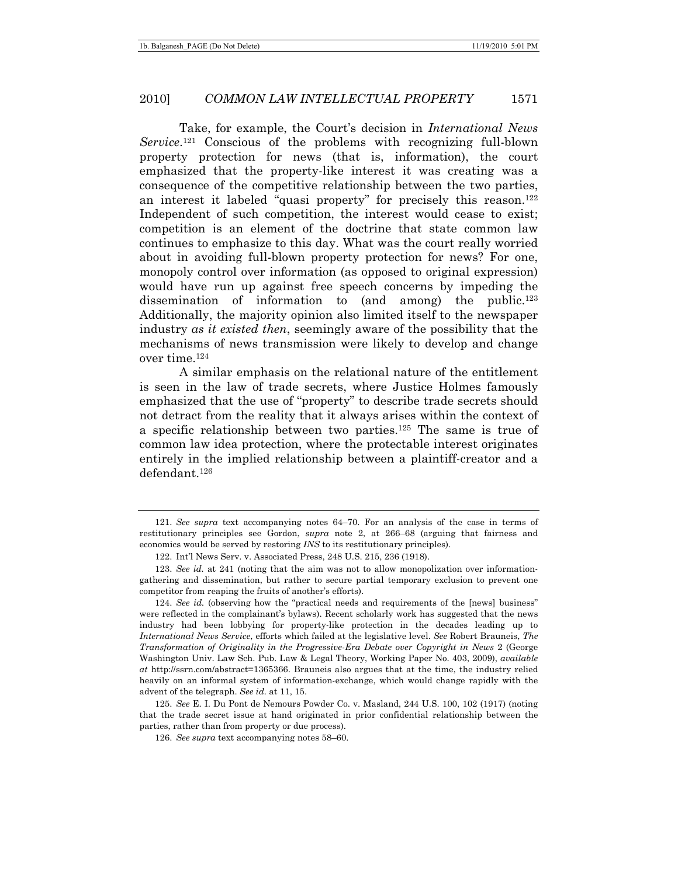Take, for example, the Court's decision in *International News Service*.121 Conscious of the problems with recognizing full-blown property protection for news (that is, information), the court emphasized that the property-like interest it was creating was a consequence of the competitive relationship between the two parties, an interest it labeled "quasi property" for precisely this reason.<sup>122</sup> Independent of such competition, the interest would cease to exist; competition is an element of the doctrine that state common law continues to emphasize to this day. What was the court really worried about in avoiding full-blown property protection for news? For one, monopoly control over information (as opposed to original expression) would have run up against free speech concerns by impeding the dissemination of information to (and among) the public.123 Additionally, the majority opinion also limited itself to the newspaper industry *as it existed then*, seemingly aware of the possibility that the mechanisms of news transmission were likely to develop and change over time.124

A similar emphasis on the relational nature of the entitlement is seen in the law of trade secrets, where Justice Holmes famously emphasized that the use of "property" to describe trade secrets should not detract from the reality that it always arises within the context of a specific relationship between two parties.125 The same is true of common law idea protection, where the protectable interest originates entirely in the implied relationship between a plaintiff-creator and a defendant.126

<sup>121.</sup> *See supra* text accompanying notes 64–70. For an analysis of the case in terms of restitutionary principles see Gordon, *supra* note 2, at 266–68 (arguing that fairness and economics would be served by restoring *INS* to its restitutionary principles).

 <sup>122.</sup> Int'l News Serv. v. Associated Press, 248 U.S. 215, 236 (1918).

<sup>123.</sup> *See id.* at 241 (noting that the aim was not to allow monopolization over informationgathering and dissemination, but rather to secure partial temporary exclusion to prevent one competitor from reaping the fruits of another's efforts).

<sup>124.</sup> *See id.* (observing how the "practical needs and requirements of the [news] business" were reflected in the complainant's bylaws). Recent scholarly work has suggested that the news industry had been lobbying for property-like protection in the decades leading up to *International News Service*, efforts which failed at the legislative level. *See* Robert Brauneis, *The Transformation of Originality in the Progressive-Era Debate over Copyright in News* 2 (George Washington Univ. Law Sch. Pub. Law & Legal Theory, Working Paper No. 403, 2009), *available at* http://ssrn.com/abstract=1365366. Brauneis also argues that at the time, the industry relied heavily on an informal system of information-exchange, which would change rapidly with the advent of the telegraph. *See id.* at 11, 15.

<sup>125.</sup> *See* E. I. Du Pont de Nemours Powder Co. v. Masland, 244 U.S. 100, 102 (1917) (noting that the trade secret issue at hand originated in prior confidential relationship between the parties, rather than from property or due process).

<sup>126.</sup> *See supra* text accompanying notes 58–60.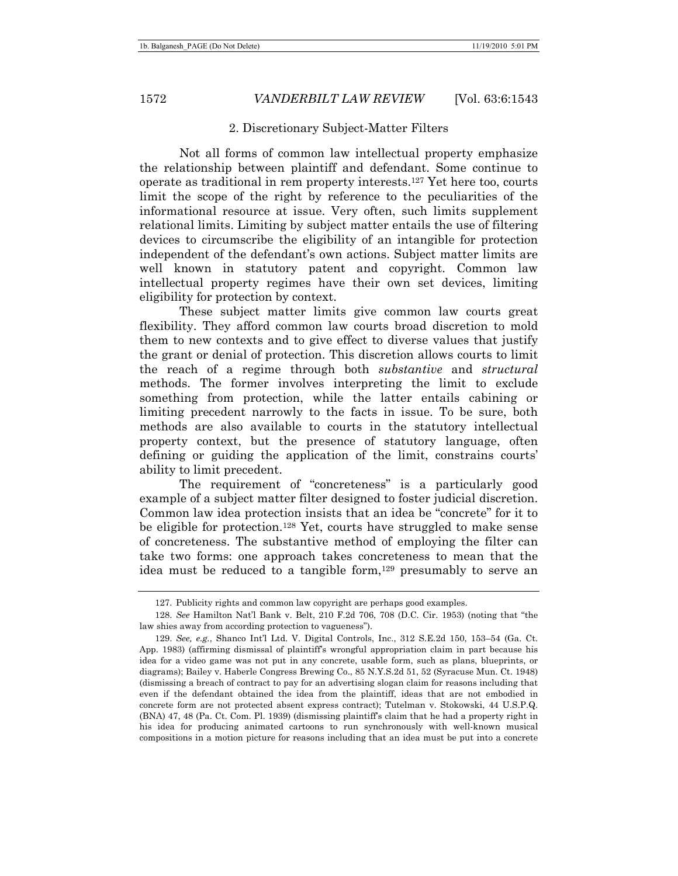#### 2. Discretionary Subject-Matter Filters

Not all forms of common law intellectual property emphasize the relationship between plaintiff and defendant. Some continue to operate as traditional in rem property interests.127 Yet here too, courts limit the scope of the right by reference to the peculiarities of the informational resource at issue. Very often, such limits supplement relational limits. Limiting by subject matter entails the use of filtering devices to circumscribe the eligibility of an intangible for protection independent of the defendant's own actions. Subject matter limits are well known in statutory patent and copyright. Common law intellectual property regimes have their own set devices, limiting eligibility for protection by context.

These subject matter limits give common law courts great flexibility. They afford common law courts broad discretion to mold them to new contexts and to give effect to diverse values that justify the grant or denial of protection. This discretion allows courts to limit the reach of a regime through both *substantive* and *structural* methods. The former involves interpreting the limit to exclude something from protection, while the latter entails cabining or limiting precedent narrowly to the facts in issue. To be sure, both methods are also available to courts in the statutory intellectual property context, but the presence of statutory language, often defining or guiding the application of the limit, constrains courts' ability to limit precedent.

The requirement of "concreteness" is a particularly good example of a subject matter filter designed to foster judicial discretion. Common law idea protection insists that an idea be "concrete" for it to be eligible for protection.<sup>128</sup> Yet, courts have struggled to make sense of concreteness. The substantive method of employing the filter can take two forms: one approach takes concreteness to mean that the idea must be reduced to a tangible form,<sup>129</sup> presumably to serve an

 <sup>127.</sup> Publicity rights and common law copyright are perhaps good examples.

<sup>128.</sup> *See* Hamilton Nat'l Bank v. Belt, 210 F.2d 706, 708 (D.C. Cir. 1953) (noting that "the law shies away from according protection to vagueness").

<sup>129.</sup> *See, e.g.*, Shanco Int'l Ltd. V. Digital Controls, Inc., 312 S.E.2d 150, 153–54 (Ga. Ct. App. 1983) (affirming dismissal of plaintiff's wrongful appropriation claim in part because his idea for a video game was not put in any concrete, usable form, such as plans, blueprints, or diagrams); Bailey v. Haberle Congress Brewing Co., 85 N.Y.S.2d 51, 52 (Syracuse Mun. Ct. 1948) (dismissing a breach of contract to pay for an advertising slogan claim for reasons including that even if the defendant obtained the idea from the plaintiff, ideas that are not embodied in concrete form are not protected absent express contract); Tutelman v. Stokowski, 44 U.S.P.Q. (BNA) 47, 48 (Pa. Ct. Com. Pl. 1939) (dismissing plaintiff's claim that he had a property right in his idea for producing animated cartoons to run synchronously with well-known musical compositions in a motion picture for reasons including that an idea must be put into a concrete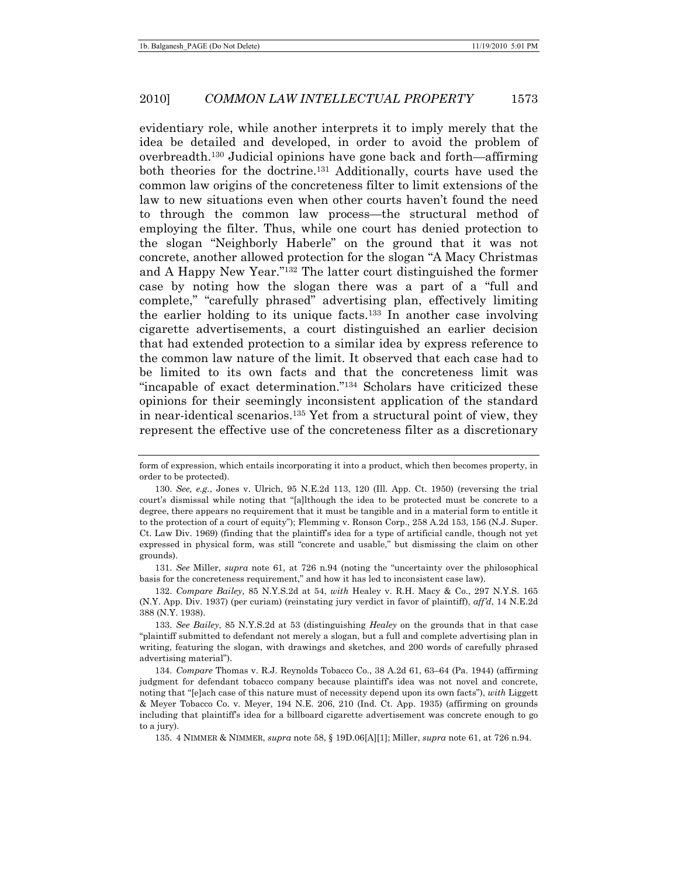evidentiary role, while another interprets it to imply merely that the idea be detailed and developed, in order to avoid the problem of overbreadth.130 Judicial opinions have gone back and forth—affirming both theories for the doctrine.131 Additionally, courts have used the common law origins of the concreteness filter to limit extensions of the law to new situations even when other courts haven't found the need to through the common law process—the structural method of employing the filter. Thus, while one court has denied protection to the slogan "Neighborly Haberle" on the ground that it was not concrete, another allowed protection for the slogan "A Macy Christmas and A Happy New Year."132 The latter court distinguished the former case by noting how the slogan there was a part of a "full and complete," "carefully phrased" advertising plan, effectively limiting the earlier holding to its unique facts.133 In another case involving cigarette advertisements, a court distinguished an earlier decision that had extended protection to a similar idea by express reference to the common law nature of the limit. It observed that each case had to be limited to its own facts and that the concreteness limit was "incapable of exact determination."134 Scholars have criticized these opinions for their seemingly inconsistent application of the standard in near-identical scenarios.135 Yet from a structural point of view, they represent the effective use of the concreteness filter as a discretionary

131. *See* Miller, *supra* note 61, at 726 n.94 (noting the "uncertainty over the philosophical basis for the concreteness requirement," and how it has led to inconsistent case law).

132. *Compare Bailey*, 85 N.Y.S.2d at 54, *with* Healey v. R.H. Macy & Co., 297 N.Y.S. 165 (N.Y. App. Div. 1937) (per curiam) (reinstating jury verdict in favor of plaintiff), *aff'd*, 14 N.E.2d 388 (N.Y. 1938).

133. *See Bailey*, 85 N.Y.S.2d at 53 (distinguishing *Healey* on the grounds that in that case "plaintiff submitted to defendant not merely a slogan, but a full and complete advertising plan in writing, featuring the slogan, with drawings and sketches, and 200 words of carefully phrased advertising material").

134. *Compare* Thomas v. R.J. Reynolds Tobacco Co., 38 A.2d 61, 63–64 (Pa. 1944) (affirming judgment for defendant tobacco company because plaintiff's idea was not novel and concrete, noting that "[e]ach case of this nature must of necessity depend upon its own facts"), *with* Liggett & Meyer Tobacco Co. v. Meyer, 194 N.E. 206, 210 (Ind. Ct. App. 1935) (affirming on grounds including that plaintiff's idea for a billboard cigarette advertisement was concrete enough to go to a jury).

135. 4 NIMMER & NIMMER, *supra* note 58, § 19D.06[A][1]; Miller, *supra* note 61, at 726 n.94.

form of expression, which entails incorporating it into a product, which then becomes property, in order to be protected).

<sup>130.</sup> *See, e.g.*, Jones v. Ulrich, 95 N.E.2d 113, 120 (Ill. App. Ct. 1950) (reversing the trial court's dismissal while noting that "[a]lthough the idea to be protected must be concrete to a degree, there appears no requirement that it must be tangible and in a material form to entitle it to the protection of a court of equity"); Flemming v. Ronson Corp., 258 A.2d 153, 156 (N.J. Super. Ct. Law Div. 1969) (finding that the plaintiff's idea for a type of artificial candle, though not yet expressed in physical form, was still "concrete and usable," but dismissing the claim on other grounds).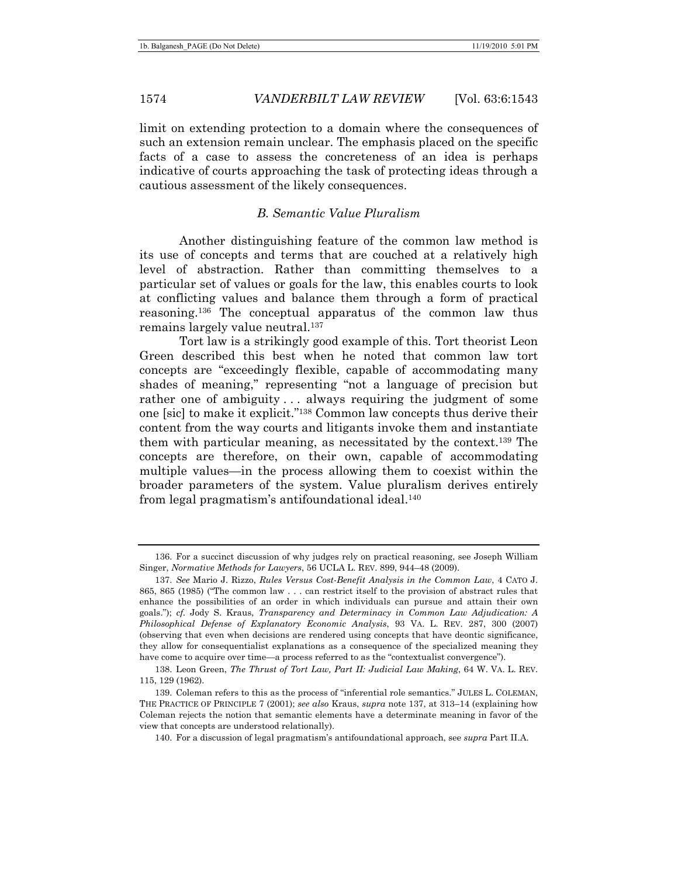limit on extending protection to a domain where the consequences of such an extension remain unclear. The emphasis placed on the specific facts of a case to assess the concreteness of an idea is perhaps indicative of courts approaching the task of protecting ideas through a cautious assessment of the likely consequences.

## *B. Semantic Value Pluralism*

Another distinguishing feature of the common law method is its use of concepts and terms that are couched at a relatively high level of abstraction. Rather than committing themselves to a particular set of values or goals for the law, this enables courts to look at conflicting values and balance them through a form of practical reasoning.136 The conceptual apparatus of the common law thus remains largely value neutral.<sup>137</sup>

Tort law is a strikingly good example of this. Tort theorist Leon Green described this best when he noted that common law tort concepts are "exceedingly flexible, capable of accommodating many shades of meaning," representing "not a language of precision but rather one of ambiguity ... always requiring the judgment of some one [sic] to make it explicit."138 Common law concepts thus derive their content from the way courts and litigants invoke them and instantiate them with particular meaning, as necessitated by the context.139 The concepts are therefore, on their own, capable of accommodating multiple values—in the process allowing them to coexist within the broader parameters of the system. Value pluralism derives entirely from legal pragmatism's antifoundational ideal.140

 <sup>136.</sup> For a succinct discussion of why judges rely on practical reasoning, see Joseph William Singer, *Normative Methods for Lawyers*, 56 UCLA L. REV. 899, 944–48 (2009).

<sup>137.</sup> *See* Mario J. Rizzo, *Rules Versus Cost-Benefit Analysis in the Common Law*, 4 CATO J. 865, 865 (1985) ("The common law . . . can restrict itself to the provision of abstract rules that enhance the possibilities of an order in which individuals can pursue and attain their own goals."); *cf.* Jody S. Kraus, *Transparency and Determinacy in Common Law Adjudication: A Philosophical Defense of Explanatory Economic Analysis*, 93 VA. L. REV. 287, 300 (2007) (observing that even when decisions are rendered using concepts that have deontic significance, they allow for consequentialist explanations as a consequence of the specialized meaning they have come to acquire over time—a process referred to as the "contextualist convergence").

 <sup>138.</sup> Leon Green, *The Thrust of Tort Law, Part II: Judicial Law Making*, 64 W. VA. L. REV. 115, 129 (1962).

 <sup>139.</sup> Coleman refers to this as the process of "inferential role semantics." JULES L. COLEMAN, THE PRACTICE OF PRINCIPLE 7 (2001); *see also* Kraus, *supra* note 137, at 313–14 (explaining how Coleman rejects the notion that semantic elements have a determinate meaning in favor of the view that concepts are understood relationally).

 <sup>140.</sup> For a discussion of legal pragmatism's antifoundational approach, see *supra* Part II.A.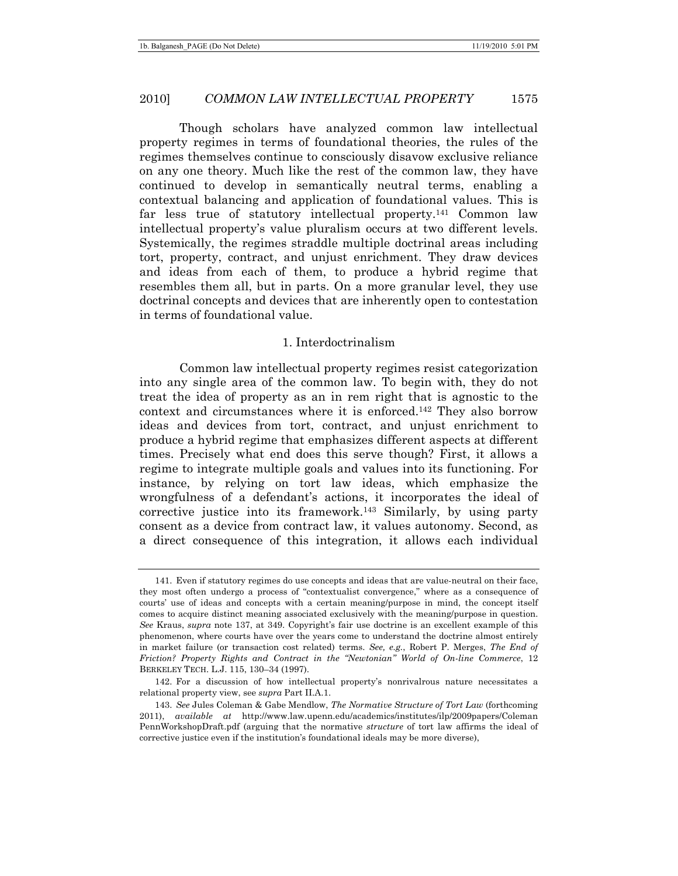Though scholars have analyzed common law intellectual property regimes in terms of foundational theories, the rules of the regimes themselves continue to consciously disavow exclusive reliance on any one theory. Much like the rest of the common law, they have continued to develop in semantically neutral terms, enabling a contextual balancing and application of foundational values. This is far less true of statutory intellectual property.141 Common law intellectual property's value pluralism occurs at two different levels. Systemically, the regimes straddle multiple doctrinal areas including tort, property, contract, and unjust enrichment. They draw devices and ideas from each of them, to produce a hybrid regime that resembles them all, but in parts. On a more granular level, they use doctrinal concepts and devices that are inherently open to contestation in terms of foundational value.

#### 1. Interdoctrinalism

Common law intellectual property regimes resist categorization into any single area of the common law. To begin with, they do not treat the idea of property as an in rem right that is agnostic to the context and circumstances where it is enforced.142 They also borrow ideas and devices from tort, contract, and unjust enrichment to produce a hybrid regime that emphasizes different aspects at different times. Precisely what end does this serve though? First, it allows a regime to integrate multiple goals and values into its functioning. For instance, by relying on tort law ideas, which emphasize the wrongfulness of a defendant's actions, it incorporates the ideal of corrective justice into its framework.143 Similarly, by using party consent as a device from contract law, it values autonomy. Second, as a direct consequence of this integration, it allows each individual

 <sup>141.</sup> Even if statutory regimes do use concepts and ideas that are value-neutral on their face, they most often undergo a process of "contextualist convergence," where as a consequence of courts' use of ideas and concepts with a certain meaning/purpose in mind, the concept itself comes to acquire distinct meaning associated exclusively with the meaning/purpose in question. *See* Kraus, *supra* note 137, at 349. Copyright's fair use doctrine is an excellent example of this phenomenon, where courts have over the years come to understand the doctrine almost entirely in market failure (or transaction cost related) terms. *See, e.g.*, Robert P. Merges, *The End of Friction? Property Rights and Contract in the "Newtonian" World of On-line Commerce*, 12 BERKELEY TECH. L.J. 115, 130–34 (1997).

 <sup>142.</sup> For a discussion of how intellectual property's nonrivalrous nature necessitates a relational property view, see *supra* Part II.A.1.

<sup>143.</sup> *See* Jules Coleman & Gabe Mendlow, *The Normative Structure of Tort Law* (forthcoming 2011), *available at* http://www.law.upenn.edu/academics/institutes/ilp/2009papers/Coleman PennWorkshopDraft.pdf (arguing that the normative *structure* of tort law affirms the ideal of corrective justice even if the institution's foundational ideals may be more diverse),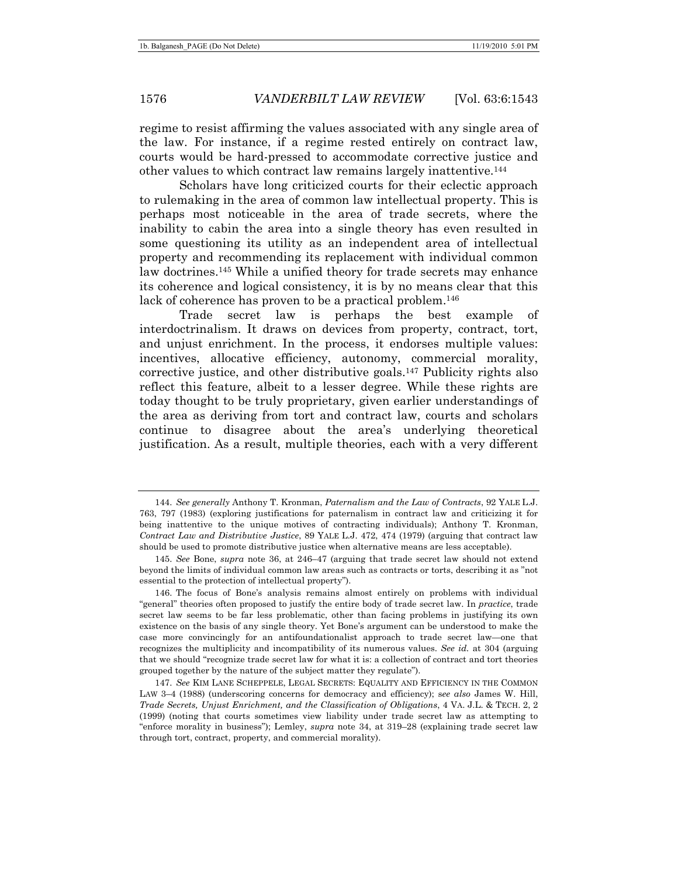regime to resist affirming the values associated with any single area of the law. For instance, if a regime rested entirely on contract law, courts would be hard-pressed to accommodate corrective justice and other values to which contract law remains largely inattentive.144

Scholars have long criticized courts for their eclectic approach to rulemaking in the area of common law intellectual property. This is perhaps most noticeable in the area of trade secrets, where the inability to cabin the area into a single theory has even resulted in some questioning its utility as an independent area of intellectual property and recommending its replacement with individual common law doctrines.145 While a unified theory for trade secrets may enhance its coherence and logical consistency, it is by no means clear that this lack of coherence has proven to be a practical problem.<sup>146</sup>

Trade secret law is perhaps the best example of interdoctrinalism. It draws on devices from property, contract, tort, and unjust enrichment. In the process, it endorses multiple values: incentives, allocative efficiency, autonomy, commercial morality, corrective justice, and other distributive goals.147 Publicity rights also reflect this feature, albeit to a lesser degree. While these rights are today thought to be truly proprietary, given earlier understandings of the area as deriving from tort and contract law, courts and scholars continue to disagree about the area's underlying theoretical justification. As a result, multiple theories, each with a very different

<sup>144.</sup> *See generally* Anthony T. Kronman, *Paternalism and the Law of Contracts*, 92 YALE L.J. 763, 797 (1983) (exploring justifications for paternalism in contract law and criticizing it for being inattentive to the unique motives of contracting individuals); Anthony T. Kronman, *Contract Law and Distributive Justice*, 89 YALE L.J. 472, 474 (1979) (arguing that contract law should be used to promote distributive justice when alternative means are less acceptable).

<sup>145.</sup> *See* Bone, *supra* note 36, at 246–47 (arguing that trade secret law should not extend beyond the limits of individual common law areas such as contracts or torts, describing it as "not essential to the protection of intellectual property").

 <sup>146.</sup> The focus of Bone's analysis remains almost entirely on problems with individual "general" theories often proposed to justify the entire body of trade secret law. In *practice*, trade secret law seems to be far less problematic, other than facing problems in justifying its own existence on the basis of any single theory. Yet Bone's argument can be understood to make the case more convincingly for an antifoundationalist approach to trade secret law—one that recognizes the multiplicity and incompatibility of its numerous values. *See id.* at 304 (arguing that we should "recognize trade secret law for what it is: a collection of contract and tort theories grouped together by the nature of the subject matter they regulate").

<sup>147.</sup> *See* KIM LANE SCHEPPELE, LEGAL SECRETS: EQUALITY AND EFFICIENCY IN THE COMMON LAW 3–4 (1988) (underscoring concerns for democracy and efficiency); s*ee also* James W. Hill, *Trade Secrets, Unjust Enrichment, and the Classification of Obligations*, 4 VA. J.L. & TECH. 2, 2 (1999) (noting that courts sometimes view liability under trade secret law as attempting to "enforce morality in business"); Lemley, *supra* note 34, at 319–28 (explaining trade secret law through tort, contract, property, and commercial morality).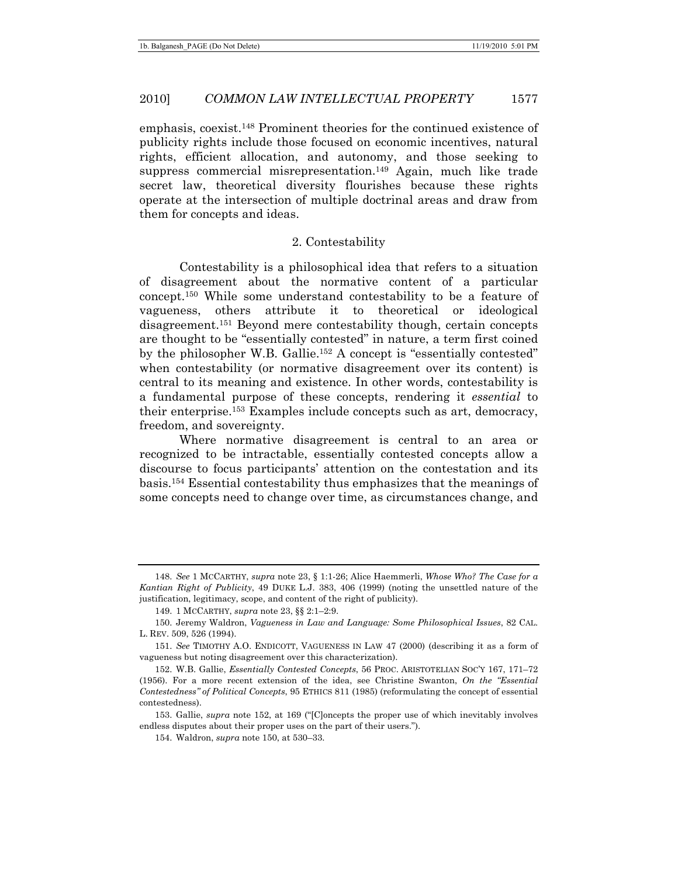emphasis, coexist.148 Prominent theories for the continued existence of publicity rights include those focused on economic incentives, natural rights, efficient allocation, and autonomy, and those seeking to suppress commercial misrepresentation.<sup>149</sup> Again, much like trade secret law, theoretical diversity flourishes because these rights operate at the intersection of multiple doctrinal areas and draw from them for concepts and ideas.

#### 2. Contestability

Contestability is a philosophical idea that refers to a situation of disagreement about the normative content of a particular concept.150 While some understand contestability to be a feature of vagueness, others attribute it to theoretical or ideological disagreement.151 Beyond mere contestability though, certain concepts are thought to be "essentially contested" in nature, a term first coined by the philosopher W.B. Gallie.152 A concept is "essentially contested" when contestability (or normative disagreement over its content) is central to its meaning and existence. In other words, contestability is a fundamental purpose of these concepts, rendering it *essential* to their enterprise.153 Examples include concepts such as art, democracy, freedom, and sovereignty.

Where normative disagreement is central to an area or recognized to be intractable, essentially contested concepts allow a discourse to focus participants' attention on the contestation and its basis.154 Essential contestability thus emphasizes that the meanings of some concepts need to change over time, as circumstances change, and

<sup>148.</sup> *See* 1 MCCARTHY, *supra* note 23, § 1:1-26; Alice Haemmerli, *Whose Who? The Case for a Kantian Right of Publicity*, 49 DUKE L.J. 383, 406 (1999) (noting the unsettled nature of the justification, legitimacy, scope, and content of the right of publicity).

 <sup>149. 1</sup> MCCARTHY, *supra* note 23, §§ 2:1–2:9.

 <sup>150.</sup> Jeremy Waldron, *Vagueness in Law and Language: Some Philosophical Issues*, 82 CAL. L. REV. 509, 526 (1994).

<sup>151.</sup> *See* TIMOTHY A.O. ENDICOTT, VAGUENESS IN LAW 47 (2000) (describing it as a form of vagueness but noting disagreement over this characterization).

 <sup>152.</sup> W.B. Gallie, *Essentially Contested Concepts*, 56 PROC. ARISTOTELIAN SOC'Y 167, 171–72 (1956). For a more recent extension of the idea, see Christine Swanton, *On the "Essential Contestedness" of Political Concepts*, 95 ETHICS 811 (1985) (reformulating the concept of essential contestedness).

 <sup>153.</sup> Gallie, *supra* note 152, at 169 ("[C]oncepts the proper use of which inevitably involves endless disputes about their proper uses on the part of their users.").

 <sup>154.</sup> Waldron, *supra* note 150, at 530–33.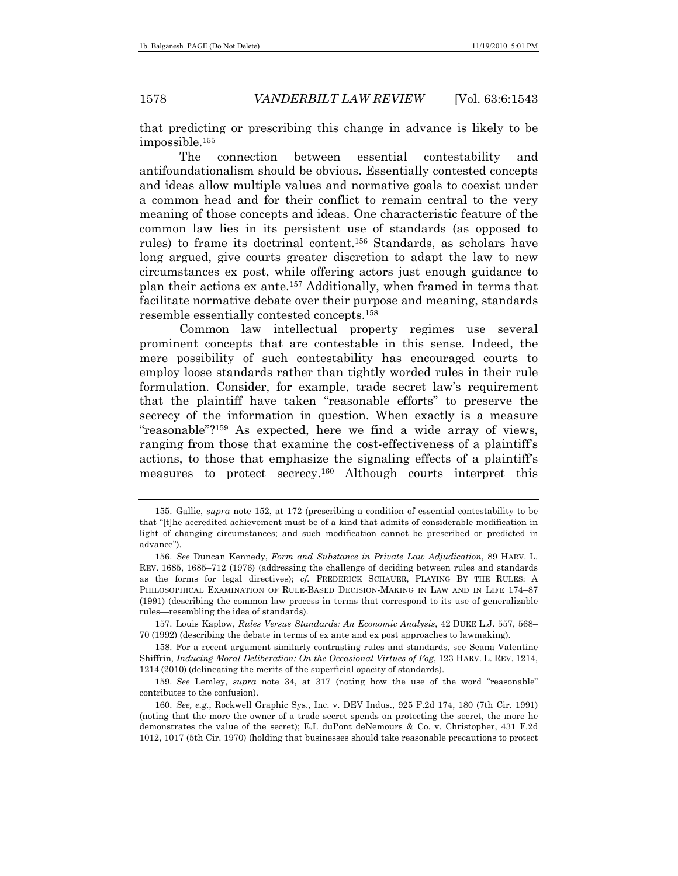that predicting or prescribing this change in advance is likely to be impossible.155

The connection between essential contestability and antifoundationalism should be obvious. Essentially contested concepts and ideas allow multiple values and normative goals to coexist under a common head and for their conflict to remain central to the very meaning of those concepts and ideas. One characteristic feature of the common law lies in its persistent use of standards (as opposed to rules) to frame its doctrinal content.156 Standards, as scholars have long argued, give courts greater discretion to adapt the law to new circumstances ex post, while offering actors just enough guidance to plan their actions ex ante.157 Additionally, when framed in terms that facilitate normative debate over their purpose and meaning, standards resemble essentially contested concepts.158

Common law intellectual property regimes use several prominent concepts that are contestable in this sense. Indeed, the mere possibility of such contestability has encouraged courts to employ loose standards rather than tightly worded rules in their rule formulation. Consider, for example, trade secret law's requirement that the plaintiff have taken "reasonable efforts" to preserve the secrecy of the information in question. When exactly is a measure "reasonable"?159 As expected, here we find a wide array of views, ranging from those that examine the cost-effectiveness of a plaintiff's actions, to those that emphasize the signaling effects of a plaintiff's measures to protect secrecy.160 Although courts interpret this

 <sup>155.</sup> Gallie, *supra* note 152, at 172 (prescribing a condition of essential contestability to be that "[t]he accredited achievement must be of a kind that admits of considerable modification in light of changing circumstances; and such modification cannot be prescribed or predicted in advance").

<sup>156.</sup> *See* Duncan Kennedy, *Form and Substance in Private Law Adjudication*, 89 HARV. L. REV. 1685, 1685–712 (1976) (addressing the challenge of deciding between rules and standards as the forms for legal directives); *cf.* FREDERICK SCHAUER, PLAYING BY THE RULES: A PHILOSOPHICAL EXAMINATION OF RULE-BASED DECISION-MAKING IN LAW AND IN LIFE 174-87 (1991) (describing the common law process in terms that correspond to its use of generalizable rules—resembling the idea of standards).

 <sup>157.</sup> Louis Kaplow, *Rules Versus Standards: An Economic Analysis*, 42 DUKE L.J. 557, 568– 70 (1992) (describing the debate in terms of ex ante and ex post approaches to lawmaking).

 <sup>158.</sup> For a recent argument similarly contrasting rules and standards, see Seana Valentine Shiffrin, *Inducing Moral Deliberation: On the Occasional Virtues of Fog*, 123 HARV. L. REV. 1214, 1214 (2010) (delineating the merits of the superficial opacity of standards).

<sup>159.</sup> *See* Lemley, *supra* note 34, at 317 (noting how the use of the word "reasonable" contributes to the confusion).

<sup>160.</sup> *See, e.g.*, Rockwell Graphic Sys., Inc. v. DEV Indus., 925 F.2d 174, 180 (7th Cir. 1991) (noting that the more the owner of a trade secret spends on protecting the secret, the more he demonstrates the value of the secret); E.I. duPont deNemours & Co. v. Christopher, 431 F.2d 1012, 1017 (5th Cir. 1970) (holding that businesses should take reasonable precautions to protect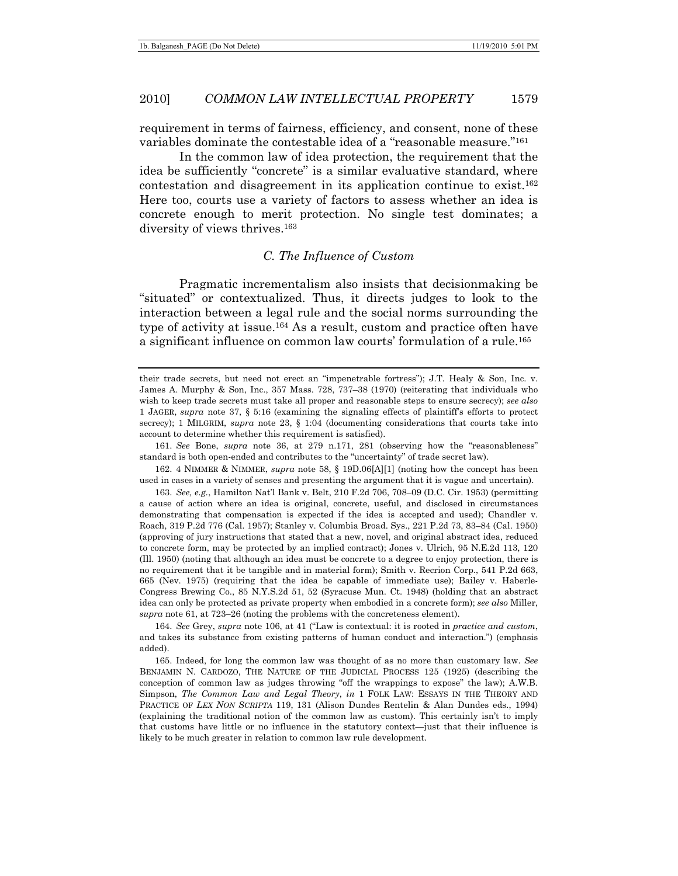requirement in terms of fairness, efficiency, and consent, none of these variables dominate the contestable idea of a "reasonable measure."161

In the common law of idea protection, the requirement that the idea be sufficiently "concrete" is a similar evaluative standard, where contestation and disagreement in its application continue to exist.162 Here too, courts use a variety of factors to assess whether an idea is concrete enough to merit protection. No single test dominates; a diversity of views thrives.<sup>163</sup>

#### *C. The Influence of Custom*

Pragmatic incrementalism also insists that decisionmaking be "situated" or contextualized. Thus, it directs judges to look to the interaction between a legal rule and the social norms surrounding the type of activity at issue.164 As a result, custom and practice often have a significant influence on common law courts' formulation of a rule.165

161. *See* Bone, *supra* note 36, at 279 n.171, 281 (observing how the "reasonableness" standard is both open-ended and contributes to the "uncertainty" of trade secret law).

 162. 4 NIMMER & NIMMER, *supra* note 58, § 19D.06[A][1] (noting how the concept has been used in cases in a variety of senses and presenting the argument that it is vague and uncertain).

164. *See* Grey, *supra* note 106, at 41 ("Law is contextual: it is rooted in *practice and custom*, and takes its substance from existing patterns of human conduct and interaction.") (emphasis added).

 165. Indeed, for long the common law was thought of as no more than customary law. *See* BENJAMIN N. CARDOZO, THE NATURE OF THE JUDICIAL PROCESS 125 (1925) (describing the conception of common law as judges throwing "off the wrappings to expose" the law); A.W.B. Simpson, *The Common Law and Legal Theory*, *in* 1 FOLK LAW: ESSAYS IN THE THEORY AND PRACTICE OF *LEX NON SCRIPTA* 119, 131 (Alison Dundes Rentelin & Alan Dundes eds., 1994) (explaining the traditional notion of the common law as custom). This certainly isn't to imply that customs have little or no influence in the statutory context—just that their influence is likely to be much greater in relation to common law rule development.

their trade secrets, but need not erect an "impenetrable fortress"); J.T. Healy & Son, Inc. v. James A. Murphy & Son, Inc., 357 Mass. 728, 737–38 (1970) (reiterating that individuals who wish to keep trade secrets must take all proper and reasonable steps to ensure secrecy); *see also* 1 JAGER, *supra* note 37, § 5:16 (examining the signaling effects of plaintiff's efforts to protect secrecy); 1 MILGRIM, *supra* note 23, § 1:04 (documenting considerations that courts take into account to determine whether this requirement is satisfied).

<sup>163.</sup> *See, e.g.*, Hamilton Nat'l Bank v. Belt, 210 F.2d 706, 708–09 (D.C. Cir. 1953) (permitting a cause of action where an idea is original, concrete, useful, and disclosed in circumstances demonstrating that compensation is expected if the idea is accepted and used); Chandler v. Roach, 319 P.2d 776 (Cal. 1957); Stanley v. Columbia Broad. Sys., 221 P.2d 73, 83–84 (Cal. 1950) (approving of jury instructions that stated that a new, novel, and original abstract idea, reduced to concrete form, may be protected by an implied contract); Jones v. Ulrich, 95 N.E.2d 113, 120 (Ill. 1950) (noting that although an idea must be concrete to a degree to enjoy protection, there is no requirement that it be tangible and in material form); Smith v. Recrion Corp., 541 P.2d 663, 665 (Nev. 1975) (requiring that the idea be capable of immediate use); Bailey v. Haberle-Congress Brewing Co., 85 N.Y.S.2d 51, 52 (Syracuse Mun. Ct. 1948) (holding that an abstract idea can only be protected as private property when embodied in a concrete form); *see also* Miller, *supra* note 61, at 723–26 (noting the problems with the concreteness element).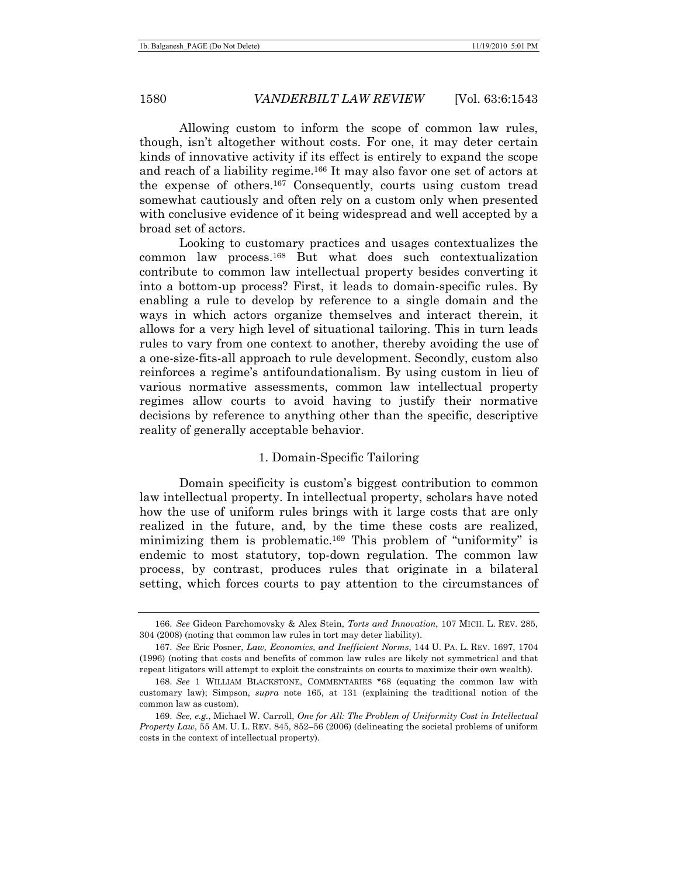Allowing custom to inform the scope of common law rules, though, isn't altogether without costs. For one, it may deter certain kinds of innovative activity if its effect is entirely to expand the scope and reach of a liability regime.166 It may also favor one set of actors at the expense of others.167 Consequently, courts using custom tread somewhat cautiously and often rely on a custom only when presented with conclusive evidence of it being widespread and well accepted by a broad set of actors.

Looking to customary practices and usages contextualizes the common law process.168 But what does such contextualization contribute to common law intellectual property besides converting it into a bottom-up process? First, it leads to domain-specific rules. By enabling a rule to develop by reference to a single domain and the ways in which actors organize themselves and interact therein, it allows for a very high level of situational tailoring. This in turn leads rules to vary from one context to another, thereby avoiding the use of a one-size-fits-all approach to rule development. Secondly, custom also reinforces a regime's antifoundationalism. By using custom in lieu of various normative assessments, common law intellectual property regimes allow courts to avoid having to justify their normative decisions by reference to anything other than the specific, descriptive reality of generally acceptable behavior.

### 1. Domain-Specific Tailoring

Domain specificity is custom's biggest contribution to common law intellectual property. In intellectual property, scholars have noted how the use of uniform rules brings with it large costs that are only realized in the future, and, by the time these costs are realized, minimizing them is problematic.169 This problem of "uniformity" is endemic to most statutory, top-down regulation. The common law process, by contrast, produces rules that originate in a bilateral setting, which forces courts to pay attention to the circumstances of

<sup>166.</sup> *See* Gideon Parchomovsky & Alex Stein, *Torts and Innovation*, 107 MICH. L. REV. 285, 304 (2008) (noting that common law rules in tort may deter liability).

<sup>167.</sup> *See* Eric Posner, *Law, Economics, and Inefficient Norms*, 144 U. PA. L. REV. 1697, 1704 (1996) (noting that costs and benefits of common law rules are likely not symmetrical and that repeat litigators will attempt to exploit the constraints on courts to maximize their own wealth).

<sup>168.</sup> *See* 1 WILLIAM BLACKSTONE, COMMENTARIES \*68 (equating the common law with customary law); Simpson, *supra* note 165, at 131 (explaining the traditional notion of the common law as custom).

<sup>169.</sup> *See, e.g.*, Michael W. Carroll, *One for All: The Problem of Uniformity Cost in Intellectual Property Law*, 55 AM. U. L. REV. 845, 852–56 (2006) (delineating the societal problems of uniform costs in the context of intellectual property).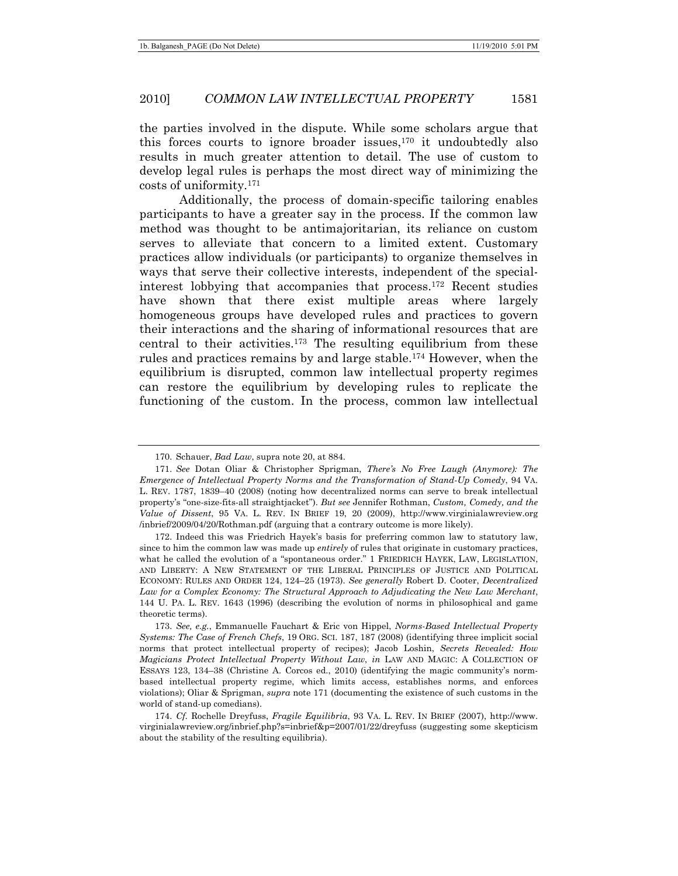the parties involved in the dispute. While some scholars argue that this forces courts to ignore broader issues,170 it undoubtedly also results in much greater attention to detail. The use of custom to develop legal rules is perhaps the most direct way of minimizing the costs of uniformity.171

Additionally, the process of domain-specific tailoring enables participants to have a greater say in the process. If the common law method was thought to be antimajoritarian, its reliance on custom serves to alleviate that concern to a limited extent. Customary practices allow individuals (or participants) to organize themselves in ways that serve their collective interests, independent of the specialinterest lobbying that accompanies that process.172 Recent studies have shown that there exist multiple areas where largely homogeneous groups have developed rules and practices to govern their interactions and the sharing of informational resources that are central to their activities.<sup>173</sup> The resulting equilibrium from these rules and practices remains by and large stable.174 However, when the equilibrium is disrupted, common law intellectual property regimes can restore the equilibrium by developing rules to replicate the functioning of the custom. In the process, common law intellectual

 <sup>170.</sup> Schauer, *Bad Law*, supra note 20, at 884.

<sup>171.</sup> *See* Dotan Oliar & Christopher Sprigman, *There's No Free Laugh (Anymore): The Emergence of Intellectual Property Norms and the Transformation of Stand-Up Comedy*, 94 VA. L. REV. 1787, 1839–40 (2008) (noting how decentralized norms can serve to break intellectual property's "one-size-fits-all straightjacket"). *But see* Jennifer Rothman, *Custom, Comedy, and the Value of Dissent*, 95 VA. L. REV. IN BRIEF 19, 20 (2009), http://www.virginialawreview.org /inbrief/2009/04/20/Rothman.pdf (arguing that a contrary outcome is more likely).

 <sup>172.</sup> Indeed this was Friedrich Hayek's basis for preferring common law to statutory law, since to him the common law was made up *entirely* of rules that originate in customary practices, what he called the evolution of a "spontaneous order." 1 FRIEDRICH HAYEK, LAW, LEGISLATION, AND LIBERTY: A NEW STATEMENT OF THE LIBERAL PRINCIPLES OF JUSTICE AND POLITICAL ECONOMY: RULES AND ORDER 124, 124–25 (1973). *See generally* Robert D. Cooter, *Decentralized Law for a Complex Economy: The Structural Approach to Adjudicating the New Law Merchant*, 144 U. PA. L. REV. 1643 (1996) (describing the evolution of norms in philosophical and game theoretic terms).

<sup>173.</sup> *See, e.g.*, Emmanuelle Fauchart & Eric von Hippel, *Norms-Based Intellectual Property Systems: The Case of French Chefs*, 19 ORG. SCI. 187, 187 (2008) (identifying three implicit social norms that protect intellectual property of recipes); Jacob Loshin, *Secrets Revealed: How Magicians Protect Intellectual Property Without Law*, *in* LAW AND MAGIC: A COLLECTION OF ESSAYS 123, 134–38 (Christine A. Corcos ed., 2010) (identifying the magic community's normbased intellectual property regime, which limits access, establishes norms, and enforces violations); Oliar & Sprigman, *supra* note 171 (documenting the existence of such customs in the world of stand-up comedians).

<sup>174.</sup> *Cf.* Rochelle Dreyfuss, *Fragile Equilibria*, 93 VA. L. REV. IN BRIEF (2007), http://www. virginialawreview.org/inbrief.php?s=inbrief&p=2007/01/22/dreyfuss (suggesting some skepticism about the stability of the resulting equilibria).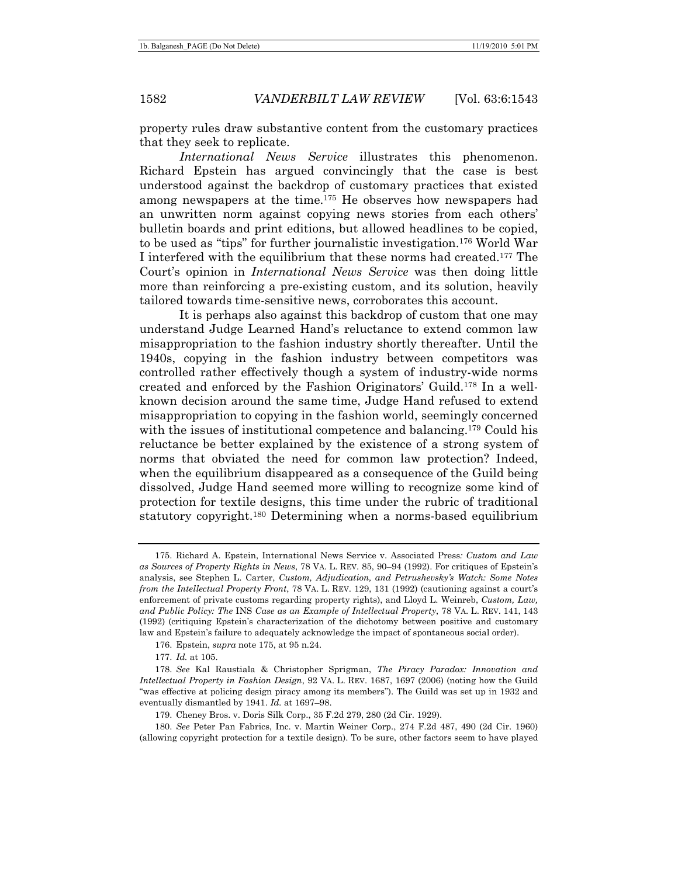property rules draw substantive content from the customary practices that they seek to replicate.

*International News Service* illustrates this phenomenon. Richard Epstein has argued convincingly that the case is best understood against the backdrop of customary practices that existed among newspapers at the time.175 He observes how newspapers had an unwritten norm against copying news stories from each others' bulletin boards and print editions, but allowed headlines to be copied, to be used as "tips" for further journalistic investigation.176 World War I interfered with the equilibrium that these norms had created.177 The Court's opinion in *International News Service* was then doing little more than reinforcing a pre-existing custom, and its solution, heavily tailored towards time-sensitive news, corroborates this account.

It is perhaps also against this backdrop of custom that one may understand Judge Learned Hand's reluctance to extend common law misappropriation to the fashion industry shortly thereafter. Until the 1940s, copying in the fashion industry between competitors was controlled rather effectively though a system of industry-wide norms created and enforced by the Fashion Originators' Guild.178 In a wellknown decision around the same time, Judge Hand refused to extend misappropriation to copying in the fashion world, seemingly concerned with the issues of institutional competence and balancing.<sup>179</sup> Could his reluctance be better explained by the existence of a strong system of norms that obviated the need for common law protection? Indeed, when the equilibrium disappeared as a consequence of the Guild being dissolved, Judge Hand seemed more willing to recognize some kind of protection for textile designs, this time under the rubric of traditional statutory copyright.180 Determining when a norms-based equilibrium

 <sup>175.</sup> Richard A. Epstein, International News Service v. Associated Press*: Custom and Law as Sources of Property Rights in News*, 78 VA. L. REV. 85, 90–94 (1992). For critiques of Epstein's analysis, see Stephen L. Carter, *Custom, Adjudication, and Petrushevsky's Watch: Some Notes from the Intellectual Property Front*, 78 VA. L. REV. 129, 131 (1992) (cautioning against a court's enforcement of private customs regarding property rights), and Lloyd L. Weinreb, *Custom, Law, and Public Policy: The* INS *Case as an Example of Intellectual Property*, 78 VA. L. REV. 141, 143 (1992) (critiquing Epstein's characterization of the dichotomy between positive and customary law and Epstein's failure to adequately acknowledge the impact of spontaneous social order).

 <sup>176.</sup> Epstein, *supra* note 175, at 95 n.24.

<sup>177.</sup> *Id.* at 105.

<sup>178.</sup> *See* Kal Raustiala & Christopher Sprigman, *The Piracy Paradox: Innovation and Intellectual Property in Fashion Design*, 92 VA. L. REV. 1687, 1697 (2006) (noting how the Guild "was effective at policing design piracy among its members"). The Guild was set up in 1932 and eventually dismantled by 1941. *Id.* at 1697–98.

 <sup>179.</sup> Cheney Bros. v. Doris Silk Corp., 35 F.2d 279, 280 (2d Cir. 1929).

<sup>180.</sup> *See* Peter Pan Fabrics, Inc. v. Martin Weiner Corp., 274 F.2d 487, 490 (2d Cir. 1960) (allowing copyright protection for a textile design). To be sure, other factors seem to have played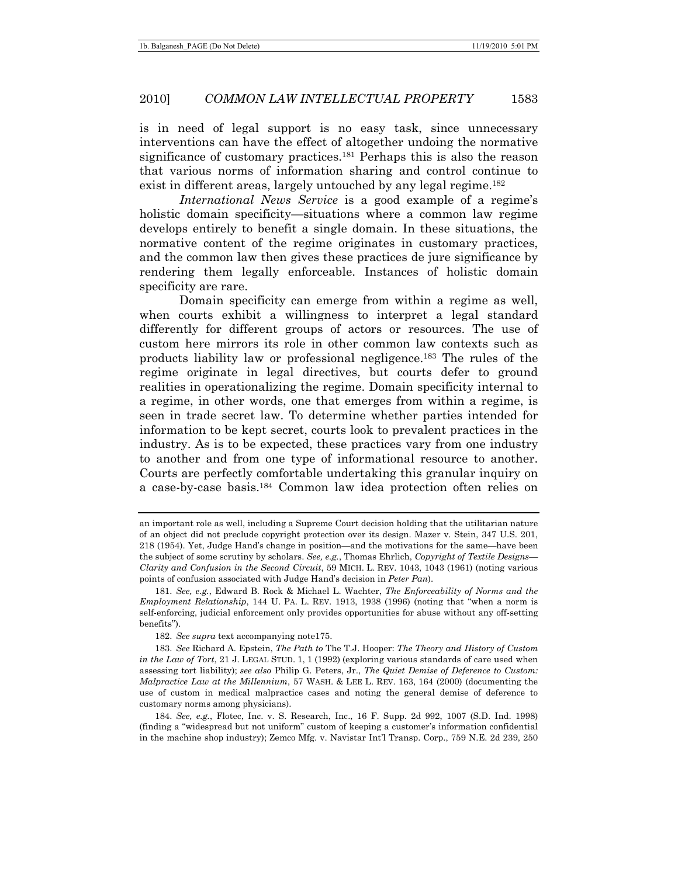is in need of legal support is no easy task, since unnecessary interventions can have the effect of altogether undoing the normative significance of customary practices.<sup>181</sup> Perhaps this is also the reason that various norms of information sharing and control continue to exist in different areas, largely untouched by any legal regime.<sup>182</sup>

*International News Service* is a good example of a regime's holistic domain specificity—situations where a common law regime develops entirely to benefit a single domain. In these situations, the normative content of the regime originates in customary practices, and the common law then gives these practices de jure significance by rendering them legally enforceable. Instances of holistic domain specificity are rare.

Domain specificity can emerge from within a regime as well, when courts exhibit a willingness to interpret a legal standard differently for different groups of actors or resources. The use of custom here mirrors its role in other common law contexts such as products liability law or professional negligence.183 The rules of the regime originate in legal directives, but courts defer to ground realities in operationalizing the regime. Domain specificity internal to a regime, in other words, one that emerges from within a regime, is seen in trade secret law. To determine whether parties intended for information to be kept secret, courts look to prevalent practices in the industry. As is to be expected, these practices vary from one industry to another and from one type of informational resource to another. Courts are perfectly comfortable undertaking this granular inquiry on a case-by-case basis.184 Common law idea protection often relies on

an important role as well, including a Supreme Court decision holding that the utilitarian nature of an object did not preclude copyright protection over its design. Mazer v. Stein, 347 U.S. 201, 218 (1954). Yet, Judge Hand's change in position—and the motivations for the same—have been the subject of some scrutiny by scholars. *See, e.g.*, Thomas Ehrlich, *Copyright of Textile Designs— Clarity and Confusion in the Second Circuit*, 59 MICH. L. REV. 1043, 1043 (1961) (noting various points of confusion associated with Judge Hand's decision in *Peter Pan*).

<sup>181.</sup> *See, e.g.*, Edward B. Rock & Michael L. Wachter, *The Enforceability of Norms and the Employment Relationship*, 144 U. PA. L. REV. 1913, 1938 (1996) (noting that "when a norm is self-enforcing, judicial enforcement only provides opportunities for abuse without any off-setting benefits").

<sup>182.</sup> *See supra* text accompanying note175.

<sup>183.</sup> *See* Richard A. Epstein, *The Path to* The T.J. Hooper: *The Theory and History of Custom in the Law of Tort*, 21 J. LEGAL STUD. 1, 1 (1992) (exploring various standards of care used when assessing tort liability); *see also* Philip G. Peters, Jr., *The Quiet Demise of Deference to Custom: Malpractice Law at the Millennium*, 57 WASH. & LEE L. REV. 163, 164 (2000) (documenting the use of custom in medical malpractice cases and noting the general demise of deference to customary norms among physicians).

<sup>184.</sup> *See, e.g.*, Flotec, Inc. v. S. Research, Inc., 16 F. Supp. 2d 992, 1007 (S.D. Ind. 1998) (finding a "widespread but not uniform" custom of keeping a customer's information confidential in the machine shop industry); Zemco Mfg. v. Navistar Int'l Transp. Corp., 759 N.E. 2d 239, 250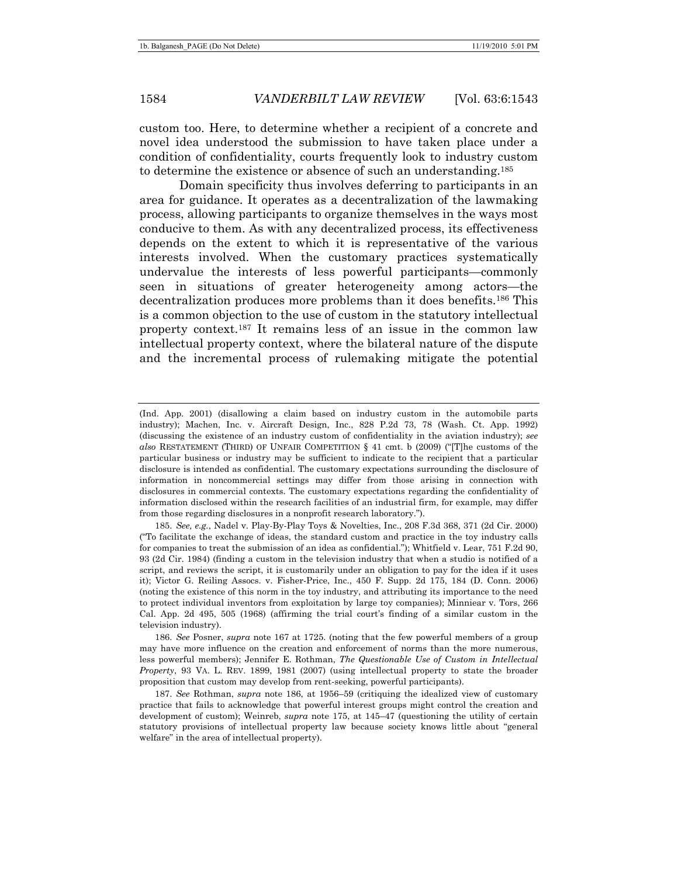custom too. Here, to determine whether a recipient of a concrete and novel idea understood the submission to have taken place under a condition of confidentiality, courts frequently look to industry custom to determine the existence or absence of such an understanding.185

Domain specificity thus involves deferring to participants in an area for guidance. It operates as a decentralization of the lawmaking process, allowing participants to organize themselves in the ways most conducive to them. As with any decentralized process, its effectiveness depends on the extent to which it is representative of the various interests involved. When the customary practices systematically undervalue the interests of less powerful participants—commonly seen in situations of greater heterogeneity among actors—the decentralization produces more problems than it does benefits.186 This is a common objection to the use of custom in the statutory intellectual property context.187 It remains less of an issue in the common law intellectual property context, where the bilateral nature of the dispute and the incremental process of rulemaking mitigate the potential

<sup>(</sup>Ind. App. 2001) (disallowing a claim based on industry custom in the automobile parts industry); Machen, Inc. v. Aircraft Design, Inc., 828 P.2d 73, 78 (Wash. Ct. App. 1992) (discussing the existence of an industry custom of confidentiality in the aviation industry); *see also* RESTATEMENT (THIRD) OF UNFAIR COMPETITION § 41 cmt. b (2009) ("[T]he customs of the particular business or industry may be sufficient to indicate to the recipient that a particular disclosure is intended as confidential. The customary expectations surrounding the disclosure of information in noncommercial settings may differ from those arising in connection with disclosures in commercial contexts. The customary expectations regarding the confidentiality of information disclosed within the research facilities of an industrial firm, for example, may differ from those regarding disclosures in a nonprofit research laboratory.").

<sup>185.</sup> *See, e.g.*, Nadel v. Play-By-Play Toys & Novelties, Inc., 208 F.3d 368, 371 (2d Cir. 2000) ("To facilitate the exchange of ideas, the standard custom and practice in the toy industry calls for companies to treat the submission of an idea as confidential."); Whitfield v. Lear, 751 F.2d 90, 93 (2d Cir. 1984) (finding a custom in the television industry that when a studio is notified of a script, and reviews the script, it is customarily under an obligation to pay for the idea if it uses it); Victor G. Reiling Assocs. v. Fisher-Price, Inc., 450 F. Supp. 2d 175, 184 (D. Conn. 2006) (noting the existence of this norm in the toy industry, and attributing its importance to the need to protect individual inventors from exploitation by large toy companies); Minniear v. Tors, 266 Cal. App. 2d 495, 505 (1968) (affirming the trial court's finding of a similar custom in the television industry).

<sup>186.</sup> *See* Posner, *supra* note 167 at 1725. (noting that the few powerful members of a group may have more influence on the creation and enforcement of norms than the more numerous, less powerful members); Jennifer E. Rothman, *The Questionable Use of Custom in Intellectual Property*, 93 VA. L. REV. 1899, 1981 (2007) (using intellectual property to state the broader proposition that custom may develop from rent-seeking, powerful participants).

<sup>187.</sup> *See* Rothman, *supra* note 186, at 1956–59 (critiquing the idealized view of customary practice that fails to acknowledge that powerful interest groups might control the creation and development of custom); Weinreb, *supra* note 175, at 145–47 (questioning the utility of certain statutory provisions of intellectual property law because society knows little about "general welfare" in the area of intellectual property).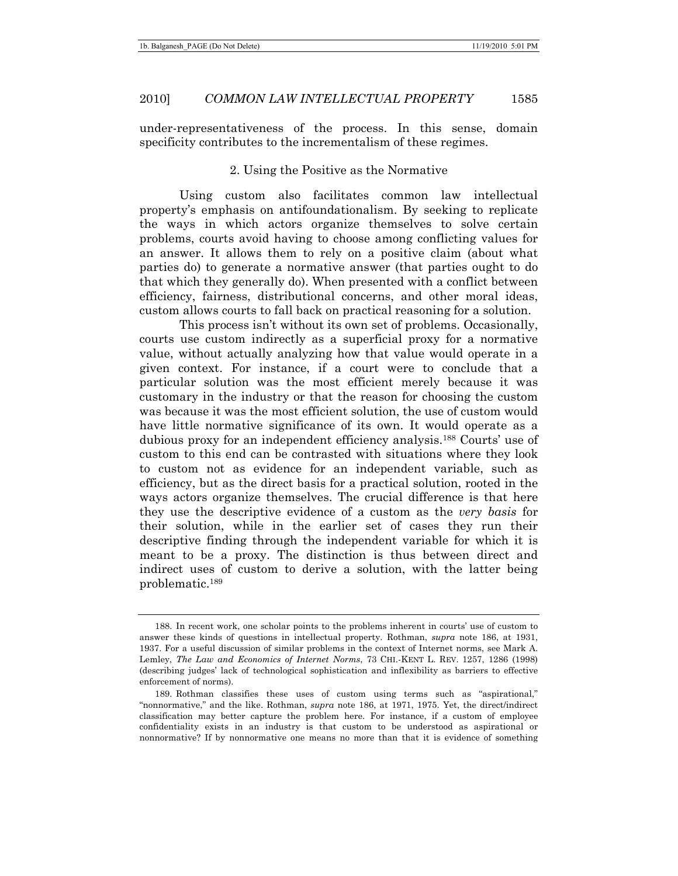under-representativeness of the process. In this sense, domain specificity contributes to the incrementalism of these regimes.

### 2. Using the Positive as the Normative

Using custom also facilitates common law intellectual property's emphasis on antifoundationalism. By seeking to replicate the ways in which actors organize themselves to solve certain problems, courts avoid having to choose among conflicting values for an answer. It allows them to rely on a positive claim (about what parties do) to generate a normative answer (that parties ought to do that which they generally do). When presented with a conflict between efficiency, fairness, distributional concerns, and other moral ideas, custom allows courts to fall back on practical reasoning for a solution.

This process isn't without its own set of problems. Occasionally, courts use custom indirectly as a superficial proxy for a normative value, without actually analyzing how that value would operate in a given context. For instance, if a court were to conclude that a particular solution was the most efficient merely because it was customary in the industry or that the reason for choosing the custom was because it was the most efficient solution, the use of custom would have little normative significance of its own. It would operate as a dubious proxy for an independent efficiency analysis.188 Courts' use of custom to this end can be contrasted with situations where they look to custom not as evidence for an independent variable, such as efficiency, but as the direct basis for a practical solution, rooted in the ways actors organize themselves. The crucial difference is that here they use the descriptive evidence of a custom as the *very basis* for their solution, while in the earlier set of cases they run their descriptive finding through the independent variable for which it is meant to be a proxy. The distinction is thus between direct and indirect uses of custom to derive a solution, with the latter being problematic.189

 <sup>188.</sup> In recent work, one scholar points to the problems inherent in courts' use of custom to answer these kinds of questions in intellectual property. Rothman, *supra* note 186, at 1931, 1937. For a useful discussion of similar problems in the context of Internet norms, see Mark A. Lemley, *The Law and Economics of Internet Norms*, 73 CHI.-KENT L. REV. 1257, 1286 (1998) (describing judges' lack of technological sophistication and inflexibility as barriers to effective enforcement of norms).

 <sup>189.</sup> Rothman classifies these uses of custom using terms such as "aspirational," "nonnormative," and the like. Rothman, *supra* note 186, at 1971, 1975. Yet, the direct/indirect classification may better capture the problem here. For instance, if a custom of employee confidentiality exists in an industry is that custom to be understood as aspirational or nonnormative? If by nonnormative one means no more than that it is evidence of something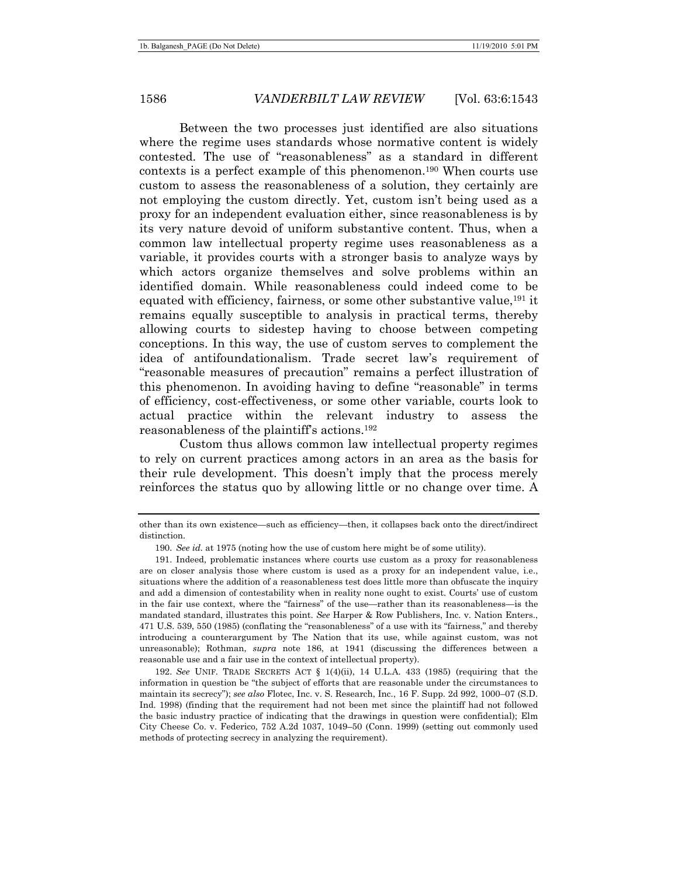Between the two processes just identified are also situations where the regime uses standards whose normative content is widely contested. The use of "reasonableness" as a standard in different contexts is a perfect example of this phenomenon.190 When courts use custom to assess the reasonableness of a solution, they certainly are not employing the custom directly. Yet, custom isn't being used as a proxy for an independent evaluation either, since reasonableness is by its very nature devoid of uniform substantive content. Thus, when a common law intellectual property regime uses reasonableness as a variable, it provides courts with a stronger basis to analyze ways by which actors organize themselves and solve problems within an identified domain. While reasonableness could indeed come to be equated with efficiency, fairness, or some other substantive value,191 it remains equally susceptible to analysis in practical terms, thereby allowing courts to sidestep having to choose between competing conceptions. In this way, the use of custom serves to complement the idea of antifoundationalism. Trade secret law's requirement of "reasonable measures of precaution" remains a perfect illustration of this phenomenon. In avoiding having to define "reasonable" in terms of efficiency, cost-effectiveness, or some other variable, courts look to actual practice within the relevant industry to assess the reasonableness of the plaintiff's actions.192

Custom thus allows common law intellectual property regimes to rely on current practices among actors in an area as the basis for their rule development. This doesn't imply that the process merely reinforces the status quo by allowing little or no change over time. A

other than its own existence—such as efficiency—then, it collapses back onto the direct/indirect distinction.

<sup>190.</sup> *See id.* at 1975 (noting how the use of custom here might be of some utility).

 <sup>191.</sup> Indeed, problematic instances where courts use custom as a proxy for reasonableness are on closer analysis those where custom is used as a proxy for an independent value, i.e., situations where the addition of a reasonableness test does little more than obfuscate the inquiry and add a dimension of contestability when in reality none ought to exist. Courts' use of custom in the fair use context, where the "fairness" of the use—rather than its reasonableness—is the mandated standard, illustrates this point. *See* Harper & Row Publishers, Inc. v. Nation Enters., 471 U.S. 539, 550 (1985) (conflating the "reasonableness" of a use with its "fairness," and thereby introducing a counterargument by The Nation that its use, while against custom, was not unreasonable); Rothman, *supra* note 186, at 1941 (discussing the differences between a reasonable use and a fair use in the context of intellectual property).

<sup>192.</sup> *See* UNIF. TRADE SECRETS ACT § 1(4)(ii), 14 U.L.A. 433 (1985) (requiring that the information in question be "the subject of efforts that are reasonable under the circumstances to maintain its secrecy"); *see also* Flotec, Inc. v. S. Research, Inc., 16 F. Supp. 2d 992, 1000–07 (S.D. Ind. 1998) (finding that the requirement had not been met since the plaintiff had not followed the basic industry practice of indicating that the drawings in question were confidential); Elm City Cheese Co. v. Federico, 752 A.2d 1037, 1049–50 (Conn. 1999) (setting out commonly used methods of protecting secrecy in analyzing the requirement).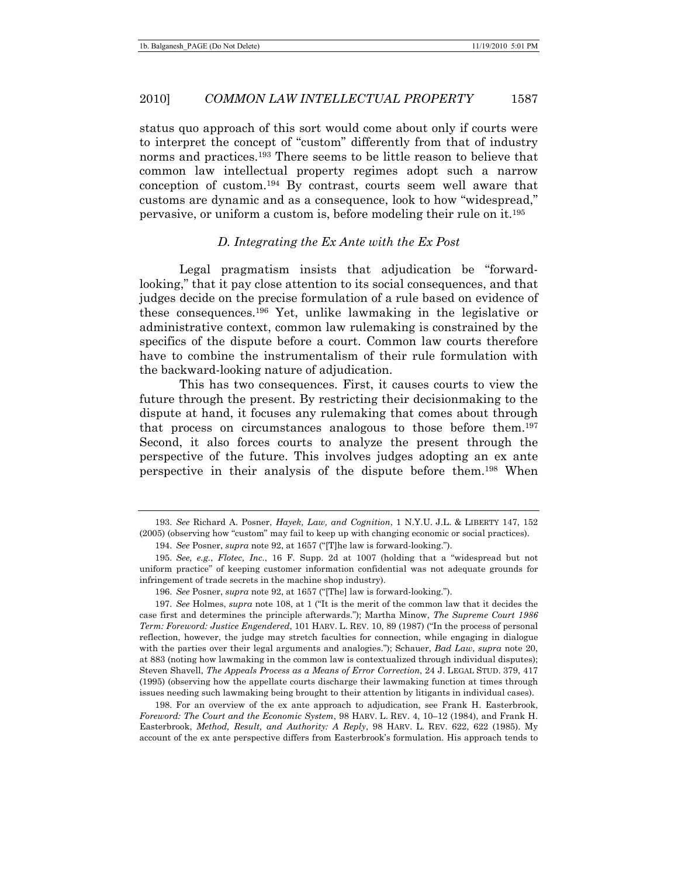status quo approach of this sort would come about only if courts were to interpret the concept of "custom" differently from that of industry norms and practices.193 There seems to be little reason to believe that common law intellectual property regimes adopt such a narrow conception of custom.194 By contrast, courts seem well aware that customs are dynamic and as a consequence, look to how "widespread," pervasive, or uniform a custom is, before modeling their rule on it.195

### *D. Integrating the Ex Ante with the Ex Post*

Legal pragmatism insists that adjudication be "forwardlooking," that it pay close attention to its social consequences, and that judges decide on the precise formulation of a rule based on evidence of these consequences.196 Yet, unlike lawmaking in the legislative or administrative context, common law rulemaking is constrained by the specifics of the dispute before a court. Common law courts therefore have to combine the instrumentalism of their rule formulation with the backward-looking nature of adjudication.

This has two consequences. First, it causes courts to view the future through the present. By restricting their decisionmaking to the dispute at hand, it focuses any rulemaking that comes about through that process on circumstances analogous to those before them.197 Second, it also forces courts to analyze the present through the perspective of the future. This involves judges adopting an ex ante perspective in their analysis of the dispute before them.198 When

 198. For an overview of the ex ante approach to adjudication, see Frank H. Easterbrook, *Foreword: The Court and the Economic System*, 98 HARV. L. REV. 4, 10–12 (1984), and Frank H. Easterbrook, *Method, Result, and Authority: A Reply*, 98 HARV. L. REV. 622, 622 (1985). My account of the ex ante perspective differs from Easterbrook's formulation. His approach tends to

<sup>193.</sup> *See* Richard A. Posner, *Hayek, Law, and Cognition*, 1 N.Y.U. J.L. & LIBERTY 147, 152 (2005) (observing how "custom" may fail to keep up with changing economic or social practices).

<sup>194.</sup> *See* Posner, *supra* note 92, at 1657 ("[T]he law is forward-looking.").

<sup>195.</sup> *See, e.g.*, *Flotec, Inc.*, 16 F. Supp. 2d at 1007 (holding that a "widespread but not uniform practice" of keeping customer information confidential was not adequate grounds for infringement of trade secrets in the machine shop industry).

<sup>196.</sup> *See* Posner, *supra* note 92, at 1657 ("[The] law is forward-looking.").

<sup>197.</sup> *See* Holmes, *supra* note 108, at 1 ("It is the merit of the common law that it decides the case first and determines the principle afterwards."); Martha Minow, *The Supreme Court 1986 Term: Foreword: Justice Engendered*, 101 HARV. L. REV. 10, 89 (1987) ("In the process of personal reflection, however, the judge may stretch faculties for connection, while engaging in dialogue with the parties over their legal arguments and analogies."); Schauer, *Bad Law*, *supra* note 20, at 883 (noting how lawmaking in the common law is contextualized through individual disputes); Steven Shavell, *The Appeals Process as a Means of Error Correction*, 24 J. LEGAL STUD. 379, 417 (1995) (observing how the appellate courts discharge their lawmaking function at times through issues needing such lawmaking being brought to their attention by litigants in individual cases).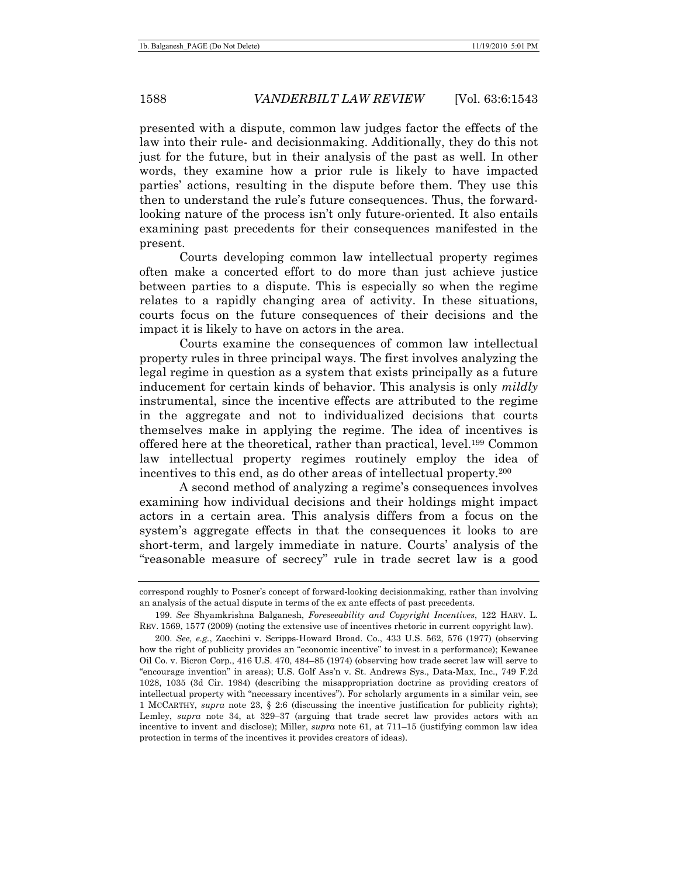presented with a dispute, common law judges factor the effects of the law into their rule- and decisionmaking. Additionally, they do this not just for the future, but in their analysis of the past as well. In other words, they examine how a prior rule is likely to have impacted parties' actions, resulting in the dispute before them. They use this then to understand the rule's future consequences. Thus, the forwardlooking nature of the process isn't only future-oriented. It also entails examining past precedents for their consequences manifested in the present.

Courts developing common law intellectual property regimes often make a concerted effort to do more than just achieve justice between parties to a dispute. This is especially so when the regime relates to a rapidly changing area of activity. In these situations, courts focus on the future consequences of their decisions and the impact it is likely to have on actors in the area.

Courts examine the consequences of common law intellectual property rules in three principal ways. The first involves analyzing the legal regime in question as a system that exists principally as a future inducement for certain kinds of behavior. This analysis is only *mildly* instrumental, since the incentive effects are attributed to the regime in the aggregate and not to individualized decisions that courts themselves make in applying the regime. The idea of incentives is offered here at the theoretical, rather than practical, level.199 Common law intellectual property regimes routinely employ the idea of incentives to this end, as do other areas of intellectual property.200

A second method of analyzing a regime's consequences involves examining how individual decisions and their holdings might impact actors in a certain area. This analysis differs from a focus on the system's aggregate effects in that the consequences it looks to are short-term, and largely immediate in nature. Courts' analysis of the "reasonable measure of secrecy" rule in trade secret law is a good

correspond roughly to Posner's concept of forward-looking decisionmaking, rather than involving an analysis of the actual dispute in terms of the ex ante effects of past precedents.

<sup>199.</sup> *See* Shyamkrishna Balganesh, *Foreseeability and Copyright Incentives*, 122 HARV. L. REV. 1569, 1577 (2009) (noting the extensive use of incentives rhetoric in current copyright law).

<sup>200.</sup> *See, e.g.*, Zacchini v. Scripps-Howard Broad. Co., 433 U.S. 562, 576 (1977) (observing how the right of publicity provides an "economic incentive" to invest in a performance); Kewanee Oil Co. v. Bicron Corp., 416 U.S. 470, 484–85 (1974) (observing how trade secret law will serve to "encourage invention" in areas); U.S. Golf Ass'n v. St. Andrews Sys., Data-Max, Inc., 749 F.2d 1028, 1035 (3d Cir. 1984) (describing the misappropriation doctrine as providing creators of intellectual property with "necessary incentives"). For scholarly arguments in a similar vein, see 1 MCCARTHY, *supra* note 23, § 2:6 (discussing the incentive justification for publicity rights); Lemley, *supra* note 34, at 329–37 (arguing that trade secret law provides actors with an incentive to invent and disclose); Miller, *supra* note 61, at 711–15 (justifying common law idea protection in terms of the incentives it provides creators of ideas).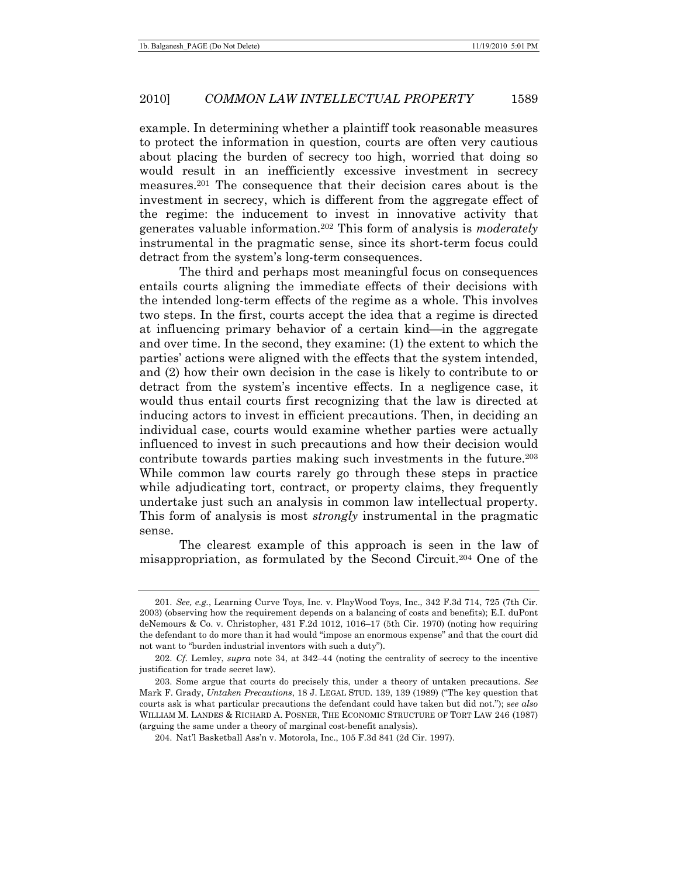example. In determining whether a plaintiff took reasonable measures to protect the information in question, courts are often very cautious about placing the burden of secrecy too high, worried that doing so would result in an inefficiently excessive investment in secrecy measures.201 The consequence that their decision cares about is the investment in secrecy, which is different from the aggregate effect of the regime: the inducement to invest in innovative activity that generates valuable information.202 This form of analysis is *moderately* instrumental in the pragmatic sense, since its short-term focus could detract from the system's long-term consequences.

The third and perhaps most meaningful focus on consequences entails courts aligning the immediate effects of their decisions with the intended long-term effects of the regime as a whole. This involves two steps. In the first, courts accept the idea that a regime is directed at influencing primary behavior of a certain kind—in the aggregate and over time. In the second, they examine: (1) the extent to which the parties' actions were aligned with the effects that the system intended, and (2) how their own decision in the case is likely to contribute to or detract from the system's incentive effects. In a negligence case, it would thus entail courts first recognizing that the law is directed at inducing actors to invest in efficient precautions. Then, in deciding an individual case, courts would examine whether parties were actually influenced to invest in such precautions and how their decision would contribute towards parties making such investments in the future.<sup>203</sup> While common law courts rarely go through these steps in practice while adjudicating tort, contract, or property claims, they frequently undertake just such an analysis in common law intellectual property. This form of analysis is most *strongly* instrumental in the pragmatic sense.

The clearest example of this approach is seen in the law of misappropriation, as formulated by the Second Circuit.204 One of the

<sup>201.</sup> *See, e.g.*, Learning Curve Toys, Inc. v. PlayWood Toys, Inc., 342 F.3d 714, 725 (7th Cir. 2003) (observing how the requirement depends on a balancing of costs and benefits); E.I. duPont deNemours & Co. v. Christopher, 431 F.2d 1012, 1016–17 (5th Cir. 1970) (noting how requiring the defendant to do more than it had would "impose an enormous expense" and that the court did not want to "burden industrial inventors with such a duty").

<sup>202.</sup> *Cf.* Lemley, *supra* note 34, at 342–44 (noting the centrality of secrecy to the incentive justification for trade secret law).

 <sup>203.</sup> Some argue that courts do precisely this, under a theory of untaken precautions. *See* Mark F. Grady, *Untaken Precautions*, 18 J. LEGAL STUD. 139, 139 (1989) ("The key question that courts ask is what particular precautions the defendant could have taken but did not."); s*ee also* WILLIAM M. LANDES & RICHARD A. POSNER, THE ECONOMIC STRUCTURE OF TORT LAW 246 (1987) (arguing the same under a theory of marginal cost-benefit analysis).

 <sup>204.</sup> Nat'l Basketball Ass'n v. Motorola, Inc., 105 F.3d 841 (2d Cir. 1997).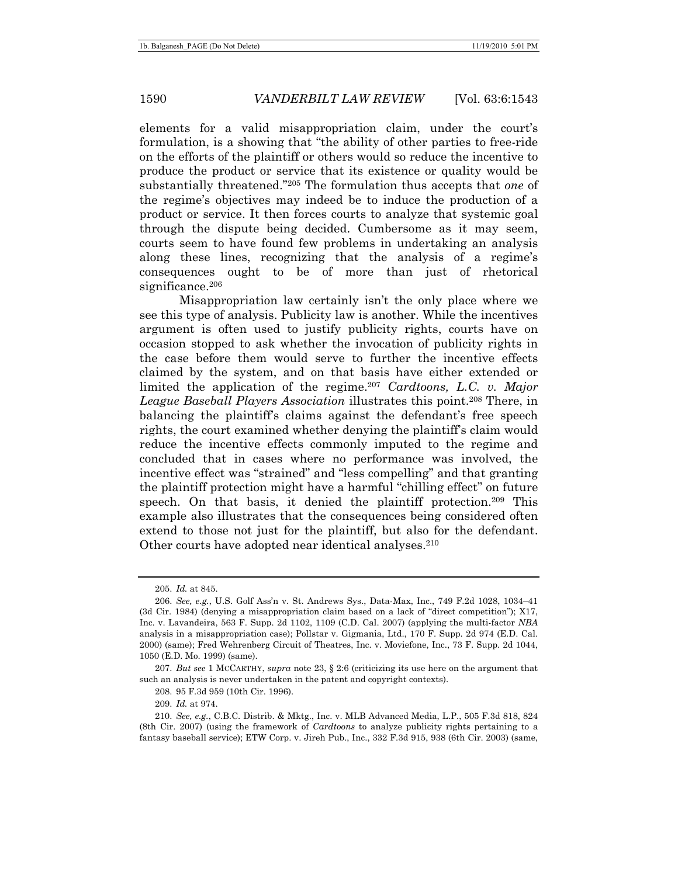elements for a valid misappropriation claim, under the court's formulation, is a showing that "the ability of other parties to free-ride on the efforts of the plaintiff or others would so reduce the incentive to produce the product or service that its existence or quality would be substantially threatened."205 The formulation thus accepts that *one* of the regime's objectives may indeed be to induce the production of a product or service. It then forces courts to analyze that systemic goal through the dispute being decided. Cumbersome as it may seem, courts seem to have found few problems in undertaking an analysis along these lines, recognizing that the analysis of a regime's consequences ought to be of more than just of rhetorical significance.<sup>206</sup>

Misappropriation law certainly isn't the only place where we see this type of analysis. Publicity law is another. While the incentives argument is often used to justify publicity rights, courts have on occasion stopped to ask whether the invocation of publicity rights in the case before them would serve to further the incentive effects claimed by the system, and on that basis have either extended or limited the application of the regime.207 *Cardtoons, L.C. v. Major League Baseball Players Association* illustrates this point.208 There, in balancing the plaintiff's claims against the defendant's free speech rights, the court examined whether denying the plaintiff's claim would reduce the incentive effects commonly imputed to the regime and concluded that in cases where no performance was involved, the incentive effect was "strained" and "less compelling" and that granting the plaintiff protection might have a harmful "chilling effect" on future speech. On that basis, it denied the plaintiff protection.209 This example also illustrates that the consequences being considered often extend to those not just for the plaintiff, but also for the defendant. Other courts have adopted near identical analyses.210

<sup>205.</sup> *Id.* at 845.

<sup>206.</sup> *See, e.g.*, U.S. Golf Ass'n v. St. Andrews Sys., Data-Max, Inc., 749 F.2d 1028, 1034–41 (3d Cir. 1984) (denying a misappropriation claim based on a lack of "direct competition"); X17, Inc. v. Lavandeira, 563 F. Supp. 2d 1102, 1109 (C.D. Cal. 2007) (applying the multi-factor *NBA* analysis in a misappropriation case); Pollstar v. Gigmania, Ltd., 170 F. Supp. 2d 974 (E.D. Cal. 2000) (same); Fred Wehrenberg Circuit of Theatres, Inc. v. Moviefone, Inc., 73 F. Supp. 2d 1044, 1050 (E.D. Mo. 1999) (same).

<sup>207.</sup> *But see* 1 MCCARTHY, *supra* note 23, § 2:6 (criticizing its use here on the argument that such an analysis is never undertaken in the patent and copyright contexts).

 <sup>208. 95</sup> F.3d 959 (10th Cir. 1996).

<sup>209.</sup> *Id.* at 974.

<sup>210.</sup> *See, e.g.*, C.B.C. Distrib. & Mktg., Inc. v. MLB Advanced Media, L.P., 505 F.3d 818, 824 (8th Cir. 2007) (using the framework of *Cardtoons* to analyze publicity rights pertaining to a fantasy baseball service); ETW Corp. v. Jireh Pub., Inc., 332 F.3d 915, 938 (6th Cir. 2003) (same,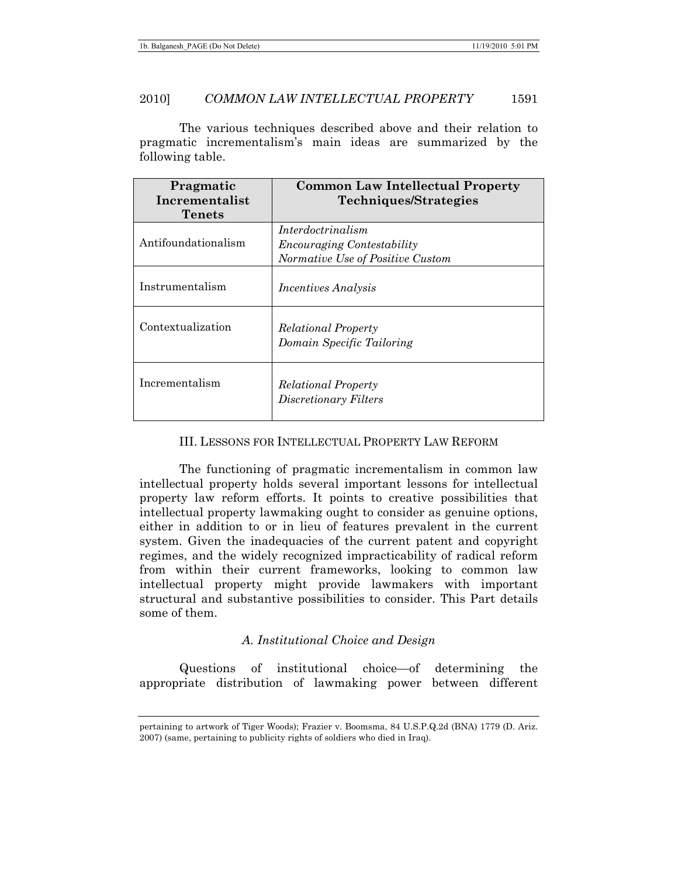The various techniques described above and their relation to pragmatic incrementalism's main ideas are summarized by the following table.

| Pragmatic<br>Incrementalist<br>Tenets | <b>Common Law Intellectual Property</b><br>Techniques/Strategies                           |
|---------------------------------------|--------------------------------------------------------------------------------------------|
| Antifoundationalism                   | Interdoctrinalism<br><b>Encouraging Contestability</b><br>Normative Use of Positive Custom |
| Instrumentalism                       | <i>Incentives Analysis</i>                                                                 |
| Contextualization                     | <b>Relational Property</b><br>Domain Specific Tailoring                                    |
| Incrementalism                        | <b>Relational Property</b><br>Discretionary Filters                                        |

## III. LESSONS FOR INTELLECTUAL PROPERTY LAW REFORM

The functioning of pragmatic incrementalism in common law intellectual property holds several important lessons for intellectual property law reform efforts. It points to creative possibilities that intellectual property lawmaking ought to consider as genuine options, either in addition to or in lieu of features prevalent in the current system. Given the inadequacies of the current patent and copyright regimes, and the widely recognized impracticability of radical reform from within their current frameworks, looking to common law intellectual property might provide lawmakers with important structural and substantive possibilities to consider. This Part details some of them.

# *A. Institutional Choice and Design*

Questions of institutional choice—of determining the appropriate distribution of lawmaking power between different

pertaining to artwork of Tiger Woods); Frazier v. Boomsma, 84 U.S.P.Q.2d (BNA) 1779 (D. Ariz. 2007) (same, pertaining to publicity rights of soldiers who died in Iraq).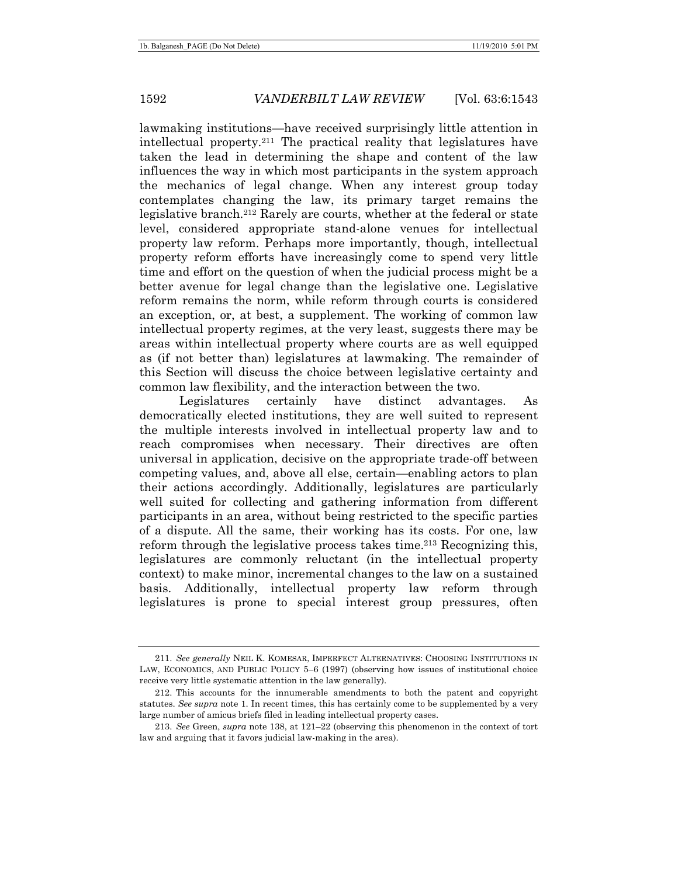lawmaking institutions—have received surprisingly little attention in intellectual property.211 The practical reality that legislatures have taken the lead in determining the shape and content of the law influences the way in which most participants in the system approach the mechanics of legal change. When any interest group today contemplates changing the law, its primary target remains the legislative branch.212 Rarely are courts, whether at the federal or state level, considered appropriate stand-alone venues for intellectual property law reform. Perhaps more importantly, though, intellectual property reform efforts have increasingly come to spend very little time and effort on the question of when the judicial process might be a better avenue for legal change than the legislative one. Legislative reform remains the norm, while reform through courts is considered an exception, or, at best, a supplement. The working of common law intellectual property regimes, at the very least, suggests there may be areas within intellectual property where courts are as well equipped as (if not better than) legislatures at lawmaking. The remainder of this Section will discuss the choice between legislative certainty and common law flexibility, and the interaction between the two.

Legislatures certainly have distinct advantages. As democratically elected institutions, they are well suited to represent the multiple interests involved in intellectual property law and to reach compromises when necessary. Their directives are often universal in application, decisive on the appropriate trade-off between competing values, and, above all else, certain—enabling actors to plan their actions accordingly. Additionally, legislatures are particularly well suited for collecting and gathering information from different participants in an area, without being restricted to the specific parties of a dispute. All the same, their working has its costs. For one, law reform through the legislative process takes time.<sup>213</sup> Recognizing this, legislatures are commonly reluctant (in the intellectual property context) to make minor, incremental changes to the law on a sustained basis. Additionally, intellectual property law reform through legislatures is prone to special interest group pressures, often

<sup>211.</sup> *See generally* NEIL K. KOMESAR, IMPERFECT ALTERNATIVES: CHOOSING INSTITUTIONS IN LAW, ECONOMICS, AND PUBLIC POLICY 5–6 (1997) (observing how issues of institutional choice receive very little systematic attention in the law generally).

 <sup>212.</sup> This accounts for the innumerable amendments to both the patent and copyright statutes. *See supra* note 1. In recent times, this has certainly come to be supplemented by a very large number of amicus briefs filed in leading intellectual property cases.

<sup>213.</sup> *See* Green, *supra* note 138, at 121–22 (observing this phenomenon in the context of tort law and arguing that it favors judicial law-making in the area).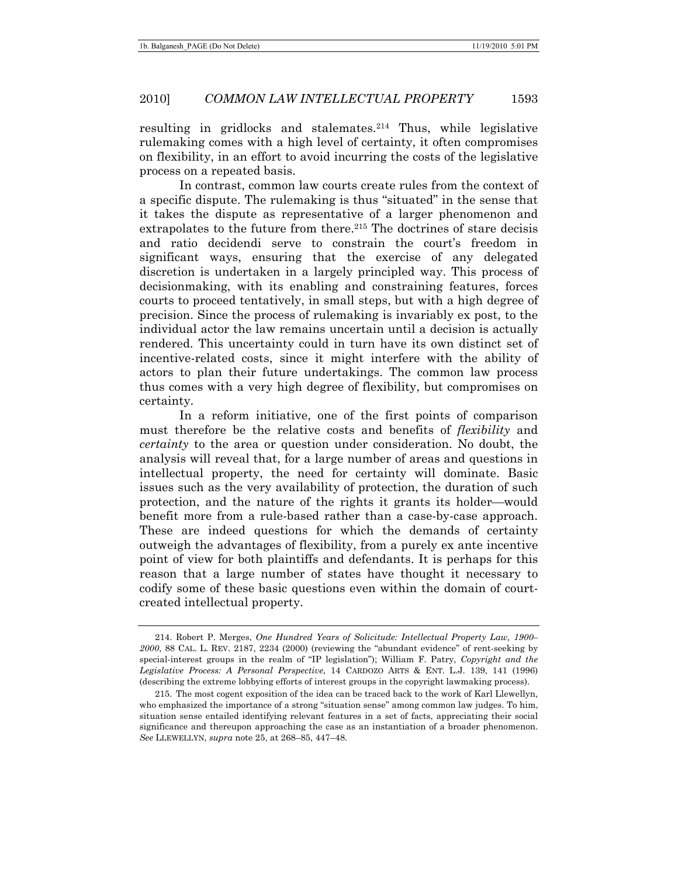resulting in gridlocks and stalemates.<sup>214</sup> Thus, while legislative rulemaking comes with a high level of certainty, it often compromises on flexibility, in an effort to avoid incurring the costs of the legislative process on a repeated basis.

In contrast, common law courts create rules from the context of a specific dispute. The rulemaking is thus "situated" in the sense that it takes the dispute as representative of a larger phenomenon and extrapolates to the future from there.215 The doctrines of stare decisis and ratio decidendi serve to constrain the court's freedom in significant ways, ensuring that the exercise of any delegated discretion is undertaken in a largely principled way. This process of decisionmaking, with its enabling and constraining features, forces courts to proceed tentatively, in small steps, but with a high degree of precision. Since the process of rulemaking is invariably ex post, to the individual actor the law remains uncertain until a decision is actually rendered. This uncertainty could in turn have its own distinct set of incentive-related costs, since it might interfere with the ability of actors to plan their future undertakings. The common law process thus comes with a very high degree of flexibility, but compromises on certainty.

In a reform initiative, one of the first points of comparison must therefore be the relative costs and benefits of *flexibility* and *certainty* to the area or question under consideration. No doubt, the analysis will reveal that, for a large number of areas and questions in intellectual property, the need for certainty will dominate. Basic issues such as the very availability of protection, the duration of such protection, and the nature of the rights it grants its holder—would benefit more from a rule-based rather than a case-by-case approach. These are indeed questions for which the demands of certainty outweigh the advantages of flexibility, from a purely ex ante incentive point of view for both plaintiffs and defendants. It is perhaps for this reason that a large number of states have thought it necessary to codify some of these basic questions even within the domain of courtcreated intellectual property.

 <sup>214.</sup> Robert P. Merges, *One Hundred Years of Solicitude: Intellectual Property Law, 1900– 2000*, 88 CAL. L. REV. 2187, 2234 (2000) (reviewing the "abundant evidence" of rent-seeking by special-interest groups in the realm of "IP legislation"); William F. Patry, *Copyright and the Legislative Process: A Personal Perspective*, 14 CARDOZO ARTS & ENT. L.J. 139, 141 (1996) (describing the extreme lobbying efforts of interest groups in the copyright lawmaking process).

 <sup>215.</sup> The most cogent exposition of the idea can be traced back to the work of Karl Llewellyn, who emphasized the importance of a strong "situation sense" among common law judges. To him, situation sense entailed identifying relevant features in a set of facts, appreciating their social significance and thereupon approaching the case as an instantiation of a broader phenomenon. *See* LLEWELLYN, *supra* note 25, at 268–85, 447–48.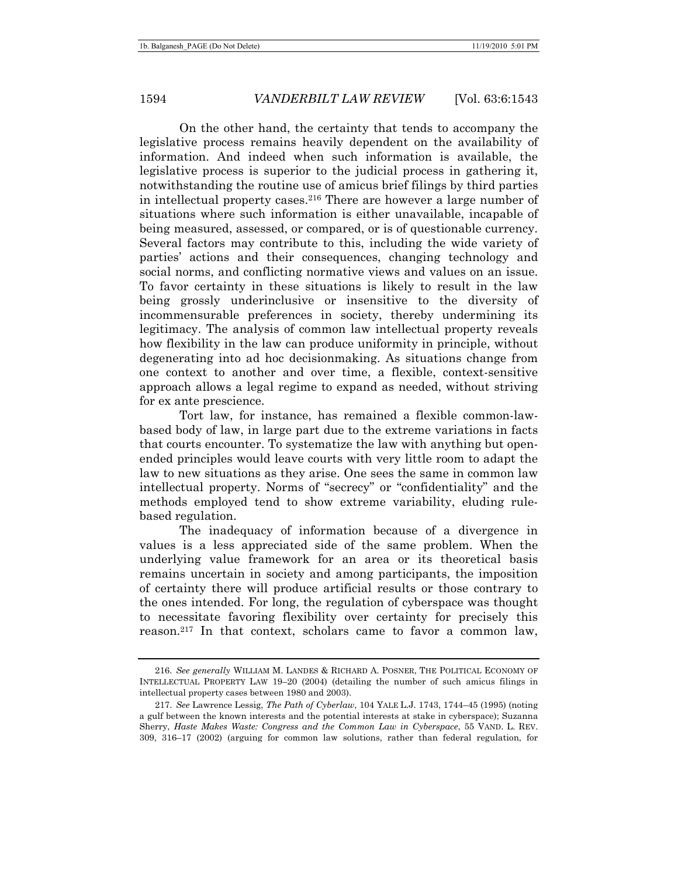On the other hand, the certainty that tends to accompany the legislative process remains heavily dependent on the availability of information. And indeed when such information is available, the legislative process is superior to the judicial process in gathering it, notwithstanding the routine use of amicus brief filings by third parties in intellectual property cases.216 There are however a large number of situations where such information is either unavailable, incapable of being measured, assessed, or compared, or is of questionable currency. Several factors may contribute to this, including the wide variety of parties' actions and their consequences, changing technology and social norms, and conflicting normative views and values on an issue. To favor certainty in these situations is likely to result in the law being grossly underinclusive or insensitive to the diversity of incommensurable preferences in society, thereby undermining its legitimacy. The analysis of common law intellectual property reveals how flexibility in the law can produce uniformity in principle, without degenerating into ad hoc decisionmaking. As situations change from one context to another and over time, a flexible, context-sensitive approach allows a legal regime to expand as needed, without striving for ex ante prescience.

Tort law, for instance, has remained a flexible common-lawbased body of law, in large part due to the extreme variations in facts that courts encounter. To systematize the law with anything but openended principles would leave courts with very little room to adapt the law to new situations as they arise. One sees the same in common law intellectual property. Norms of "secrecy" or "confidentiality" and the methods employed tend to show extreme variability, eluding rulebased regulation.

The inadequacy of information because of a divergence in values is a less appreciated side of the same problem. When the underlying value framework for an area or its theoretical basis remains uncertain in society and among participants, the imposition of certainty there will produce artificial results or those contrary to the ones intended. For long, the regulation of cyberspace was thought to necessitate favoring flexibility over certainty for precisely this reason.217 In that context, scholars came to favor a common law,

<sup>216.</sup> *See generally* WILLIAM M. LANDES & RICHARD A. POSNER, THE POLITICAL ECONOMY OF INTELLECTUAL PROPERTY LAW 19–20 (2004) (detailing the number of such amicus filings in intellectual property cases between 1980 and 2003).

<sup>217.</sup> *See* Lawrence Lessig, *The Path of Cyberlaw*, 104 YALE L.J. 1743, 1744–45 (1995) (noting a gulf between the known interests and the potential interests at stake in cyberspace); Suzanna Sherry, *Haste Makes Waste: Congress and the Common Law in Cyberspace*, 55 VAND. L. REV. 309, 316–17 (2002) (arguing for common law solutions, rather than federal regulation, for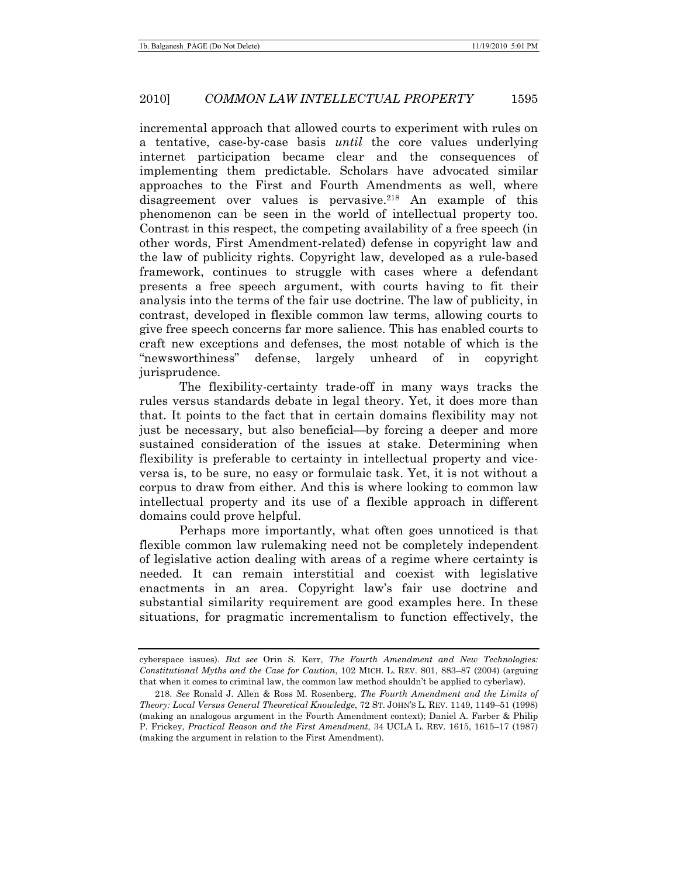incremental approach that allowed courts to experiment with rules on a tentative, case-by-case basis *until* the core values underlying internet participation became clear and the consequences of implementing them predictable. Scholars have advocated similar approaches to the First and Fourth Amendments as well, where disagreement over values is pervasive.<sup>218</sup> An example of this phenomenon can be seen in the world of intellectual property too. Contrast in this respect, the competing availability of a free speech (in other words, First Amendment-related) defense in copyright law and the law of publicity rights. Copyright law, developed as a rule-based framework, continues to struggle with cases where a defendant presents a free speech argument, with courts having to fit their analysis into the terms of the fair use doctrine. The law of publicity, in contrast, developed in flexible common law terms, allowing courts to give free speech concerns far more salience. This has enabled courts to craft new exceptions and defenses, the most notable of which is the "newsworthiness" defense, largely unheard of in copyright jurisprudence.

The flexibility-certainty trade-off in many ways tracks the rules versus standards debate in legal theory. Yet, it does more than that. It points to the fact that in certain domains flexibility may not just be necessary, but also beneficial—by forcing a deeper and more sustained consideration of the issues at stake. Determining when flexibility is preferable to certainty in intellectual property and viceversa is, to be sure, no easy or formulaic task. Yet, it is not without a corpus to draw from either. And this is where looking to common law intellectual property and its use of a flexible approach in different domains could prove helpful.

Perhaps more importantly, what often goes unnoticed is that flexible common law rulemaking need not be completely independent of legislative action dealing with areas of a regime where certainty is needed. It can remain interstitial and coexist with legislative enactments in an area. Copyright law's fair use doctrine and substantial similarity requirement are good examples here. In these situations, for pragmatic incrementalism to function effectively, the

cyberspace issues). *But see* Orin S. Kerr, *The Fourth Amendment and New Technologies: Constitutional Myths and the Case for Caution*, 102 MICH. L. REV. 801, 883–87 (2004) (arguing that when it comes to criminal law, the common law method shouldn't be applied to cyberlaw).

<sup>218.</sup> *See* Ronald J. Allen & Ross M. Rosenberg, *The Fourth Amendment and the Limits of Theory: Local Versus General Theoretical Knowledge*, 72 ST. JOHN'S L. REV. 1149, 1149–51 (1998) (making an analogous argument in the Fourth Amendment context); Daniel A. Farber & Philip P. Frickey, *Practical Reason and the First Amendment*, 34 UCLA L. REV. 1615, 1615–17 (1987) (making the argument in relation to the First Amendment).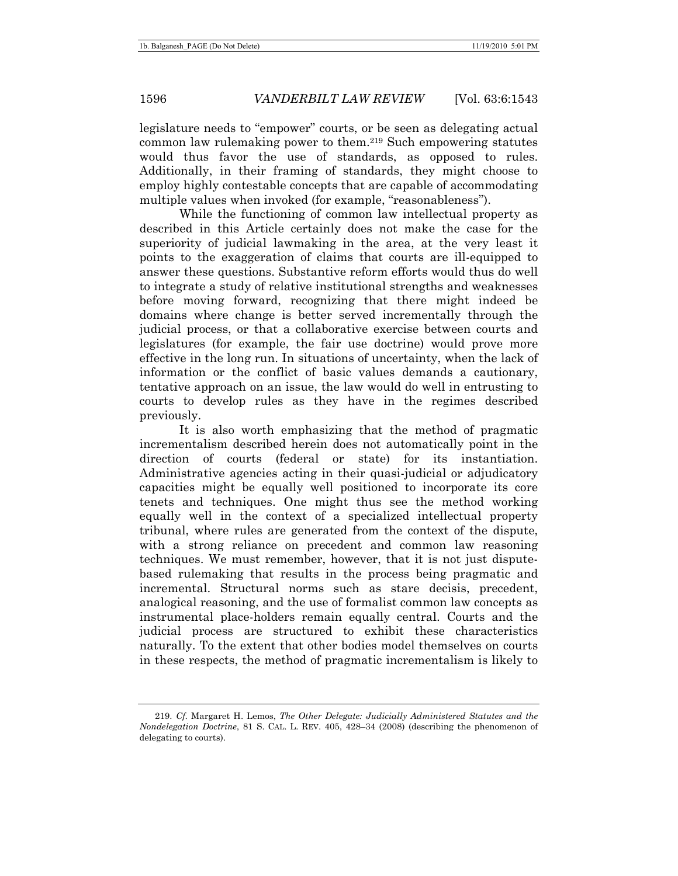legislature needs to "empower" courts, or be seen as delegating actual common law rulemaking power to them.219 Such empowering statutes would thus favor the use of standards, as opposed to rules. Additionally, in their framing of standards, they might choose to employ highly contestable concepts that are capable of accommodating multiple values when invoked (for example, "reasonableness").

While the functioning of common law intellectual property as described in this Article certainly does not make the case for the superiority of judicial lawmaking in the area, at the very least it points to the exaggeration of claims that courts are ill-equipped to answer these questions. Substantive reform efforts would thus do well to integrate a study of relative institutional strengths and weaknesses before moving forward, recognizing that there might indeed be domains where change is better served incrementally through the judicial process, or that a collaborative exercise between courts and legislatures (for example, the fair use doctrine) would prove more effective in the long run. In situations of uncertainty, when the lack of information or the conflict of basic values demands a cautionary, tentative approach on an issue, the law would do well in entrusting to courts to develop rules as they have in the regimes described previously.

It is also worth emphasizing that the method of pragmatic incrementalism described herein does not automatically point in the direction of courts (federal or state) for its instantiation. Administrative agencies acting in their quasi-judicial or adjudicatory capacities might be equally well positioned to incorporate its core tenets and techniques. One might thus see the method working equally well in the context of a specialized intellectual property tribunal, where rules are generated from the context of the dispute, with a strong reliance on precedent and common law reasoning techniques. We must remember, however, that it is not just disputebased rulemaking that results in the process being pragmatic and incremental. Structural norms such as stare decisis, precedent, analogical reasoning, and the use of formalist common law concepts as instrumental place-holders remain equally central. Courts and the judicial process are structured to exhibit these characteristics naturally. To the extent that other bodies model themselves on courts in these respects, the method of pragmatic incrementalism is likely to

<sup>219.</sup> *Cf.* Margaret H. Lemos, *The Other Delegate: Judicially Administered Statutes and the Nondelegation Doctrine*, 81 S. CAL. L. REV. 405, 428–34 (2008) (describing the phenomenon of delegating to courts).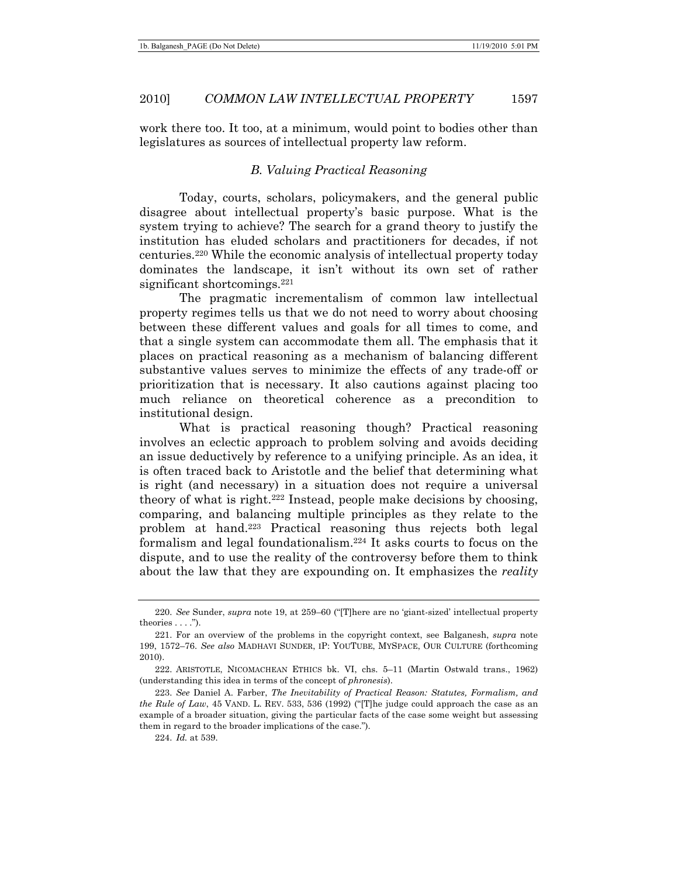work there too. It too, at a minimum, would point to bodies other than legislatures as sources of intellectual property law reform.

### *B. Valuing Practical Reasoning*

Today, courts, scholars, policymakers, and the general public disagree about intellectual property's basic purpose. What is the system trying to achieve? The search for a grand theory to justify the institution has eluded scholars and practitioners for decades, if not centuries.220 While the economic analysis of intellectual property today dominates the landscape, it isn't without its own set of rather significant shortcomings.<sup>221</sup>

The pragmatic incrementalism of common law intellectual property regimes tells us that we do not need to worry about choosing between these different values and goals for all times to come, and that a single system can accommodate them all. The emphasis that it places on practical reasoning as a mechanism of balancing different substantive values serves to minimize the effects of any trade-off or prioritization that is necessary. It also cautions against placing too much reliance on theoretical coherence as a precondition to institutional design.

What is practical reasoning though? Practical reasoning involves an eclectic approach to problem solving and avoids deciding an issue deductively by reference to a unifying principle. As an idea, it is often traced back to Aristotle and the belief that determining what is right (and necessary) in a situation does not require a universal theory of what is right.222 Instead, people make decisions by choosing, comparing, and balancing multiple principles as they relate to the problem at hand.223 Practical reasoning thus rejects both legal formalism and legal foundationalism.224 It asks courts to focus on the dispute, and to use the reality of the controversy before them to think about the law that they are expounding on. It emphasizes the *reality*

<sup>220.</sup> *See* Sunder, *supra* note 19, at 259–60 ("[T]here are no 'giant-sized' intellectual property theories . . . .").

 <sup>221.</sup> For an overview of the problems in the copyright context, see Balganesh, *supra* note 199, 1572–76. *See also* MADHAVI SUNDER, IP: YOUTUBE, MYSPACE, OUR CULTURE (forthcoming 2010).

 <sup>222.</sup> ARISTOTLE, NICOMACHEAN ETHICS bk. VI, chs. 5–11 (Martin Ostwald trans., 1962) (understanding this idea in terms of the concept of *phronesis*).

<sup>223.</sup> *See* Daniel A. Farber, *The Inevitability of Practical Reason: Statutes, Formalism, and the Rule of Law*, 45 VAND. L. REV. 533, 536 (1992) ("[T]he judge could approach the case as an example of a broader situation, giving the particular facts of the case some weight but assessing them in regard to the broader implications of the case.").

<sup>224.</sup> *Id.* at 539.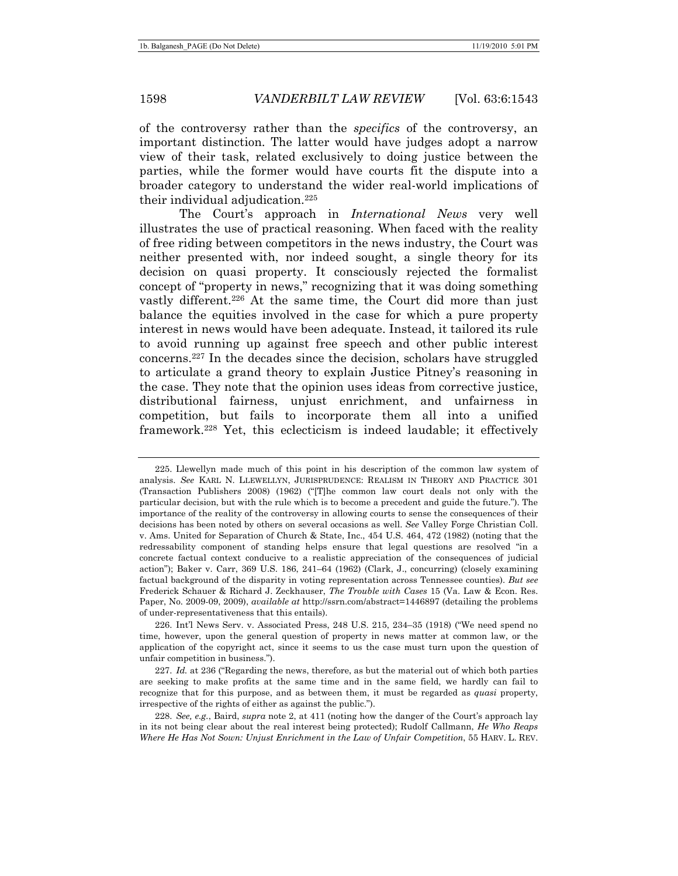of the controversy rather than the *specifics* of the controversy, an important distinction. The latter would have judges adopt a narrow view of their task, related exclusively to doing justice between the parties, while the former would have courts fit the dispute into a broader category to understand the wider real-world implications of their individual adjudication.225

The Court's approach in *International News* very well illustrates the use of practical reasoning. When faced with the reality of free riding between competitors in the news industry, the Court was neither presented with, nor indeed sought, a single theory for its decision on quasi property. It consciously rejected the formalist concept of "property in news," recognizing that it was doing something vastly different.<sup>226</sup> At the same time, the Court did more than just balance the equities involved in the case for which a pure property interest in news would have been adequate. Instead, it tailored its rule to avoid running up against free speech and other public interest concerns.227 In the decades since the decision, scholars have struggled to articulate a grand theory to explain Justice Pitney's reasoning in the case. They note that the opinion uses ideas from corrective justice, distributional fairness, unjust enrichment, and unfairness in competition, but fails to incorporate them all into a unified framework.228 Yet, this eclecticism is indeed laudable; it effectively

 <sup>225.</sup> Llewellyn made much of this point in his description of the common law system of analysis. *See* KARL N. LLEWELLYN, JURISPRUDENCE: REALISM IN THEORY AND PRACTICE 301 (Transaction Publishers 2008) (1962) ("[T]he common law court deals not only with the particular decision, but with the rule which is to become a precedent and guide the future."). The importance of the reality of the controversy in allowing courts to sense the consequences of their decisions has been noted by others on several occasions as well. *See* Valley Forge Christian Coll. v. Ams. United for Separation of Church & State, Inc., 454 U.S. 464, 472 (1982) (noting that the redressability component of standing helps ensure that legal questions are resolved "in a concrete factual context conducive to a realistic appreciation of the consequences of judicial action"); Baker v. Carr, 369 U.S. 186, 241–64 (1962) (Clark, J., concurring) (closely examining factual background of the disparity in voting representation across Tennessee counties). *But see* Frederick Schauer & Richard J. Zeckhauser, *The Trouble with Cases* 15 (Va. Law & Econ. Res. Paper, No. 2009-09, 2009), *available at* http://ssrn.com/abstract=1446897 (detailing the problems of under-representativeness that this entails).

 <sup>226.</sup> Int'l News Serv. v. Associated Press, 248 U.S. 215, 234–35 (1918) ("We need spend no time, however, upon the general question of property in news matter at common law, or the application of the copyright act, since it seems to us the case must turn upon the question of unfair competition in business.").

<sup>227.</sup> *Id.* at 236 ("Regarding the news, therefore, as but the material out of which both parties are seeking to make profits at the same time and in the same field, we hardly can fail to recognize that for this purpose, and as between them, it must be regarded as *quasi* property, irrespective of the rights of either as against the public.").

<sup>228.</sup> *See, e.g.*, Baird, *supra* note 2, at 411 (noting how the danger of the Court's approach lay in its not being clear about the real interest being protected); Rudolf Callmann, *He Who Reaps Where He Has Not Sown: Unjust Enrichment in the Law of Unfair Competition*, 55 HARV. L. REV.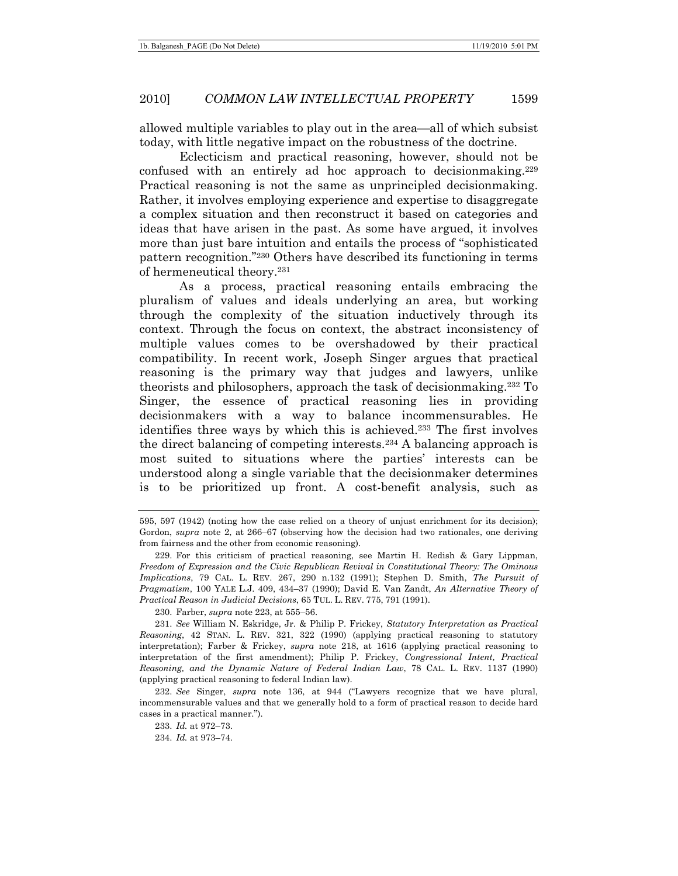allowed multiple variables to play out in the area—all of which subsist today, with little negative impact on the robustness of the doctrine.

Eclecticism and practical reasoning, however, should not be confused with an entirely ad hoc approach to decisionmaking.229 Practical reasoning is not the same as unprincipled decisionmaking. Rather, it involves employing experience and expertise to disaggregate a complex situation and then reconstruct it based on categories and ideas that have arisen in the past. As some have argued, it involves more than just bare intuition and entails the process of "sophisticated pattern recognition."230 Others have described its functioning in terms of hermeneutical theory.231

As a process, practical reasoning entails embracing the pluralism of values and ideals underlying an area, but working through the complexity of the situation inductively through its context. Through the focus on context, the abstract inconsistency of multiple values comes to be overshadowed by their practical compatibility. In recent work, Joseph Singer argues that practical reasoning is the primary way that judges and lawyers, unlike theorists and philosophers, approach the task of decisionmaking.232 To Singer, the essence of practical reasoning lies in providing decisionmakers with a way to balance incommensurables. He identifies three ways by which this is achieved.233 The first involves the direct balancing of competing interests.234 A balancing approach is most suited to situations where the parties' interests can be understood along a single variable that the decisionmaker determines is to be prioritized up front. A cost-benefit analysis, such as

230. Farber, *supra* note 223, at 555–56.

231. *See* William N. Eskridge, Jr. & Philip P. Frickey, *Statutory Interpretation as Practical Reasoning*, 42 STAN. L. REV. 321, 322 (1990) (applying practical reasoning to statutory interpretation); Farber & Frickey, *supra* note 218, at 1616 (applying practical reasoning to interpretation of the first amendment); Philip P. Frickey, *Congressional Intent, Practical Reasoning, and the Dynamic Nature of Federal Indian Law*, 78 CAL. L. REV. 1137 (1990) (applying practical reasoning to federal Indian law).

232. *See* Singer, *supra* note 136, at 944 ("Lawyers recognize that we have plural, incommensurable values and that we generally hold to a form of practical reason to decide hard cases in a practical manner.").

233. *Id.* at 972–73.

234. *Id.* at 973–74.

<sup>595, 597 (1942) (</sup>noting how the case relied on a theory of unjust enrichment for its decision); Gordon, *supra* note 2, at 266–67 (observing how the decision had two rationales, one deriving from fairness and the other from economic reasoning).

 <sup>229.</sup> For this criticism of practical reasoning, see Martin H. Redish & Gary Lippman, *Freedom of Expression and the Civic Republican Revival in Constitutional Theory: The Ominous Implications*, 79 CAL. L. REV. 267, 290 n.132 (1991); Stephen D. Smith, *The Pursuit of Pragmatism*, 100 YALE L.J. 409, 434–37 (1990); David E. Van Zandt, *An Alternative Theory of Practical Reason in Judicial Decisions*, 65 TUL. L. REV. 775, 791 (1991).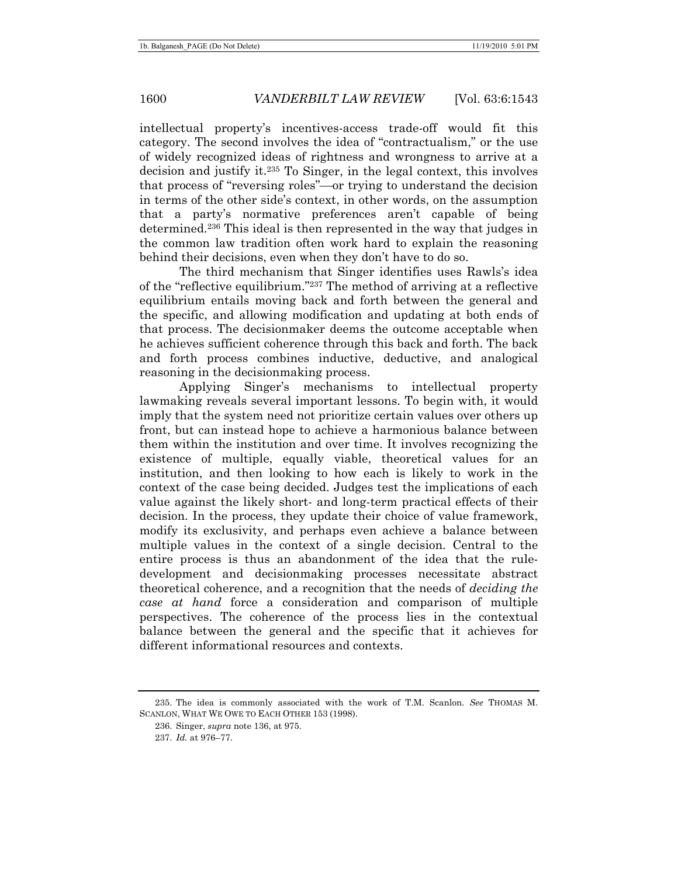intellectual property's incentives-access trade-off would fit this category. The second involves the idea of "contractualism," or the use of widely recognized ideas of rightness and wrongness to arrive at a decision and justify it.235 To Singer, in the legal context, this involves that process of "reversing roles"—or trying to understand the decision in terms of the other side's context, in other words, on the assumption that a party's normative preferences aren't capable of being determined.236 This ideal is then represented in the way that judges in the common law tradition often work hard to explain the reasoning behind their decisions, even when they don't have to do so.

The third mechanism that Singer identifies uses Rawls's idea of the "reflective equilibrium."237 The method of arriving at a reflective equilibrium entails moving back and forth between the general and the specific, and allowing modification and updating at both ends of that process. The decisionmaker deems the outcome acceptable when he achieves sufficient coherence through this back and forth. The back and forth process combines inductive, deductive, and analogical reasoning in the decisionmaking process.

Applying Singer's mechanisms to intellectual property lawmaking reveals several important lessons. To begin with, it would imply that the system need not prioritize certain values over others up front, but can instead hope to achieve a harmonious balance between them within the institution and over time. It involves recognizing the existence of multiple, equally viable, theoretical values for an institution, and then looking to how each is likely to work in the context of the case being decided. Judges test the implications of each value against the likely short- and long-term practical effects of their decision. In the process, they update their choice of value framework, modify its exclusivity, and perhaps even achieve a balance between multiple values in the context of a single decision. Central to the entire process is thus an abandonment of the idea that the ruledevelopment and decisionmaking processes necessitate abstract theoretical coherence, and a recognition that the needs of *deciding the case at hand* force a consideration and comparison of multiple perspectives. The coherence of the process lies in the contextual balance between the general and the specific that it achieves for different informational resources and contexts.

 <sup>235.</sup> The idea is commonly associated with the work of T.M. Scanlon. *See* THOMAS M. SCANLON, WHAT WE OWE TO EACH OTHER 153 (1998).

 <sup>236.</sup> Singer, *supra* note 136, at 975.

<sup>237.</sup> *Id.* at 976–77.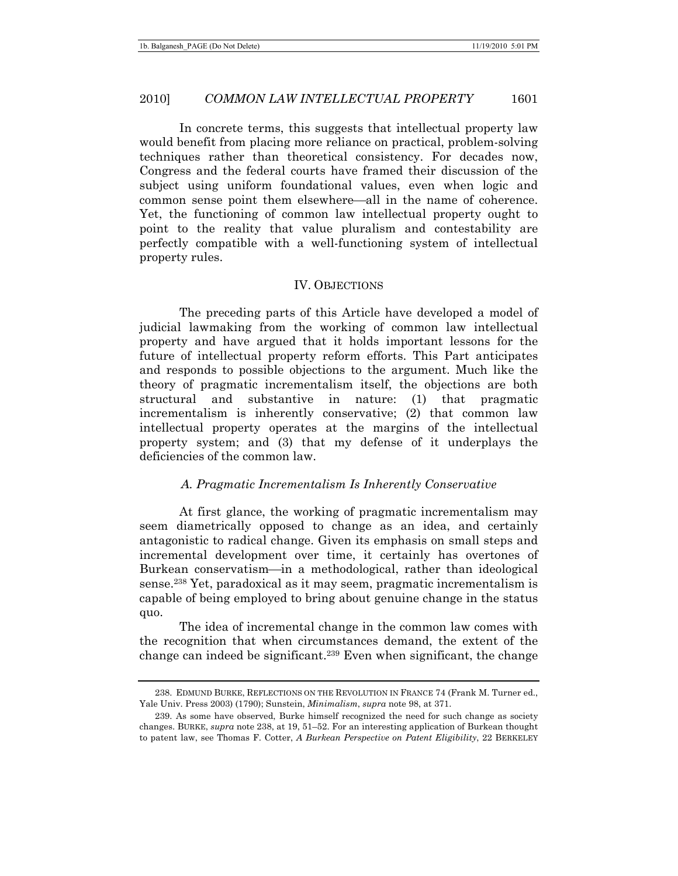In concrete terms, this suggests that intellectual property law would benefit from placing more reliance on practical, problem-solving techniques rather than theoretical consistency. For decades now, Congress and the federal courts have framed their discussion of the subject using uniform foundational values, even when logic and common sense point them elsewhere—all in the name of coherence. Yet, the functioning of common law intellectual property ought to point to the reality that value pluralism and contestability are perfectly compatible with a well-functioning system of intellectual property rules.

#### IV. OBJECTIONS

The preceding parts of this Article have developed a model of judicial lawmaking from the working of common law intellectual property and have argued that it holds important lessons for the future of intellectual property reform efforts. This Part anticipates and responds to possible objections to the argument. Much like the theory of pragmatic incrementalism itself, the objections are both structural and substantive in nature: (1) that pragmatic incrementalism is inherently conservative; (2) that common law intellectual property operates at the margins of the intellectual property system; and (3) that my defense of it underplays the deficiencies of the common law.

#### *A. Pragmatic Incrementalism Is Inherently Conservative*

At first glance, the working of pragmatic incrementalism may seem diametrically opposed to change as an idea, and certainly antagonistic to radical change. Given its emphasis on small steps and incremental development over time, it certainly has overtones of Burkean conservatism—in a methodological, rather than ideological sense.238 Yet, paradoxical as it may seem, pragmatic incrementalism is capable of being employed to bring about genuine change in the status quo.

The idea of incremental change in the common law comes with the recognition that when circumstances demand, the extent of the change can indeed be significant.<sup>239</sup> Even when significant, the change

 <sup>238.</sup> EDMUND BURKE, REFLECTIONS ON THE REVOLUTION IN FRANCE 74 (Frank M. Turner ed., Yale Univ. Press 2003) (1790); Sunstein, *Minimalism*, *supra* note 98, at 371.

 <sup>239.</sup> As some have observed, Burke himself recognized the need for such change as society changes. BURKE, *supra* note 238, at 19, 51–52. For an interesting application of Burkean thought to patent law, see Thomas F. Cotter, *A Burkean Perspective on Patent Eligibility*, 22 BERKELEY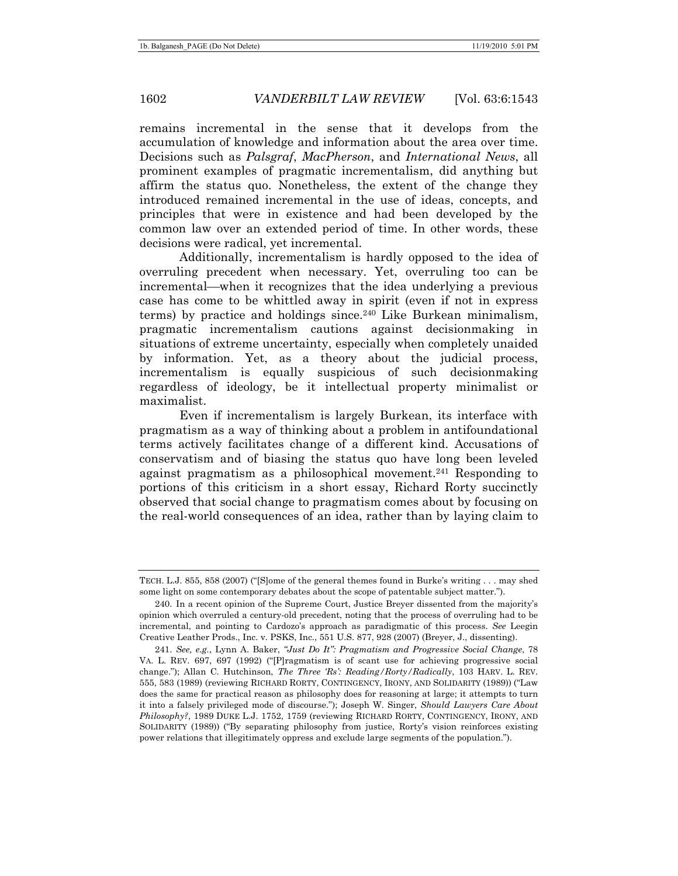remains incremental in the sense that it develops from the accumulation of knowledge and information about the area over time. Decisions such as *Palsgraf*, *MacPherson*, and *International News*, all prominent examples of pragmatic incrementalism, did anything but affirm the status quo. Nonetheless, the extent of the change they introduced remained incremental in the use of ideas, concepts, and principles that were in existence and had been developed by the common law over an extended period of time. In other words, these decisions were radical, yet incremental.

Additionally, incrementalism is hardly opposed to the idea of overruling precedent when necessary. Yet, overruling too can be incremental—when it recognizes that the idea underlying a previous case has come to be whittled away in spirit (even if not in express terms) by practice and holdings since.240 Like Burkean minimalism, pragmatic incrementalism cautions against decisionmaking in situations of extreme uncertainty, especially when completely unaided by information. Yet, as a theory about the judicial process, incrementalism is equally suspicious of such decisionmaking regardless of ideology, be it intellectual property minimalist or maximalist.

Even if incrementalism is largely Burkean, its interface with pragmatism as a way of thinking about a problem in antifoundational terms actively facilitates change of a different kind. Accusations of conservatism and of biasing the status quo have long been leveled against pragmatism as a philosophical movement.241 Responding to portions of this criticism in a short essay, Richard Rorty succinctly observed that social change to pragmatism comes about by focusing on the real-world consequences of an idea, rather than by laying claim to

TECH. L.J. 855, 858 (2007) ("[S]ome of the general themes found in Burke's writing . . . may shed some light on some contemporary debates about the scope of patentable subject matter.").

 <sup>240.</sup> In a recent opinion of the Supreme Court, Justice Breyer dissented from the majority's opinion which overruled a century-old precedent, noting that the process of overruling had to be incremental, and pointing to Cardozo's approach as paradigmatic of this process. *See* Leegin Creative Leather Prods., Inc. v. PSKS, Inc., 551 U.S. 877, 928 (2007) (Breyer, J., dissenting).

<sup>241.</sup> *See, e.g.*, Lynn A. Baker, *"Just Do It": Pragmatism and Progressive Social Change*, 78 VA. L. REV. 697, 697 (1992) ("[P]ragmatism is of scant use for achieving progressive social change."); Allan C. Hutchinson, *The Three 'Rs': Reading/Rorty/Radically*, 103 HARV. L. REV. 555, 583 (1989) (reviewing RICHARD RORTY, CONTINGENCY, IRONY, AND SOLIDARITY (1989)) ("Law does the same for practical reason as philosophy does for reasoning at large; it attempts to turn it into a falsely privileged mode of discourse."); Joseph W. Singer, *Should Lawyers Care About Philosophy?*, 1989 DUKE L.J. 1752, 1759 (reviewing RICHARD RORTY, CONTINGENCY, IRONY, AND SOLIDARITY (1989)) ("By separating philosophy from justice, Rorty's vision reinforces existing power relations that illegitimately oppress and exclude large segments of the population.").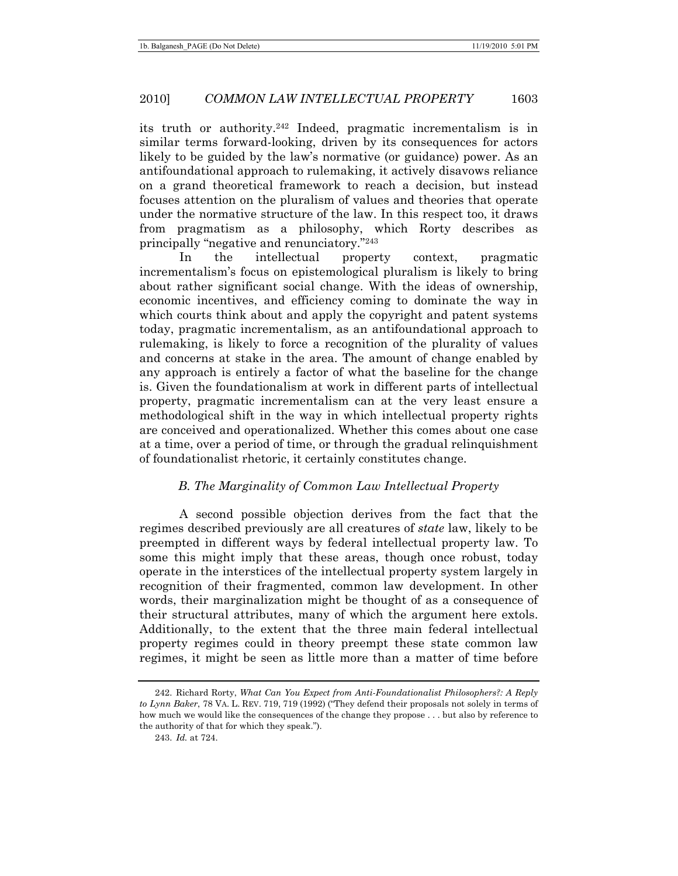its truth or authority.242 Indeed, pragmatic incrementalism is in similar terms forward-looking, driven by its consequences for actors likely to be guided by the law's normative (or guidance) power. As an antifoundational approach to rulemaking, it actively disavows reliance on a grand theoretical framework to reach a decision, but instead focuses attention on the pluralism of values and theories that operate under the normative structure of the law. In this respect too, it draws from pragmatism as a philosophy, which Rorty describes as principally "negative and renunciatory."243

In the intellectual property context, pragmatic incrementalism's focus on epistemological pluralism is likely to bring about rather significant social change. With the ideas of ownership, economic incentives, and efficiency coming to dominate the way in which courts think about and apply the copyright and patent systems today, pragmatic incrementalism, as an antifoundational approach to rulemaking, is likely to force a recognition of the plurality of values and concerns at stake in the area. The amount of change enabled by any approach is entirely a factor of what the baseline for the change is. Given the foundationalism at work in different parts of intellectual property, pragmatic incrementalism can at the very least ensure a methodological shift in the way in which intellectual property rights are conceived and operationalized. Whether this comes about one case at a time, over a period of time, or through the gradual relinquishment of foundationalist rhetoric, it certainly constitutes change.

### *B. The Marginality of Common Law Intellectual Property*

A second possible objection derives from the fact that the regimes described previously are all creatures of *state* law, likely to be preempted in different ways by federal intellectual property law. To some this might imply that these areas, though once robust, today operate in the interstices of the intellectual property system largely in recognition of their fragmented, common law development. In other words, their marginalization might be thought of as a consequence of their structural attributes, many of which the argument here extols. Additionally, to the extent that the three main federal intellectual property regimes could in theory preempt these state common law regimes, it might be seen as little more than a matter of time before

 <sup>242.</sup> Richard Rorty, *What Can You Expect from Anti-Foundationalist Philosophers?: A Reply to Lynn Baker*, 78 VA. L. REV. 719, 719 (1992) ("They defend their proposals not solely in terms of how much we would like the consequences of the change they propose . . . but also by reference to the authority of that for which they speak.").

<sup>243.</sup> *Id.* at 724.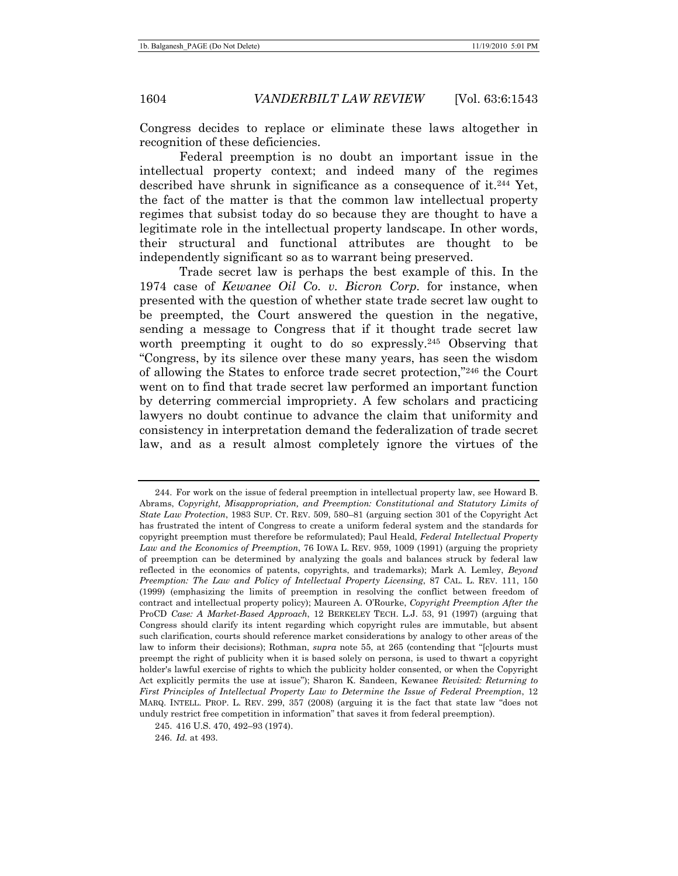Congress decides to replace or eliminate these laws altogether in recognition of these deficiencies.

Federal preemption is no doubt an important issue in the intellectual property context; and indeed many of the regimes described have shrunk in significance as a consequence of it.244 Yet, the fact of the matter is that the common law intellectual property regimes that subsist today do so because they are thought to have a legitimate role in the intellectual property landscape. In other words, their structural and functional attributes are thought to be independently significant so as to warrant being preserved.

Trade secret law is perhaps the best example of this. In the 1974 case of *Kewanee Oil Co. v. Bicron Corp.* for instance, when presented with the question of whether state trade secret law ought to be preempted, the Court answered the question in the negative, sending a message to Congress that if it thought trade secret law worth preempting it ought to do so expressly.<sup>245</sup> Observing that "Congress, by its silence over these many years, has seen the wisdom of allowing the States to enforce trade secret protection,"246 the Court went on to find that trade secret law performed an important function by deterring commercial impropriety. A few scholars and practicing lawyers no doubt continue to advance the claim that uniformity and consistency in interpretation demand the federalization of trade secret law, and as a result almost completely ignore the virtues of the

 <sup>244.</sup> For work on the issue of federal preemption in intellectual property law, see Howard B. Abrams, *Copyright, Misappropriation, and Preemption: Constitutional and Statutory Limits of State Law Protection*, 1983 SUP. CT. REV. 509, 580–81 (arguing section 301 of the Copyright Act has frustrated the intent of Congress to create a uniform federal system and the standards for copyright preemption must therefore be reformulated); Paul Heald, *Federal Intellectual Property Law and the Economics of Preemption*, 76 IOWA L. REV. 959, 1009 (1991) (arguing the propriety of preemption can be determined by analyzing the goals and balances struck by federal law reflected in the economics of patents, copyrights, and trademarks); Mark A. Lemley, *Beyond Preemption: The Law and Policy of Intellectual Property Licensing*, 87 CAL. L. REV. 111, 150 (1999) (emphasizing the limits of preemption in resolving the conflict between freedom of contract and intellectual property policy); Maureen A. O'Rourke, *Copyright Preemption After the*  ProCD *Case: A Market-Based Approach*, 12 BERKELEY TECH. L.J. 53, 91 (1997) (arguing that Congress should clarify its intent regarding which copyright rules are immutable, but absent such clarification, courts should reference market considerations by analogy to other areas of the law to inform their decisions); Rothman, *supra* note 55, at 265 (contending that "[c]ourts must preempt the right of publicity when it is based solely on persona, is used to thwart a copyright holder's lawful exercise of rights to which the publicity holder consented, or when the Copyright Act explicitly permits the use at issue"); Sharon K. Sandeen, Kewanee *Revisited: Returning to First Principles of Intellectual Property Law to Determine the Issue of Federal Preemption*, 12 MARQ. INTELL. PROP. L. REV. 299, 357 (2008) (arguing it is the fact that state law "does not unduly restrict free competition in information" that saves it from federal preemption).

 <sup>245. 416</sup> U.S. 470, 492–93 (1974).

<sup>246.</sup> *Id.* at 493.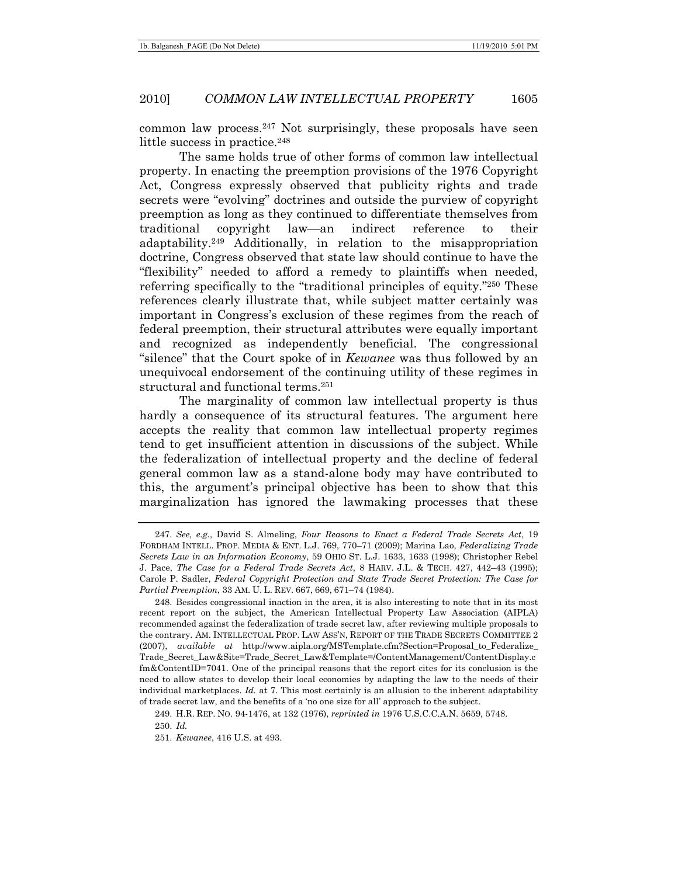common law process.247 Not surprisingly, these proposals have seen little success in practice.<sup>248</sup>

The same holds true of other forms of common law intellectual property. In enacting the preemption provisions of the 1976 Copyright Act, Congress expressly observed that publicity rights and trade secrets were "evolving" doctrines and outside the purview of copyright preemption as long as they continued to differentiate themselves from traditional copyright law—an indirect reference to their adaptability.249 Additionally, in relation to the misappropriation doctrine, Congress observed that state law should continue to have the "flexibility" needed to afford a remedy to plaintiffs when needed, referring specifically to the "traditional principles of equity."250 These references clearly illustrate that, while subject matter certainly was important in Congress's exclusion of these regimes from the reach of federal preemption, their structural attributes were equally important and recognized as independently beneficial. The congressional "silence" that the Court spoke of in *Kewanee* was thus followed by an unequivocal endorsement of the continuing utility of these regimes in structural and functional terms.251

The marginality of common law intellectual property is thus hardly a consequence of its structural features. The argument here accepts the reality that common law intellectual property regimes tend to get insufficient attention in discussions of the subject. While the federalization of intellectual property and the decline of federal general common law as a stand-alone body may have contributed to this, the argument's principal objective has been to show that this marginalization has ignored the lawmaking processes that these

<sup>247.</sup> *See, e.g.*, David S. Almeling, *Four Reasons to Enact a Federal Trade Secrets Act*, 19 FORDHAM INTELL. PROP. MEDIA & ENT. L.J. 769, 770–71 (2009); Marina Lao, *Federalizing Trade Secrets Law in an Information Economy*, 59 OHIO ST. L.J. 1633, 1633 (1998); Christopher Rebel J. Pace, *The Case for a Federal Trade Secrets Act*, 8 HARV. J.L. & TECH. 427, 442–43 (1995); Carole P. Sadler, *Federal Copyright Protection and State Trade Secret Protection: The Case for Partial Preemption*, 33 AM. U. L. REV. 667, 669, 671–74 (1984).

 <sup>248.</sup> Besides congressional inaction in the area, it is also interesting to note that in its most recent report on the subject, the American Intellectual Property Law Association (AIPLA) recommended against the federalization of trade secret law, after reviewing multiple proposals to the contrary. AM. INTELLECTUAL PROP. LAW ASS'N, REPORT OF THE TRADE SECRETS COMMITTEE 2 (2007), *available at* http://www.aipla.org/MSTemplate.cfm?Section=Proposal\_to\_Federalize\_ Trade\_Secret\_Law&Site=Trade\_Secret\_Law&Template=/ContentManagement/ContentDisplay.c fm&ContentID=7041. One of the principal reasons that the report cites for its conclusion is the need to allow states to develop their local economies by adapting the law to the needs of their individual marketplaces. *Id.* at 7. This most certainly is an allusion to the inherent adaptability of trade secret law, and the benefits of a 'no one size for all' approach to the subject.

 <sup>249.</sup> H.R. REP. NO. 94-1476, at 132 (1976), *reprinted in* 1976 U.S.C.C.A.N. 5659, 5748.

<sup>250.</sup> *Id.*

<sup>251.</sup> *Kewanee*, 416 U.S. at 493.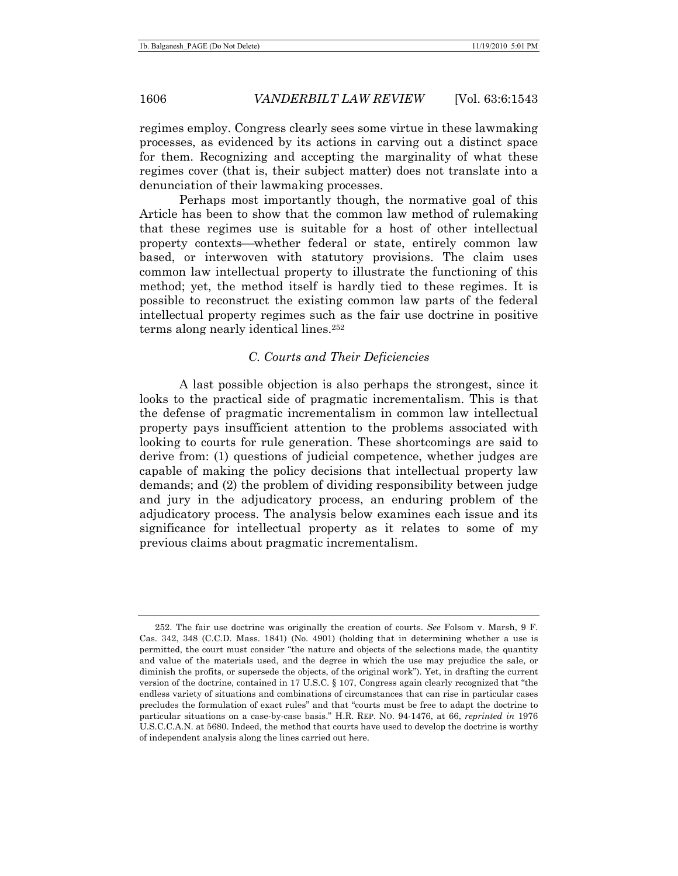regimes employ. Congress clearly sees some virtue in these lawmaking processes, as evidenced by its actions in carving out a distinct space for them. Recognizing and accepting the marginality of what these regimes cover (that is, their subject matter) does not translate into a denunciation of their lawmaking processes.

Perhaps most importantly though, the normative goal of this Article has been to show that the common law method of rulemaking that these regimes use is suitable for a host of other intellectual property contexts—whether federal or state, entirely common law based, or interwoven with statutory provisions. The claim uses common law intellectual property to illustrate the functioning of this method; yet, the method itself is hardly tied to these regimes. It is possible to reconstruct the existing common law parts of the federal intellectual property regimes such as the fair use doctrine in positive terms along nearly identical lines.252

## *C. Courts and Their Deficiencies*

A last possible objection is also perhaps the strongest, since it looks to the practical side of pragmatic incrementalism. This is that the defense of pragmatic incrementalism in common law intellectual property pays insufficient attention to the problems associated with looking to courts for rule generation. These shortcomings are said to derive from: (1) questions of judicial competence, whether judges are capable of making the policy decisions that intellectual property law demands; and (2) the problem of dividing responsibility between judge and jury in the adjudicatory process, an enduring problem of the adjudicatory process. The analysis below examines each issue and its significance for intellectual property as it relates to some of my previous claims about pragmatic incrementalism.

 <sup>252.</sup> The fair use doctrine was originally the creation of courts. *See* Folsom v. Marsh, 9 F. Cas. 342, 348 (C.C.D. Mass. 1841) (No. 4901) (holding that in determining whether a use is permitted, the court must consider "the nature and objects of the selections made, the quantity and value of the materials used, and the degree in which the use may prejudice the sale, or diminish the profits, or supersede the objects, of the original work"). Yet, in drafting the current version of the doctrine, contained in 17 U.S.C. § 107, Congress again clearly recognized that "the endless variety of situations and combinations of circumstances that can rise in particular cases precludes the formulation of exact rules" and that "courts must be free to adapt the doctrine to particular situations on a case-by-case basis." H.R. REP. NO. 94-1476, at 66, *reprinted in* 1976 U.S.C.C.A.N. at 5680. Indeed, the method that courts have used to develop the doctrine is worthy of independent analysis along the lines carried out here.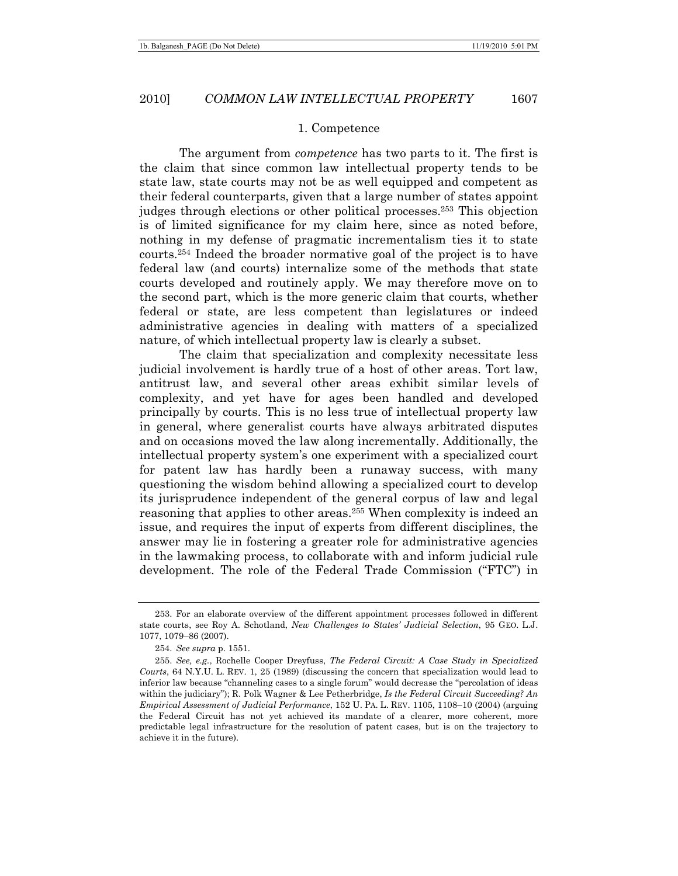#### 1. Competence

The argument from *competence* has two parts to it. The first is the claim that since common law intellectual property tends to be state law, state courts may not be as well equipped and competent as their federal counterparts, given that a large number of states appoint judges through elections or other political processes.253 This objection is of limited significance for my claim here, since as noted before, nothing in my defense of pragmatic incrementalism ties it to state courts.254 Indeed the broader normative goal of the project is to have federal law (and courts) internalize some of the methods that state courts developed and routinely apply. We may therefore move on to the second part, which is the more generic claim that courts, whether federal or state, are less competent than legislatures or indeed administrative agencies in dealing with matters of a specialized nature, of which intellectual property law is clearly a subset.

The claim that specialization and complexity necessitate less judicial involvement is hardly true of a host of other areas. Tort law, antitrust law, and several other areas exhibit similar levels of complexity, and yet have for ages been handled and developed principally by courts. This is no less true of intellectual property law in general, where generalist courts have always arbitrated disputes and on occasions moved the law along incrementally. Additionally, the intellectual property system's one experiment with a specialized court for patent law has hardly been a runaway success, with many questioning the wisdom behind allowing a specialized court to develop its jurisprudence independent of the general corpus of law and legal reasoning that applies to other areas.255 When complexity is indeed an issue, and requires the input of experts from different disciplines, the answer may lie in fostering a greater role for administrative agencies in the lawmaking process, to collaborate with and inform judicial rule development. The role of the Federal Trade Commission ("FTC") in

 <sup>253.</sup> For an elaborate overview of the different appointment processes followed in different state courts, see Roy A. Schotland, *New Challenges to States' Judicial Selection*, 95 GEO. L.J. 1077, 1079–86 (2007).

<sup>254.</sup> *See supra* p. 1551.

<sup>255.</sup> *See, e.g.*, Rochelle Cooper Dreyfuss, *The Federal Circuit: A Case Study in Specialized Courts*, 64 N.Y.U. L. REV. 1, 25 (1989) (discussing the concern that specialization would lead to inferior law because "channeling cases to a single forum" would decrease the "percolation of ideas within the judiciary"); R. Polk Wagner & Lee Petherbridge, *Is the Federal Circuit Succeeding? An Empirical Assessment of Judicial Performance*, 152 U. PA. L. REV. 1105, 1108–10 (2004) (arguing the Federal Circuit has not yet achieved its mandate of a clearer, more coherent, more predictable legal infrastructure for the resolution of patent cases, but is on the trajectory to achieve it in the future).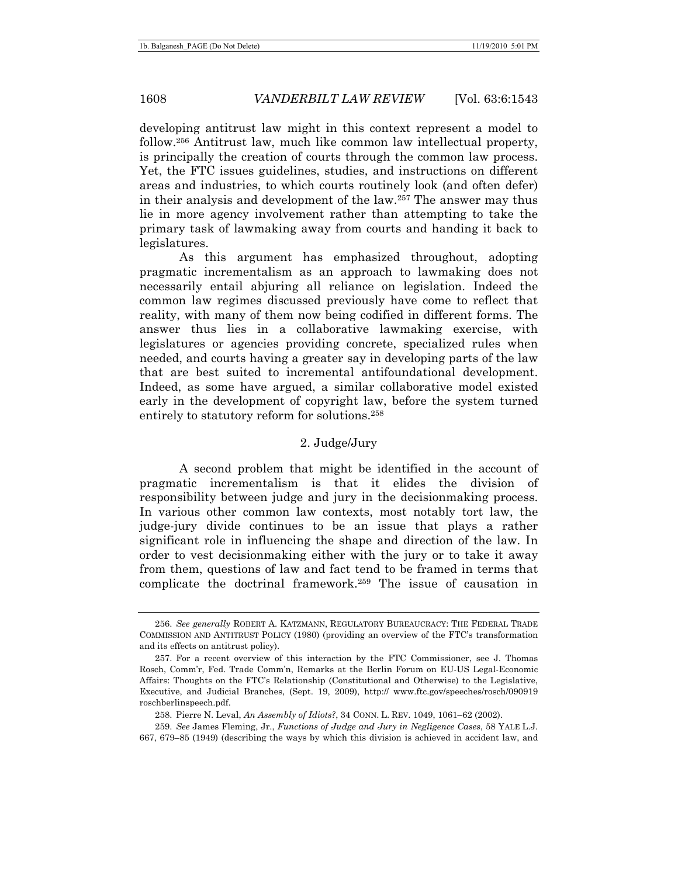developing antitrust law might in this context represent a model to follow.256 Antitrust law, much like common law intellectual property, is principally the creation of courts through the common law process. Yet, the FTC issues guidelines, studies, and instructions on different areas and industries, to which courts routinely look (and often defer) in their analysis and development of the law.257 The answer may thus lie in more agency involvement rather than attempting to take the primary task of lawmaking away from courts and handing it back to legislatures.

As this argument has emphasized throughout, adopting pragmatic incrementalism as an approach to lawmaking does not necessarily entail abjuring all reliance on legislation. Indeed the common law regimes discussed previously have come to reflect that reality, with many of them now being codified in different forms. The answer thus lies in a collaborative lawmaking exercise, with legislatures or agencies providing concrete, specialized rules when needed, and courts having a greater say in developing parts of the law that are best suited to incremental antifoundational development. Indeed, as some have argued, a similar collaborative model existed early in the development of copyright law, before the system turned entirely to statutory reform for solutions.258

# 2. Judge/Jury

A second problem that might be identified in the account of pragmatic incrementalism is that it elides the division of responsibility between judge and jury in the decisionmaking process. In various other common law contexts, most notably tort law, the judge-jury divide continues to be an issue that plays a rather significant role in influencing the shape and direction of the law. In order to vest decisionmaking either with the jury or to take it away from them, questions of law and fact tend to be framed in terms that complicate the doctrinal framework.259 The issue of causation in

<sup>256.</sup> *See generally* ROBERT A. KATZMANN, REGULATORY BUREAUCRACY: THE FEDERAL TRADE COMMISSION AND ANTITRUST POLICY (1980) (providing an overview of the FTC's transformation and its effects on antitrust policy).

 <sup>257.</sup> For a recent overview of this interaction by the FTC Commissioner, see J. Thomas Rosch, Comm'r, Fed. Trade Comm'n, Remarks at the Berlin Forum on EU-US Legal-Economic Affairs: Thoughts on the FTC's Relationship (Constitutional and Otherwise) to the Legislative, Executive, and Judicial Branches, (Sept. 19, 2009), http:// www.ftc.gov/speeches/rosch/090919 roschberlinspeech.pdf.

 <sup>258.</sup> Pierre N. Leval, *An Assembly of Idiots?*, 34 CONN. L. REV. 1049, 1061–62 (2002).

<sup>259.</sup> *See* James Fleming, Jr., *Functions of Judge and Jury in Negligence Cases*, 58 YALE L.J. 667, 679–85 (1949) (describing the ways by which this division is achieved in accident law, and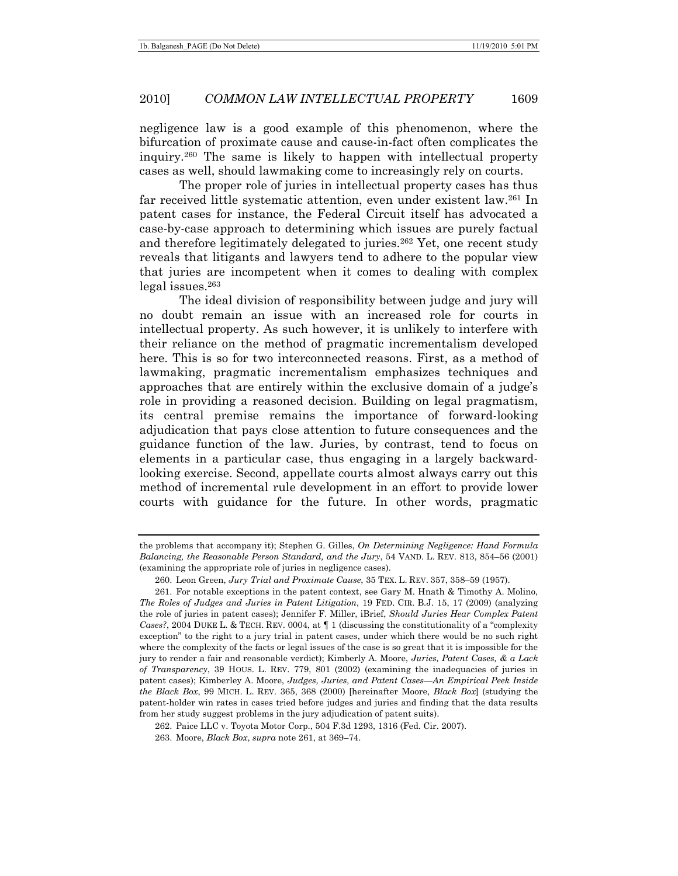negligence law is a good example of this phenomenon, where the bifurcation of proximate cause and cause-in-fact often complicates the inquiry.260 The same is likely to happen with intellectual property cases as well, should lawmaking come to increasingly rely on courts.

The proper role of juries in intellectual property cases has thus far received little systematic attention, even under existent law.261 In patent cases for instance, the Federal Circuit itself has advocated a case-by-case approach to determining which issues are purely factual and therefore legitimately delegated to juries.<sup>262</sup> Yet, one recent study reveals that litigants and lawyers tend to adhere to the popular view that juries are incompetent when it comes to dealing with complex legal issues.263

The ideal division of responsibility between judge and jury will no doubt remain an issue with an increased role for courts in intellectual property. As such however, it is unlikely to interfere with their reliance on the method of pragmatic incrementalism developed here. This is so for two interconnected reasons. First, as a method of lawmaking, pragmatic incrementalism emphasizes techniques and approaches that are entirely within the exclusive domain of a judge's role in providing a reasoned decision. Building on legal pragmatism, its central premise remains the importance of forward-looking adjudication that pays close attention to future consequences and the guidance function of the law. Juries, by contrast, tend to focus on elements in a particular case, thus engaging in a largely backwardlooking exercise. Second, appellate courts almost always carry out this method of incremental rule development in an effort to provide lower courts with guidance for the future. In other words, pragmatic

the problems that accompany it); Stephen G. Gilles, *On Determining Negligence: Hand Formula Balancing, the Reasonable Person Standard, and the Jury*, 54 VAND. L. REV. 813, 854–56 (2001) (examining the appropriate role of juries in negligence cases).

 <sup>260.</sup> Leon Green, *Jury Trial and Proximate Cause*, 35 TEX. L. REV. 357, 358–59 (1957).

 <sup>261.</sup> For notable exceptions in the patent context, see Gary M. Hnath & Timothy A. Molino, *The Roles of Judges and Juries in Patent Litigation*, 19 FED. CIR. B.J. 15, 17 (2009) (analyzing the role of juries in patent cases); Jennifer F. Miller, iBrief, *Should Juries Hear Complex Patent Cases?*, 2004 DUKE L. & TECH. REV. 0004, at ¶ 1 (discussing the constitutionality of a "complexity exception" to the right to a jury trial in patent cases, under which there would be no such right where the complexity of the facts or legal issues of the case is so great that it is impossible for the jury to render a fair and reasonable verdict); Kimberly A. Moore, *Juries, Patent Cases, & a Lack of Transparency*, 39 HOUS. L. REV. 779, 801 (2002) (examining the inadequacies of juries in patent cases); Kimberley A. Moore, *Judges, Juries, and Patent Cases—An Empirical Peek Inside the Black Box*, 99 MICH. L. REV. 365, 368 (2000) [hereinafter Moore, *Black Box*] (studying the patent-holder win rates in cases tried before judges and juries and finding that the data results from her study suggest problems in the jury adjudication of patent suits).

 <sup>262.</sup> Paice LLC v. Toyota Motor Corp., 504 F.3d 1293, 1316 (Fed. Cir. 2007).

 <sup>263.</sup> Moore, *Black Box*, *supra* note 261, at 369–74.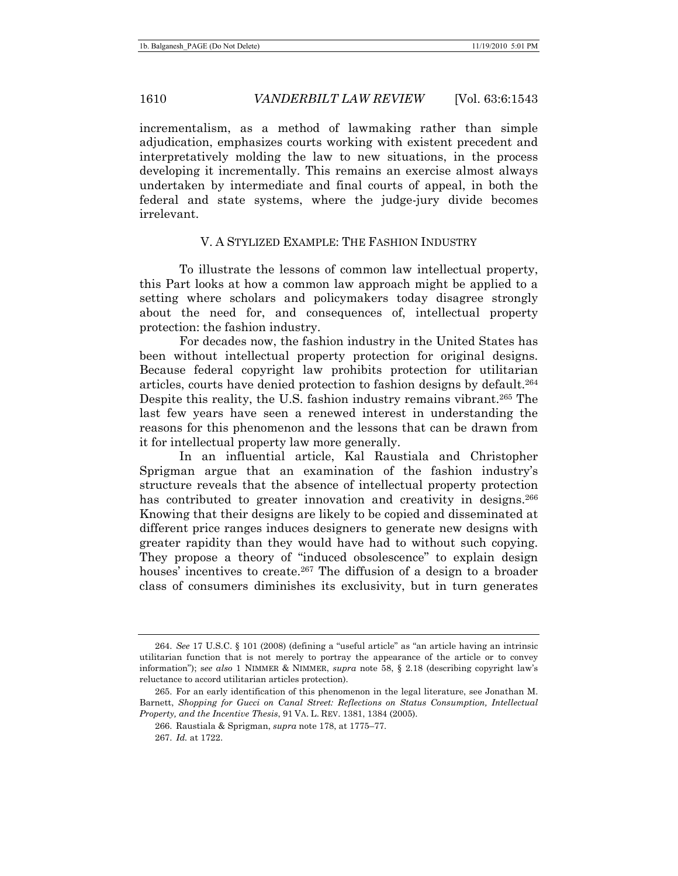incrementalism, as a method of lawmaking rather than simple adjudication, emphasizes courts working with existent precedent and interpretatively molding the law to new situations, in the process developing it incrementally. This remains an exercise almost always undertaken by intermediate and final courts of appeal, in both the federal and state systems, where the judge-jury divide becomes irrelevant.

### V. A STYLIZED EXAMPLE: THE FASHION INDUSTRY

To illustrate the lessons of common law intellectual property, this Part looks at how a common law approach might be applied to a setting where scholars and policymakers today disagree strongly about the need for, and consequences of, intellectual property protection: the fashion industry.

For decades now, the fashion industry in the United States has been without intellectual property protection for original designs. Because federal copyright law prohibits protection for utilitarian articles, courts have denied protection to fashion designs by default.264 Despite this reality, the U.S. fashion industry remains vibrant.<sup>265</sup> The last few years have seen a renewed interest in understanding the reasons for this phenomenon and the lessons that can be drawn from it for intellectual property law more generally.

In an influential article, Kal Raustiala and Christopher Sprigman argue that an examination of the fashion industry's structure reveals that the absence of intellectual property protection has contributed to greater innovation and creativity in designs.<sup>266</sup> Knowing that their designs are likely to be copied and disseminated at different price ranges induces designers to generate new designs with greater rapidity than they would have had to without such copying. They propose a theory of "induced obsolescence" to explain design houses' incentives to create.<sup>267</sup> The diffusion of a design to a broader class of consumers diminishes its exclusivity, but in turn generates

<sup>264.</sup> *See* 17 U.S.C. § 101 (2008) (defining a "useful article" as "an article having an intrinsic utilitarian function that is not merely to portray the appearance of the article or to convey information"); s*ee also* 1 NIMMER & NIMMER, *supra* note 58, § 2.18 (describing copyright law's reluctance to accord utilitarian articles protection).

 <sup>265.</sup> For an early identification of this phenomenon in the legal literature, see Jonathan M. Barnett, *Shopping for Gucci on Canal Street: Reflections on Status Consumption, Intellectual Property, and the Incentive Thesis*, 91 VA. L. REV. 1381, 1384 (2005).

 <sup>266.</sup> Raustiala & Sprigman, *supra* note 178, at 1775–77.

<sup>267.</sup> *Id.* at 1722.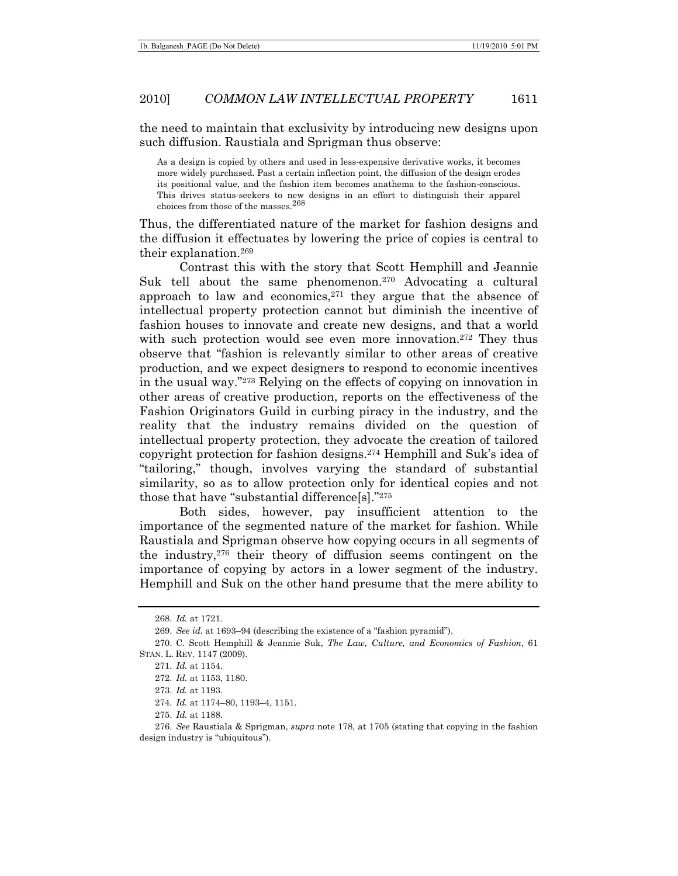the need to maintain that exclusivity by introducing new designs upon such diffusion. Raustiala and Sprigman thus observe:

As a design is copied by others and used in less-expensive derivative works, it becomes more widely purchased. Past a certain inflection point, the diffusion of the design erodes its positional value, and the fashion item becomes anathema to the fashion-conscious. This drives status-seekers to new designs in an effort to distinguish their apparel choices from those of the masses.268

Thus, the differentiated nature of the market for fashion designs and the diffusion it effectuates by lowering the price of copies is central to their explanation.269

Contrast this with the story that Scott Hemphill and Jeannie Suk tell about the same phenomenon.<sup>270</sup> Advocating a cultural approach to law and economics, $271$  they argue that the absence of intellectual property protection cannot but diminish the incentive of fashion houses to innovate and create new designs, and that a world with such protection would see even more innovation.<sup>272</sup> They thus observe that "fashion is relevantly similar to other areas of creative production, and we expect designers to respond to economic incentives in the usual way."273 Relying on the effects of copying on innovation in other areas of creative production, reports on the effectiveness of the Fashion Originators Guild in curbing piracy in the industry, and the reality that the industry remains divided on the question of intellectual property protection, they advocate the creation of tailored copyright protection for fashion designs.274 Hemphill and Suk's idea of "tailoring," though, involves varying the standard of substantial similarity, so as to allow protection only for identical copies and not those that have "substantial difference[s]."275

Both sides, however, pay insufficient attention to the importance of the segmented nature of the market for fashion. While Raustiala and Sprigman observe how copying occurs in all segments of the industry,276 their theory of diffusion seems contingent on the importance of copying by actors in a lower segment of the industry. Hemphill and Suk on the other hand presume that the mere ability to

<sup>268.</sup> *Id.* at 1721.

<sup>269.</sup> *See id.* at 1693–94 (describing the existence of a "fashion pyramid").

 <sup>270.</sup> C. Scott Hemphill & Jeannie Suk, *The Law, Culture, and Economics of Fashion*, 61 STAN. L. REV. 1147 (2009).

<sup>271.</sup> *Id.* at 1154.

<sup>272.</sup> *Id.* at 1153, 1180.

<sup>273.</sup> *Id.* at 1193.

<sup>274.</sup> *Id.* at 1174–80, 1193–4, 1151.

<sup>275.</sup> *Id.* at 1188.

<sup>276.</sup> *See* Raustiala & Sprigman, *supra* note 178, at 1705 (stating that copying in the fashion design industry is "ubiquitous").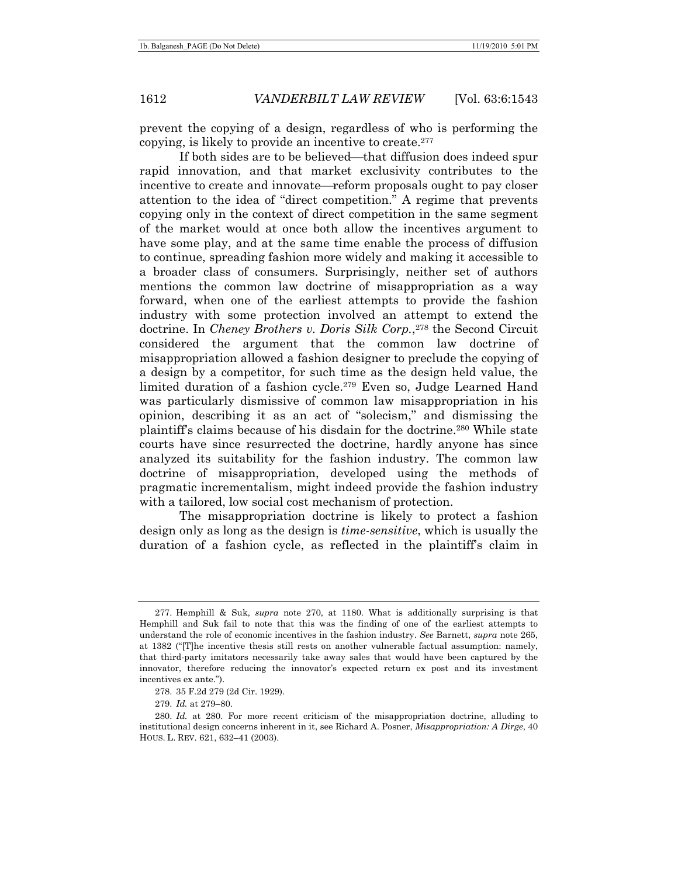prevent the copying of a design, regardless of who is performing the copying, is likely to provide an incentive to create.277

If both sides are to be believed—that diffusion does indeed spur rapid innovation, and that market exclusivity contributes to the incentive to create and innovate—reform proposals ought to pay closer attention to the idea of "direct competition." A regime that prevents copying only in the context of direct competition in the same segment of the market would at once both allow the incentives argument to have some play, and at the same time enable the process of diffusion to continue, spreading fashion more widely and making it accessible to a broader class of consumers. Surprisingly, neither set of authors mentions the common law doctrine of misappropriation as a way forward, when one of the earliest attempts to provide the fashion industry with some protection involved an attempt to extend the doctrine. In *Cheney Brothers v. Doris Silk Corp.*<sup>278</sup> the Second Circuit considered the argument that the common law doctrine of misappropriation allowed a fashion designer to preclude the copying of a design by a competitor, for such time as the design held value, the limited duration of a fashion cycle.279 Even so, Judge Learned Hand was particularly dismissive of common law misappropriation in his opinion, describing it as an act of "solecism," and dismissing the plaintiff's claims because of his disdain for the doctrine.280 While state courts have since resurrected the doctrine, hardly anyone has since analyzed its suitability for the fashion industry. The common law doctrine of misappropriation, developed using the methods of pragmatic incrementalism, might indeed provide the fashion industry with a tailored, low social cost mechanism of protection.

The misappropriation doctrine is likely to protect a fashion design only as long as the design is *time-sensitive*, which is usually the duration of a fashion cycle, as reflected in the plaintiff's claim in

 <sup>277.</sup> Hemphill & Suk, *supra* note 270, at 1180. What is additionally surprising is that Hemphill and Suk fail to note that this was the finding of one of the earliest attempts to understand the role of economic incentives in the fashion industry. *See* Barnett, *supra* note 265, at 1382 ("[T]he incentive thesis still rests on another vulnerable factual assumption: namely, that third-party imitators necessarily take away sales that would have been captured by the innovator, therefore reducing the innovator's expected return ex post and its investment incentives ex ante.").

 <sup>278. 35</sup> F.2d 279 (2d Cir. 1929).

<sup>279.</sup> *Id.* at 279–80.

<sup>280.</sup> *Id.* at 280. For more recent criticism of the misappropriation doctrine, alluding to institutional design concerns inherent in it, see Richard A. Posner, *Misappropriation: A Dirge*, 40 HOUS. L. REV. 621, 632–41 (2003).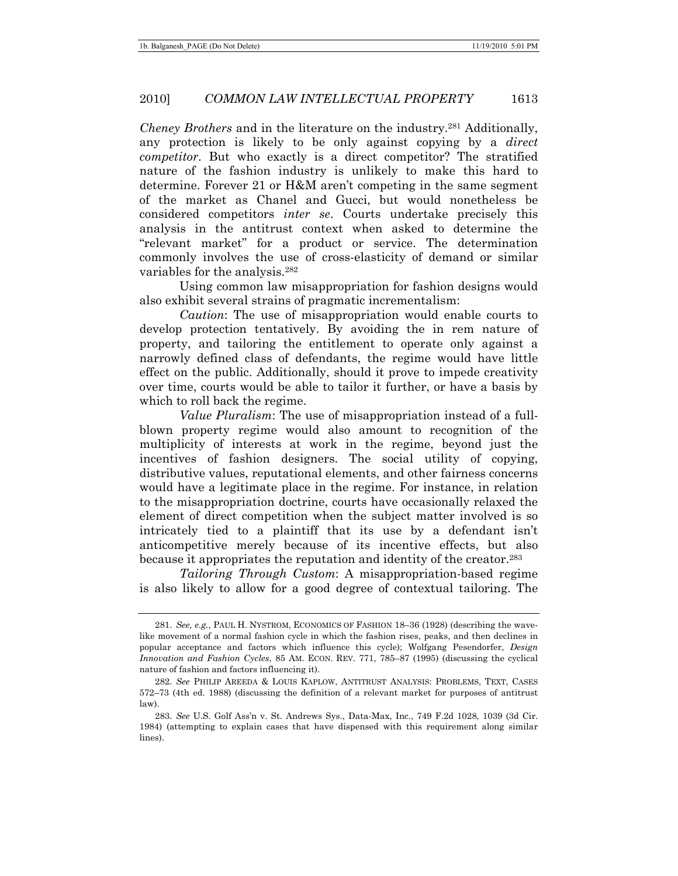*Cheney Brothers* and in the literature on the industry.281 Additionally, any protection is likely to be only against copying by a *direct competitor*. But who exactly is a direct competitor? The stratified nature of the fashion industry is unlikely to make this hard to determine. Forever 21 or H&M aren't competing in the same segment of the market as Chanel and Gucci, but would nonetheless be considered competitors *inter se*. Courts undertake precisely this analysis in the antitrust context when asked to determine the "relevant market" for a product or service. The determination commonly involves the use of cross-elasticity of demand or similar variables for the analysis.282

Using common law misappropriation for fashion designs would also exhibit several strains of pragmatic incrementalism:

*Caution*: The use of misappropriation would enable courts to develop protection tentatively. By avoiding the in rem nature of property, and tailoring the entitlement to operate only against a narrowly defined class of defendants, the regime would have little effect on the public. Additionally, should it prove to impede creativity over time, courts would be able to tailor it further, or have a basis by which to roll back the regime.

*Value Pluralism*: The use of misappropriation instead of a fullblown property regime would also amount to recognition of the multiplicity of interests at work in the regime, beyond just the incentives of fashion designers. The social utility of copying, distributive values, reputational elements, and other fairness concerns would have a legitimate place in the regime. For instance, in relation to the misappropriation doctrine, courts have occasionally relaxed the element of direct competition when the subject matter involved is so intricately tied to a plaintiff that its use by a defendant isn't anticompetitive merely because of its incentive effects, but also because it appropriates the reputation and identity of the creator.283

*Tailoring Through Custom*: A misappropriation-based regime is also likely to allow for a good degree of contextual tailoring. The

<sup>281.</sup> *See, e.g.*, PAUL H. NYSTROM, ECONOMICS OF FASHION 18–36 (1928) (describing the wavelike movement of a normal fashion cycle in which the fashion rises, peaks, and then declines in popular acceptance and factors which influence this cycle); Wolfgang Pesendorfer, *Design Innovation and Fashion Cycles*, 85 AM. ECON. REV. 771, 785–87 (1995) (discussing the cyclical nature of fashion and factors influencing it).

<sup>282.</sup> *See* PHILIP AREEDA & LOUIS KAPLOW, ANTITRUST ANALYSIS: PROBLEMS, TEXT, CASES 572–73 (4th ed. 1988) (discussing the definition of a relevant market for purposes of antitrust law).

<sup>283.</sup> *See* U.S. Golf Ass'n v. St. Andrews Sys., Data-Max, Inc., 749 F.2d 1028, 1039 (3d Cir. 1984) (attempting to explain cases that have dispensed with this requirement along similar lines).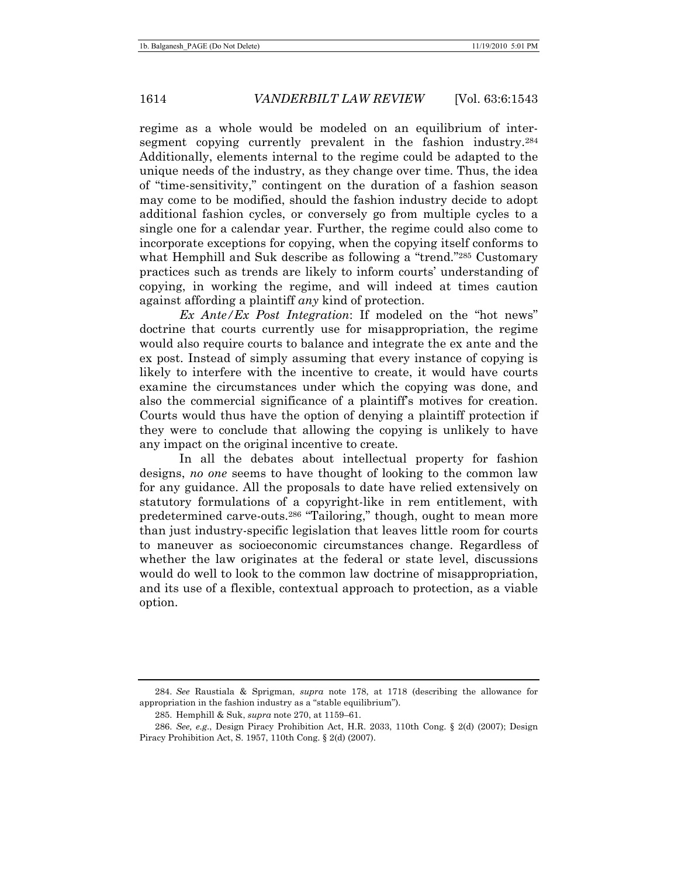regime as a whole would be modeled on an equilibrium of intersegment copying currently prevalent in the fashion industry.<sup>284</sup> Additionally, elements internal to the regime could be adapted to the unique needs of the industry, as they change over time. Thus, the idea of "time-sensitivity," contingent on the duration of a fashion season may come to be modified, should the fashion industry decide to adopt additional fashion cycles, or conversely go from multiple cycles to a single one for a calendar year. Further, the regime could also come to incorporate exceptions for copying, when the copying itself conforms to what Hemphill and Suk describe as following a "trend."<sup>285</sup> Customary practices such as trends are likely to inform courts' understanding of copying, in working the regime, and will indeed at times caution against affording a plaintiff *any* kind of protection.

*Ex Ante/Ex Post Integration*: If modeled on the "hot news" doctrine that courts currently use for misappropriation, the regime would also require courts to balance and integrate the ex ante and the ex post. Instead of simply assuming that every instance of copying is likely to interfere with the incentive to create, it would have courts examine the circumstances under which the copying was done, and also the commercial significance of a plaintiff's motives for creation. Courts would thus have the option of denying a plaintiff protection if they were to conclude that allowing the copying is unlikely to have any impact on the original incentive to create.

In all the debates about intellectual property for fashion designs, *no one* seems to have thought of looking to the common law for any guidance. All the proposals to date have relied extensively on statutory formulations of a copyright-like in rem entitlement, with predetermined carve-outs.286 "Tailoring," though, ought to mean more than just industry-specific legislation that leaves little room for courts to maneuver as socioeconomic circumstances change. Regardless of whether the law originates at the federal or state level, discussions would do well to look to the common law doctrine of misappropriation, and its use of a flexible, contextual approach to protection, as a viable option.

<sup>284.</sup> *See* Raustiala & Sprigman, *supra* note 178, at 1718 (describing the allowance for appropriation in the fashion industry as a "stable equilibrium").

 <sup>285.</sup> Hemphill & Suk, *supra* note 270, at 1159–61.

<sup>286.</sup> *See, e.g*., Design Piracy Prohibition Act, H.R. 2033, 110th Cong. § 2(d) (2007); Design Piracy Prohibition Act, S. 1957, 110th Cong. § 2(d) (2007).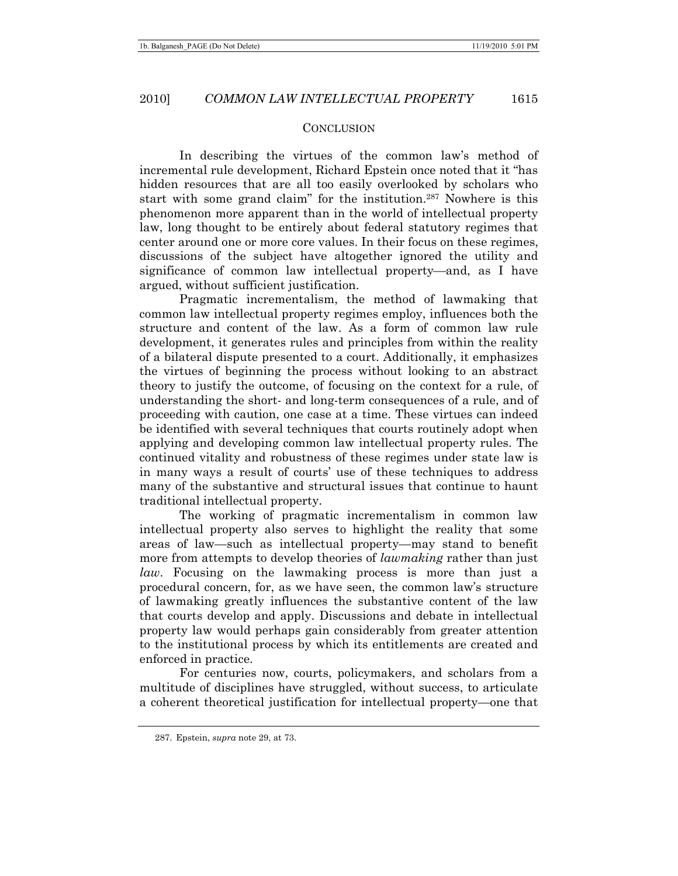## **CONCLUSION**

In describing the virtues of the common law's method of incremental rule development, Richard Epstein once noted that it "has hidden resources that are all too easily overlooked by scholars who start with some grand claim" for the institution.287 Nowhere is this phenomenon more apparent than in the world of intellectual property law, long thought to be entirely about federal statutory regimes that center around one or more core values. In their focus on these regimes, discussions of the subject have altogether ignored the utility and significance of common law intellectual property—and, as I have argued, without sufficient justification.

Pragmatic incrementalism, the method of lawmaking that common law intellectual property regimes employ, influences both the structure and content of the law. As a form of common law rule development, it generates rules and principles from within the reality of a bilateral dispute presented to a court. Additionally, it emphasizes the virtues of beginning the process without looking to an abstract theory to justify the outcome, of focusing on the context for a rule, of understanding the short- and long-term consequences of a rule, and of proceeding with caution, one case at a time. These virtues can indeed be identified with several techniques that courts routinely adopt when applying and developing common law intellectual property rules. The continued vitality and robustness of these regimes under state law is in many ways a result of courts' use of these techniques to address many of the substantive and structural issues that continue to haunt traditional intellectual property.

The working of pragmatic incrementalism in common law intellectual property also serves to highlight the reality that some areas of law—such as intellectual property—may stand to benefit more from attempts to develop theories of *lawmaking* rather than just *law*. Focusing on the lawmaking process is more than just a procedural concern, for, as we have seen, the common law's structure of lawmaking greatly influences the substantive content of the law that courts develop and apply. Discussions and debate in intellectual property law would perhaps gain considerably from greater attention to the institutional process by which its entitlements are created and enforced in practice.

For centuries now, courts, policymakers, and scholars from a multitude of disciplines have struggled, without success, to articulate a coherent theoretical justification for intellectual property—one that

 <sup>287.</sup> Epstein, *supra* note 29, at 73.